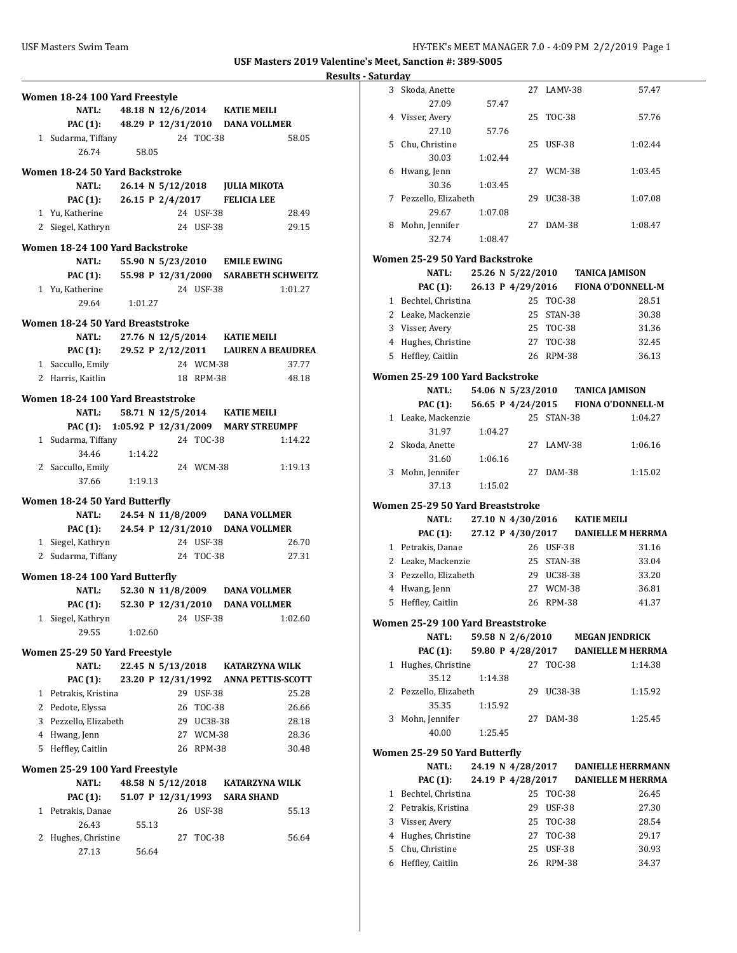| Women 18-24 100 Yard Freestyle                        |                                               |            |                |                          |
|-------------------------------------------------------|-----------------------------------------------|------------|----------------|--------------------------|
| <b>NATL:</b>                                          | 48.18 N 12/6/2014 KATIE MEILI                 |            |                |                          |
|                                                       | PAC (1): 48.29 P 12/31/2010 DANA VOLLMER      |            |                |                          |
| 1 Sudarma, Tiffany                                    |                                               | 24 TOC-38  |                | 58.05                    |
| 26.74                                                 | 58.05                                         |            |                |                          |
| Women 18-24 50 Yard Backstroke                        |                                               |            |                |                          |
| <b>NATL:</b>                                          | 26.14 N 5/12/2018 JULIA MIKOTA                |            |                |                          |
|                                                       | PAC (1): 26.15 P 2/4/2017 FELICIA LEE         |            |                |                          |
| 1 Yu, Katherine                                       |                                               | 24 USF-38  |                | 28.49                    |
| 2 Siegel, Kathryn                                     |                                               | 24 USF-38  |                | 29.15                    |
| Women 18-24 100 Yard Backstroke                       |                                               |            |                |                          |
| <b>NATL:</b>                                          | 55.90 N 5/23/2010 EMILE EWING                 |            |                |                          |
|                                                       | PAC (1): 55.98 P 12/31/2000 SARABETH SCHWEITZ |            |                |                          |
| 1 Yu, Katherine                                       |                                               | 24 USF-38  |                | 1:01.27                  |
| 29.64                                                 | 1:01.27                                       |            |                |                          |
| Women 18-24 50 Yard Breaststroke                      |                                               |            |                |                          |
|                                                       | NATL: 27.76 N 12/5/2014 KATIE MEILI           |            |                |                          |
|                                                       | PAC (1): 29.52 P 2/12/2011 LAUREN A BEAUDREA  |            |                |                          |
| 1 Saccullo, Emily                                     |                                               | 24 WCM-38  |                | 37.77                    |
| 2 Harris, Kaitlin                                     |                                               | 18 RPM-38  |                | 48.18                    |
| Women 18-24 100 Yard Breaststroke                     |                                               |            |                |                          |
| NATL:                                                 | 58.71 N 12/5/2014 KATIE MEILI                 |            |                |                          |
|                                                       | PAC (1): 1:05.92 P 12/31/2009 MARY STREUMPF   |            |                |                          |
| 1 Sudarma, Tiffany                                    |                                               | 24 TOC-38  |                | 1:14.22                  |
| 34.46                                                 | 1:14.22                                       |            |                |                          |
| 2 Saccullo, Emily<br>37.66                            | 1:19.13                                       | 24 WCM-38  |                | 1:19.13                  |
|                                                       |                                               |            |                |                          |
| Women 18-24 50 Yard Butterfly                         |                                               |            |                |                          |
|                                                       | NATL: 24.54 N 11/8/2009 DANA VOLLMER          |            |                |                          |
| <b>PAC (1):</b>                                       | 24.54 P 12/31/2010 DANA VOLLMER               | 24 USF-38  |                |                          |
| 1 Siegel, Kathryn<br>2 Sudarma, Tiffany               |                                               | 24 TOC-38  |                | 26.70<br>27.31           |
|                                                       |                                               |            |                |                          |
| Women 18-24 100 Yard Butterfly                        |                                               |            |                |                          |
| <b>NATL:</b>                                          | 52.30 N 11/8/2009 DANA VOLLMER                |            |                |                          |
| 1 Siegel, Kathryn                                     | PAC (1): 52.30 P 12/31/2010 DANA VOLLMER      | 24 USF-38  |                | 1:02.60                  |
| 29.55                                                 | 1:02.60                                       |            |                |                          |
|                                                       |                                               |            |                |                          |
| Women 25-29 50 Yard Freestyle                         |                                               |            |                |                          |
| <b>NATL:</b>                                          | 22.45 N 5/13/2018                             |            | KATARZYNA WILK | <b>ANNA PETTIS-SCOTT</b> |
| <b>PAC</b> (1):<br>Petrakis, Kristina<br>$\mathbf{1}$ | 23.20 P 12/31/1992                            | 29 USF-38  |                | 25.28                    |
| 2 Pedote, Elyssa                                      |                                               | 26 TOC-38  |                | 26.66                    |
| Pezzello, Elizabeth<br>3                              |                                               | 29 UC38-38 |                | 28.18                    |
| 4 Hwang, Jenn                                         |                                               | 27 WCM-38  |                | 28.36                    |
| 5 Heffley, Caitlin                                    |                                               | 26 RPM-38  |                | 30.48                    |
| Women 25-29 100 Yard Freestyle                        |                                               |            |                |                          |
| <b>NATL:</b>                                          | 48.58 N 5/12/2018 KATARZYNA WILK              |            |                |                          |
| PAC (1):                                              | 51.07 P 12/31/1993                            |            | SARA SHAND     |                          |
| Petrakis, Danae<br>1                                  |                                               | 26 USF-38  |                | 55.13                    |
| 26.43                                                 | 55.13                                         |            |                |                          |
| 2<br>Hughes, Christine                                |                                               | 27 TOC-38  |                | 56.64                    |
| 27.13                                                 | 56.64                                         |            |                |                          |
|                                                       |                                               |            |                |                          |

| 3 | Skoda, Anette                                     |         | 27                | LAMV-38                    |                                                              | 57.47          |
|---|---------------------------------------------------|---------|-------------------|----------------------------|--------------------------------------------------------------|----------------|
|   | 27.09                                             | 57.47   |                   |                            |                                                              |                |
| 4 | Visser, Avery                                     |         | 25                | <b>TOC-38</b>              |                                                              | 57.76          |
| 5 | 27.10<br>Chu, Christine                           | 57.76   | 25                | <b>USF-38</b>              |                                                              | 1:02.44        |
|   | 30.03                                             | 1:02.44 |                   |                            |                                                              |                |
| 6 | Hwang, Jenn                                       |         | 27                | WCM-38                     |                                                              | 1:03.45        |
|   | 30.36                                             | 1:03.45 |                   |                            |                                                              |                |
| 7 | Pezzello, Elizabeth                               |         | 29                | UC38-38                    |                                                              | 1:07.08        |
|   | 29.67                                             | 1:07.08 |                   |                            |                                                              |                |
| 8 | Mohn, Jennifer                                    |         | 27                | DAM-38                     |                                                              | 1:08.47        |
|   | 32.74                                             | 1:08.47 |                   |                            |                                                              |                |
|   | Women 25-29 50 Yard Backstroke                    |         |                   |                            |                                                              |                |
|   | <b>NATL:</b>                                      |         |                   |                            | 25.26 N 5/22/2010 TANICA JAMISON                             |                |
|   | PAC (1):                                          |         | 26.13 P 4/29/2016 |                            | <b>FIONA O'DONNELL-M</b>                                     |                |
|   | 1 Bechtel, Christina                              |         |                   | 25 TOC-38                  |                                                              | 28.51          |
|   | 2 Leake, Mackenzie                                |         |                   | 25 STAN-38                 |                                                              | 30.38          |
|   | 3 Visser, Avery                                   |         |                   | 25 TOC-38                  |                                                              | 31.36          |
|   | 4 Hughes, Christine                               |         |                   | 27 TOC-38                  |                                                              | 32.45          |
| 5 | Heffley, Caitlin                                  |         |                   | 26 RPM-38                  |                                                              | 36.13          |
|   | Women 25-29 100 Yard Backstroke                   |         |                   |                            |                                                              |                |
|   | <b>NATL:</b>                                      |         | 54.06 N 5/23/2010 |                            | <b>TANICA JAMISON</b>                                        |                |
|   | PAC (1):                                          |         | 56.65 P 4/24/2015 |                            | FIONA O'DONNELL-M                                            |                |
|   | 1 Leake, Mackenzie                                |         |                   | 25 STAN-38                 |                                                              | 1:04.27        |
|   | 31.97                                             | 1:04.27 |                   |                            |                                                              |                |
| 2 | Skoda, Anette                                     |         | 27                | LAMV-38                    |                                                              | 1:06.16        |
|   | 31.60                                             | 1:06.16 |                   |                            |                                                              |                |
| 3 | Mohn, Jennifer                                    |         | 27                | DAM-38                     |                                                              | 1:15.02        |
|   | 37.13                                             | 1:15.02 |                   |                            |                                                              |                |
|   | Women 25-29 50 Yard Breaststroke                  |         |                   |                            |                                                              |                |
|   | <b>NATL:</b>                                      |         | 27.10 N 4/30/2016 |                            | <b>KATIE MEILI</b>                                           |                |
|   | PAC (1):                                          |         | 27.12 P 4/30/2017 |                            | <b>DANIELLE M HERRMA</b>                                     |                |
|   | 1 Petrakis, Danae                                 |         |                   | 26 USF-38                  |                                                              | 31.16          |
|   | 2 Leake, Mackenzie                                |         | 25                | STAN-38                    |                                                              | 33.04          |
|   | 3 Pezzello, Elizabeth                             |         |                   | 29 UC38-38                 |                                                              | 33.20          |
|   | 4 Hwang, Jenn                                     |         |                   | 27 WCM-38                  |                                                              | 36.81          |
| 5 |                                                   |         |                   |                            |                                                              |                |
|   | Heffley, Caitlin                                  |         |                   | 26 RPM-38                  |                                                              | 41.37          |
|   |                                                   |         |                   |                            |                                                              |                |
|   | Women 25-29 100 Yard Breaststroke<br><b>NATL:</b> |         |                   |                            |                                                              |                |
|   | <b>PAC</b> (1):                                   |         | 59.58 N 2/6/2010  |                            | <b>MEGAN JENDRICK</b><br>59.80 P 4/28/2017 DANIELLE M HERRMA |                |
| 1 | Hughes, Christine                                 |         | 27                | TOC-38                     |                                                              | 1:14.38        |
|   | 35.12                                             | 1:14.38 |                   |                            |                                                              |                |
|   | 2 Pezzello, Elizabeth                             |         | 29                | UC38-38                    |                                                              | 1:15.92        |
|   | 35.35                                             | 1:15.92 |                   |                            |                                                              |                |
| 3 | Mohn, Jennifer                                    |         | 27                | DAM-38                     |                                                              | 1:25.45        |
|   | 40.00                                             | 1:25.45 |                   |                            |                                                              |                |
|   | Women 25-29 50 Yard Butterfly                     |         |                   |                            |                                                              |                |
|   | <b>NATL:</b>                                      |         | 24.19 N 4/28/2017 |                            | <b>DANIELLE HERRMANN</b>                                     |                |
|   | PAC (1):                                          |         |                   |                            | 24.19 P 4/28/2017 DANIELLE M HERRMA                          |                |
|   | 1 Bechtel, Christina                              |         | 25                | <b>TOC-38</b>              |                                                              | 26.45          |
|   | 2 Petrakis, Kristina                              |         | 29                | <b>USF-38</b>              |                                                              | 27.30          |
|   | 3 Visser, Avery                                   |         | 25                | <b>TOC-38</b>              |                                                              | 28.54          |
|   | 4 Hughes, Christine                               |         | 27                | <b>TOC-38</b>              |                                                              | 29.17          |
| 5 | Chu, Christine<br>6 Heffley, Caitlin              |         | 25                | <b>USF-38</b><br>26 RPM-38 |                                                              | 30.93<br>34.37 |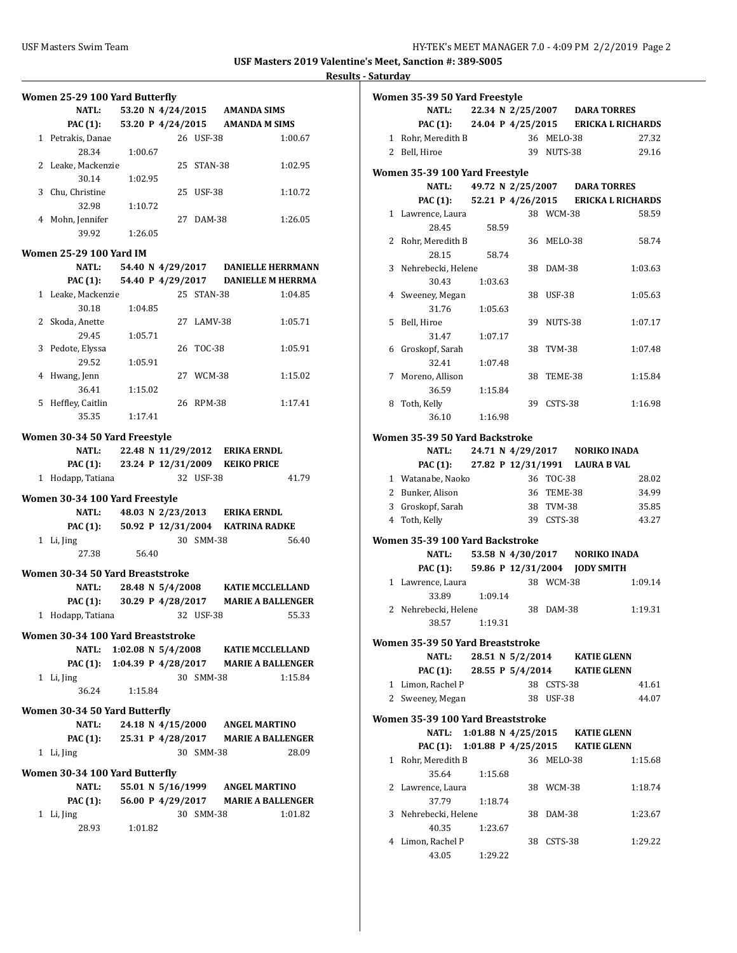| Women 25-29 100 Yard Butterfly    |                                           |            |               |                                              |
|-----------------------------------|-------------------------------------------|------------|---------------|----------------------------------------------|
| <b>NATL:</b>                      | 53.20 N 4/24/2015 AMANDA SIMS             |            |               |                                              |
| <b>PAC (1):</b>                   | 53.20 P 4/24/2015                         |            | AMANDA M SIMS |                                              |
| 1 Petrakis, Danae                 |                                           | 26 USF-38  |               | 1:00.67                                      |
| 28.34                             | 1:00.67                                   |            |               |                                              |
| 2 Leake, Mackenzie                |                                           | 25 STAN-38 |               | 1:02.95                                      |
| 30.14                             | 1:02.95                                   |            |               |                                              |
| 3 Chu, Christine                  |                                           | 25 USF-38  |               | 1:10.72                                      |
| 32.98                             | 1:10.72                                   |            |               |                                              |
| 4 Mohn, Jennifer                  |                                           | 27 DAM-38  |               | 1:26.05                                      |
| 39.92                             | 1:26.05                                   |            |               |                                              |
| <b>Women 25-29 100 Yard IM</b>    |                                           |            |               |                                              |
| NATL:                             |                                           |            |               | 54.40 N 4/29/2017 DANIELLE HERRMANN          |
|                                   |                                           |            |               | PAC (1): 54.40 P 4/29/2017 DANIELLE M HERRMA |
| 1 Leake, Mackenzie                |                                           | 25 STAN-38 |               | 1:04.85                                      |
| 30.18                             | 1:04.85                                   |            |               |                                              |
| 2 Skoda, Anette                   |                                           | 27 LAMV-38 |               | 1:05.71                                      |
| 29.45                             | 1:05.71                                   |            |               |                                              |
| 3 Pedote, Elyssa                  |                                           | 26 TOC-38  |               | 1:05.91                                      |
| 29.52                             | 1:05.91                                   |            |               |                                              |
| 4 Hwang, Jenn                     |                                           | 27 WCM-38  |               | 1:15.02                                      |
| 36.41                             | 1:15.02                                   |            |               |                                              |
| 5 Heffley, Caitlin                |                                           | 26 RPM-38  |               | 1:17.41                                      |
| 35.35                             | 1:17.41                                   |            |               |                                              |
|                                   |                                           |            |               |                                              |
| Women 30-34 50 Yard Freestyle     |                                           |            |               |                                              |
| NATL:                             | 22.48 N 11/29/2012 ERIKA ERNDL            |            |               |                                              |
|                                   | PAC (1): 23.24 P 12/31/2009 KEIKO PRICE   |            |               |                                              |
| 1 Hodapp, Tatiana                 |                                           | 32 USF-38  |               | 41.79                                        |
| Women 30-34 100 Yard Freestyle    |                                           |            |               |                                              |
| <b>NATL:</b>                      | 48.03 N 2/23/2013 ERIKA ERNDL             |            |               |                                              |
|                                   | PAC (1): 50.92 P 12/31/2004 KATRINA RADKE |            |               |                                              |
| 1 Li, Jing                        |                                           | 30 SMM-38  |               | 56.40                                        |
| 27.38                             | 56.40                                     |            |               |                                              |
| Women 30-34 50 Yard Breaststroke  |                                           |            |               |                                              |
| NATL:                             | 28.48 N 5/4/2008                          |            |               | <b>KATIE MCCLELLAND</b>                      |
| <b>PAC (1):</b>                   |                                           |            |               | 30.29 P 4/28/2017 MARIE A BALLENGER          |
| 1 Hodapp, Tatiana                 |                                           | 32 USF-38  |               | 55.33                                        |
|                                   |                                           |            |               |                                              |
| Women 30-34 100 Yard Breaststroke |                                           |            |               |                                              |
| NATL:                             | 1:02.08 N 5/4/2008 KATIE MCCLELLAND       |            |               |                                              |
| PAC (1):                          | 1:04.39 P 4/28/2017 MARIE A BALLENGER     |            |               |                                              |
| 1 Li, Jing                        |                                           | 30 SMM-38  |               | 1:15.84                                      |
| 36.24                             | 1:15.84                                   |            |               |                                              |
| Women 30-34 50 Yard Butterfly     |                                           |            |               |                                              |
| NATL:                             | 24.18 N 4/15/2000 ANGEL MARTINO           |            |               |                                              |
| <b>PAC (1):</b>                   |                                           |            |               | 25.31 P 4/28/2017 MARIE A BALLENGER          |
| 1 Li, Jing                        |                                           | 30 SMM-38  |               | 28.09                                        |
|                                   |                                           |            |               |                                              |
| Women 30-34 100 Yard Butterfly    |                                           |            |               |                                              |
| NATL:                             | 55.01 N 5/16/1999 ANGEL MARTINO           |            |               |                                              |
| PAC (1):                          |                                           |            |               | 56.00 P 4/29/2017 MARIE A BALLENGER          |
| 1 Li, Jing                        |                                           | 30 SMM-38  |               | 1:01.82                                      |
| 28.93                             | 1:01.82                                   |            |               |                                              |
|                                   |                                           |            |               |                                              |

|                | Women 35-39 50 Yard Freestyle                       |                       |  |  |    |                   |                                |                                     |
|----------------|-----------------------------------------------------|-----------------------|--|--|----|-------------------|--------------------------------|-------------------------------------|
|                | NATL:                                               |                       |  |  |    |                   | 22.34 N 2/25/2007 DARA TORRES  |                                     |
|                | PAC (1):                                            |                       |  |  |    |                   |                                | 24.04 P 4/25/2015 ERICKA L RICHARDS |
|                | 1 Rohr, Meredith B                                  |                       |  |  |    | 36 MELO-38        |                                | 27.32                               |
|                | 2 Bell, Hiroe                                       |                       |  |  |    | 39 NUTS-38        |                                | 29.16                               |
|                |                                                     |                       |  |  |    |                   |                                |                                     |
|                | Women 35-39 100 Yard Freestyle<br>NATL:             |                       |  |  |    | 49.72 N 2/25/2007 |                                |                                     |
|                |                                                     | 52.21 P 4/26/2015     |  |  |    |                   | <b>DARA TORRES</b>             | <b>ERICKA L RICHARDS</b>            |
|                | PAC (1):<br>1 Lawrence, Laura                       |                       |  |  |    | 38 WCM-38         |                                | 58.59                               |
|                | 28.45                                               | 58.59                 |  |  |    |                   |                                |                                     |
| 2              | Rohr, Meredith B                                    |                       |  |  |    | 36 MELO-38        |                                | 58.74                               |
|                | 28.15                                               | 58.74                 |  |  |    |                   |                                |                                     |
| 3              | Nehrebecki, Helene                                  |                       |  |  | 38 | DAM-38            |                                | 1:03.63                             |
|                | 30.43                                               | 1:03.63               |  |  |    |                   |                                |                                     |
|                | 4 Sweeney, Megan                                    |                       |  |  | 38 | USF-38            |                                | 1:05.63                             |
|                | 31.76                                               | 1:05.63               |  |  |    |                   |                                |                                     |
| 5              | Bell, Hiroe                                         |                       |  |  | 39 | NUTS-38           |                                | 1:07.17                             |
|                | 31.47                                               | 1:07.17               |  |  |    |                   |                                |                                     |
|                | 6 Groskopf, Sarah                                   |                       |  |  | 38 | TVM-38            |                                | 1:07.48                             |
|                | 32.41                                               | 1:07.48               |  |  |    |                   |                                |                                     |
| 7              | Moreno, Allison                                     |                       |  |  | 38 | TEME-38           |                                | 1:15.84                             |
|                | 36.59                                               | 1:15.84               |  |  |    |                   |                                |                                     |
| 8              | Toth, Kelly                                         |                       |  |  |    | 39 CSTS-38        |                                | 1:16.98                             |
|                | 36.10                                               | 1:16.98               |  |  |    |                   |                                |                                     |
|                |                                                     |                       |  |  |    |                   |                                |                                     |
|                | Women 35-39 50 Yard Backstroke<br>24.71 N 4/29/2017 |                       |  |  |    |                   |                                |                                     |
|                | <b>NATL:</b>                                        |                       |  |  |    |                   | <b>NORIKO INADA</b>            |                                     |
|                | PAC (1): 27.82 P 12/31/1991 LAURA B VAL             |                       |  |  |    |                   |                                |                                     |
|                | 1 Watanabe, Naoko                                   |                       |  |  |    | 36 TOC-38         |                                | 28.02                               |
|                | 2 Bunker, Alison                                    |                       |  |  |    | 36 TEME-38        |                                | 34.99                               |
|                | 3 Groskopf, Sarah                                   |                       |  |  |    | 38 TVM-38         |                                | 35.85                               |
| 4              | Toth, Kelly                                         |                       |  |  |    | 39 CSTS-38        |                                | 43.27                               |
|                | Women 35-39 100 Yard Backstroke                     |                       |  |  |    |                   |                                |                                     |
|                | NATL:                                               |                       |  |  |    |                   | 53.58 N 4/30/2017 NORIKO INADA |                                     |
|                | <b>PAC (1):</b>                                     | 59.86 P 12/31/2004    |  |  |    |                   | <b>JODY SMITH</b>              |                                     |
|                | 1 Lawrence, Laura                                   |                       |  |  |    | 38 WCM-38         |                                | 1:09.14                             |
|                | 33.89                                               | 1:09.14               |  |  |    |                   |                                |                                     |
| $\overline{2}$ | Nehrebecki, Helene                                  |                       |  |  | 38 | DAM-38            |                                | 1:19.31                             |
|                | 38.57                                               | 1:19.31               |  |  |    |                   |                                |                                     |
|                | Women 35-39 50 Yard Breaststroke                    |                       |  |  |    |                   |                                |                                     |
|                | NATL:                                               | 28.51 N 5/2/2014      |  |  |    |                   | <b>KATIE GLENN</b>             |                                     |
|                | PAC (1):                                            | 28.55 P 5/4/2014      |  |  |    |                   | KATIE GLENN                    |                                     |
|                | 1 Limon, Rachel P                                   |                       |  |  |    | 38 CSTS-38        |                                | 41.61                               |
|                | 2 Sweeney, Megan                                    |                       |  |  |    | 38 USF-38         |                                | 44.07                               |
|                | Women 35-39 100 Yard Breaststroke                   |                       |  |  |    |                   |                                |                                     |
|                | <b>NATL:</b>                                        | 1:01.88 N $4/25/2015$ |  |  |    |                   | <b>KATIE GLENN</b>             |                                     |
|                | PAC (1): 1:01.88 P 4/25/2015 KATIE GLENN            |                       |  |  |    |                   |                                |                                     |
|                | 1 Rohr, Meredith B                                  |                       |  |  |    | 36 MELO-38        |                                | 1:15.68                             |
|                | 35.64                                               | 1:15.68               |  |  |    |                   |                                |                                     |
|                | 2 Lawrence, Laura                                   |                       |  |  |    | 38 WCM-38         |                                | 1:18.74                             |
|                | 37.79                                               | 1:18.74               |  |  |    |                   |                                |                                     |
|                | 3 Nehrebecki, Helene                                |                       |  |  |    | 38 DAM-38         |                                | 1:23.67                             |
|                | 40.35                                               | 1:23.67               |  |  |    |                   |                                |                                     |
|                | 4 Limon, Rachel P                                   |                       |  |  |    | 38 CSTS-38        |                                | 1:29.22                             |
|                | 43.05                                               | 1:29.22               |  |  |    |                   |                                |                                     |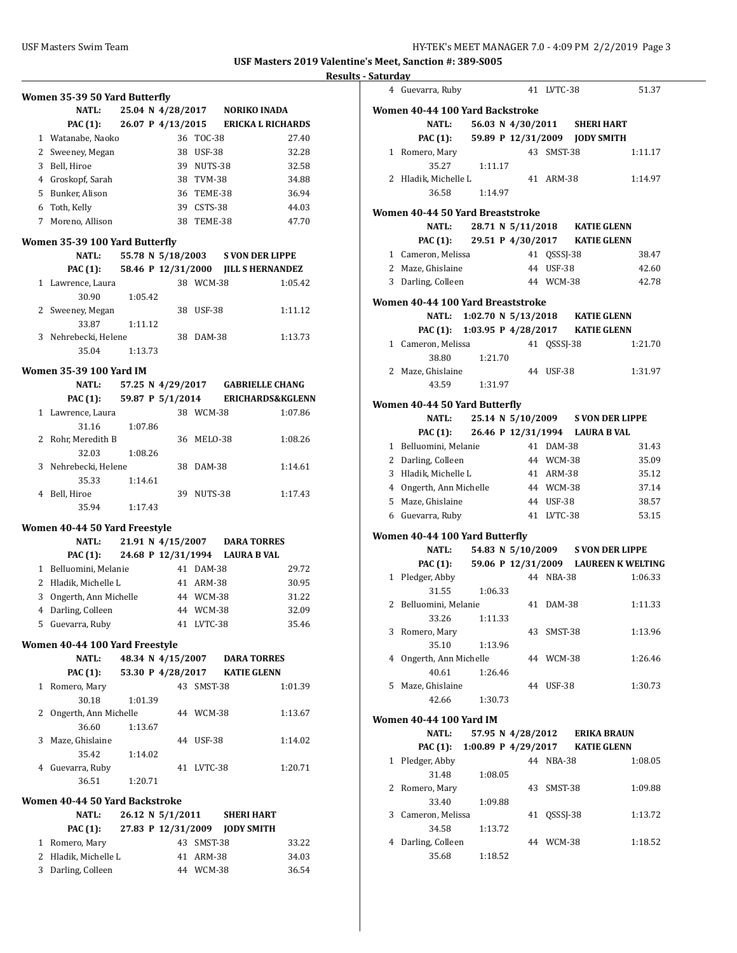|              | Women 35-39 50 Yard Butterfly<br><b>NATL:</b> |         |                    |            | 25.04 N 4/28/2017 NORIKO INADA          |         |
|--------------|-----------------------------------------------|---------|--------------------|------------|-----------------------------------------|---------|
|              | <b>PAC</b> (1):                               |         |                    |            | 26.07 P 4/13/2015 ERICKA L RICHARDS     |         |
|              | 1 Watanabe, Naoko                             |         |                    | 36 TOC-38  |                                         | 27.40   |
| 2            | Sweeney, Megan                                |         |                    | 38 USF-38  |                                         | 32.28   |
|              | 3 Bell, Hiroe                                 |         |                    | 39 NUTS-38 |                                         | 32.58   |
|              |                                               |         |                    |            |                                         |         |
|              | 4 Groskopf, Sarah                             |         |                    | 38 TVM-38  |                                         | 34.88   |
|              | 5 Bunker, Alison                              |         |                    | 36 TEME-38 |                                         | 36.94   |
|              | 6 Toth, Kelly                                 |         |                    | 39 CSTS-38 |                                         | 44.03   |
| $7^{\circ}$  | Moreno, Allison                               |         |                    | 38 TEME-38 |                                         | 47.70   |
|              | Women 35-39 100 Yard Butterfly                |         |                    |            |                                         |         |
|              | <b>NATL:</b>                                  |         |                    |            | 55.78 N 5/18/2003 S VON DER LIPPE       |         |
|              | <b>PAC</b> (1):                               |         | 58.46 P 12/31/2000 |            | <b>JILL S HERNANDEZ</b>                 |         |
|              | 1 Lawrence, Laura                             |         |                    | 38 WCM-38  |                                         | 1:05.42 |
|              | 30.90                                         | 1:05.42 |                    |            |                                         |         |
| $\mathbf{2}$ | Sweeney, Megan                                |         | 38                 | USF-38     |                                         | 1:11.12 |
|              | 33.87                                         | 1:11.12 |                    |            |                                         |         |
|              | 3 Nehrebecki, Helene                          |         | 38                 | DAM-38     |                                         | 1:13.73 |
|              | 35.04                                         | 1:13.73 |                    |            |                                         |         |
|              | <b>Women 35-39 100 Yard IM</b>                |         |                    |            |                                         |         |
|              | NATL:                                         |         |                    |            | 57.25 N 4/29/2017 GABRIELLE CHANG       |         |
|              | PAC (1): 59.87 P $5/1/2014$                   |         |                    |            | <b>ERICHARDS&amp;KGLENN</b>             |         |
|              | 1 Lawrence, Laura                             |         |                    | 38 WCM-38  |                                         | 1:07.86 |
|              | 31.16                                         | 1:07.86 |                    |            |                                         |         |
|              | 2 Rohr, Meredith B                            |         | 36                 | MELO-38    |                                         | 1:08.26 |
|              | 32.03                                         | 1:08.26 |                    |            |                                         |         |
|              | 3 Nehrebecki, Helene                          |         | 38                 | DAM-38     |                                         | 1:14.61 |
|              | 35.33                                         | 1:14.61 |                    |            |                                         |         |
| 4            | Bell, Hiroe                                   |         |                    | 39 NUTS-38 |                                         | 1:17.43 |
|              | 35.94                                         | 1:17.43 |                    |            |                                         |         |
|              | Women 40-44 50 Yard Freestyle                 |         |                    |            |                                         |         |
|              | NATL:                                         |         |                    |            | 21.91 N 4/15/2007 DARA TORRES           |         |
|              |                                               |         |                    |            | PAC (1): 24.68 P 12/31/1994 LAURA B VAL |         |
|              | 1 Belluomini, Melanie                         |         |                    | 41 DAM-38  |                                         | 29.72   |
|              | 2 Hladik, Michelle L                          |         |                    | 41 ARM-38  |                                         | 30.95   |
| 3            | Ongerth, Ann Michelle                         |         |                    | 44 WCM-38  |                                         | 31.22   |
| 4            | Darling, Colleen                              |         |                    | 44 WCM-38  |                                         | 32.09   |
| 5            | Guevarra, Ruby                                |         |                    | 41 LVTC-38 |                                         | 35.46   |
|              |                                               |         |                    |            |                                         |         |
|              | Women 40-44 100 Yard Freestyle                |         |                    |            |                                         |         |
|              | <b>NATL:</b>                                  |         |                    |            | 48.34 N 4/15/2007 DARA TORRES           |         |
|              | <b>PAC (1):</b>                               |         |                    |            | 53.30 P 4/28/2017 KATIE GLENN           |         |
| $1 \quad$    | Romero, Mary                                  |         |                    | 43 SMST-38 |                                         | 1:01.39 |
|              | 30.18                                         | 1:01.39 |                    |            |                                         |         |
| $\mathbf{2}$ | Ongerth, Ann Michelle                         |         |                    | 44 WCM-38  |                                         | 1:13.67 |
|              | 36.60                                         | 1:13.67 |                    |            |                                         |         |
| 3            | Maze, Ghislaine                               |         |                    | 44 USF-38  |                                         | 1:14.02 |
|              | 35.42                                         | 1:14.02 |                    |            |                                         |         |
|              | 4 Guevarra, Ruby                              |         |                    | 41 LVTC-38 |                                         | 1:20.71 |
|              | 36.51                                         | 1:20.71 |                    |            |                                         |         |
|              | Women 40-44 50 Yard Backstroke                |         |                    |            |                                         |         |
|              | <b>NATL:</b>                                  |         |                    |            | 26.12 N 5/1/2011 SHERI HART             |         |
|              | PAC (1):                                      |         |                    |            | 27.83 P 12/31/2009 JODY SMITH           |         |
|              | 1 Romero, Mary                                |         |                    | 43 SMST-38 |                                         | 33.22   |
|              | 2 Hladik, Michelle L                          |         |                    | 41 ARM-38  |                                         | 34.03   |
|              | 3 Darling, Colleen                            |         |                    | 44 WCM-38  |                                         | 36.54   |
|              |                                               |         |                    |            |                                         |         |

|              | 4 Guevarra, Ruby                         |                                 |           | 41 LVTC-38  |                    | 51.37                                         |
|--------------|------------------------------------------|---------------------------------|-----------|-------------|--------------------|-----------------------------------------------|
|              | Women 40-44 100 Yard Backstroke          |                                 |           |             |                    |                                               |
|              | NATL: 56.03 N 4/30/2011 SHERI HART       |                                 |           |             |                    |                                               |
|              | PAC (1): 59.89 P 12/31/2009 JODY SMITH   |                                 |           |             |                    |                                               |
|              | 1 Romero, Mary                           |                                 |           | 43 SMST-38  |                    | 1:11.17                                       |
|              | 35.27                                    | 1:11.17                         |           |             |                    |                                               |
|              | 2 Hladik, Michelle L                     |                                 |           | 41 ARM-38   |                    | 1:14.97                                       |
|              | 36.58                                    | 1:14.97                         |           |             |                    |                                               |
|              |                                          |                                 |           |             |                    |                                               |
|              | Women 40-44 50 Yard Breaststroke         |                                 |           |             |                    |                                               |
|              | NATL:                                    | 28.71 N 5/11/2018               |           |             |                    | <b>KATIE GLENN</b>                            |
|              | PAC (1): 29.51 P 4/30/2017               |                                 |           |             |                    | KATIE GLENN                                   |
|              | 1 Cameron, Melissa                       |                                 |           | 41 QSSSJ-38 |                    | 38.47                                         |
|              | 2 Maze, Ghislaine                        |                                 |           | 44 USF-38   |                    | 42.60                                         |
|              | 3 Darling, Colleen                       |                                 | 44 WCM-38 |             |                    | 42.78                                         |
|              | Women 40-44 100 Yard Breaststroke        |                                 |           |             |                    |                                               |
|              | NATL:                                    | 1:02.70 N 5/13/2018 KATIE GLENN |           |             |                    |                                               |
|              | PAC (1): 1:03.95 P 4/28/2017 KATIE GLENN |                                 |           |             |                    |                                               |
|              | 1 Cameron, Melissa                       |                                 |           | 41 QSSSJ-38 |                    | 1:21.70                                       |
|              | 38.80                                    | 1:21.70                         |           |             |                    |                                               |
|              | 2 Maze, Ghislaine                        |                                 |           | 44 USF-38   |                    | 1:31.97                                       |
|              | 43.59                                    | 1:31.97                         |           |             |                    |                                               |
|              |                                          |                                 |           |             |                    |                                               |
|              | Women 40-44 50 Yard Butterfly            |                                 |           |             |                    |                                               |
|              | <b>NATL:</b>                             |                                 |           |             |                    | 25.14 N 5/10/2009 S VON DER LIPPE             |
|              | PAC (1): 26.46 P 12/31/1994 LAURA B VAL  |                                 |           |             |                    |                                               |
|              | 1 Belluomini, Melanie                    |                                 |           | 41 DAM-38   |                    | 31.43                                         |
|              | 2 Darling, Colleen                       |                                 |           | 44 WCM-38   |                    | 35.09                                         |
|              | 3 Hladik, Michelle L                     |                                 |           | 41 ARM-38   |                    | 35.12                                         |
|              | 4 Ongerth, Ann Michelle                  |                                 |           | 44 WCM-38   |                    | 37.14                                         |
|              | 5 Maze, Ghislaine                        |                                 |           | 44 USF-38   |                    | 38.57                                         |
|              | 6 Guevarra, Ruby                         |                                 |           | 41 LVTC-38  |                    | 53.15                                         |
|              | Women 40-44 100 Yard Butterfly           |                                 |           |             |                    |                                               |
|              | <b>NATL:</b>                             |                                 |           |             |                    | 54.83 N 5/10/2009 S VON DER LIPPE             |
|              |                                          |                                 |           |             |                    | PAC (1): 59.06 P 12/31/2009 LAUREEN K WELTING |
|              | 1 Pledger, Abby                          |                                 |           | 44 NBA-38   |                    | 1:06.33                                       |
|              | 31.55                                    | 1:06.33                         |           |             |                    |                                               |
|              | 2 Belluomini, Melanie                    |                                 |           | 41 DAM-38   |                    | 1:11.33                                       |
|              | 33.26                                    | 1:11.33                         |           |             |                    |                                               |
|              | 3 Romero, Mary                           |                                 |           | 43 SMST-38  |                    | 1:13.96                                       |
|              | 35.10                                    | 1:13.96                         |           |             |                    |                                               |
|              | 4 Ongerth, Ann Michelle                  |                                 |           | 44 WCM-38   |                    | 1:26.46                                       |
|              | 40.61                                    | 1:26.46                         |           |             |                    |                                               |
|              | 5 Maze, Ghislaine                        |                                 |           | 44 USF-38   |                    | 1:30.73                                       |
|              | 42.66                                    | 1:30.73                         |           |             |                    |                                               |
|              | Women 40-44 100 Yard IM                  |                                 |           |             |                    |                                               |
|              | <b>NATL:</b>                             |                                 |           |             |                    |                                               |
|              | <b>PAC (1):</b>                          | 57.95 N 4/28/2012               |           |             |                    | ERIKA BRAUN                                   |
|              | Pledger, Abby                            | 1:00.89 P 4/29/2017             |           |             | <b>KATIE GLENN</b> |                                               |
| $\mathbf{1}$ |                                          |                                 |           | 44 NBA-38   |                    | 1:08.05                                       |
|              | 31.48                                    | 1:08.05                         |           |             |                    |                                               |
|              | 2 Romero, Mary                           |                                 |           | 43 SMST-38  |                    | 1:09.88                                       |
|              | 33.40<br>3 Cameron, Melissa              | 1:09.88                         |           | 41 QSSSJ-38 |                    |                                               |
|              | 34.58                                    | 1:13.72                         |           |             |                    | 1:13.72                                       |
|              | 4 Darling, Colleen                       |                                 |           | 44 WCM-38   |                    |                                               |
|              | 35.68                                    |                                 |           |             |                    | 1:18.52                                       |
|              |                                          | 1:18.52                         |           |             |                    |                                               |
|              |                                          |                                 |           |             |                    |                                               |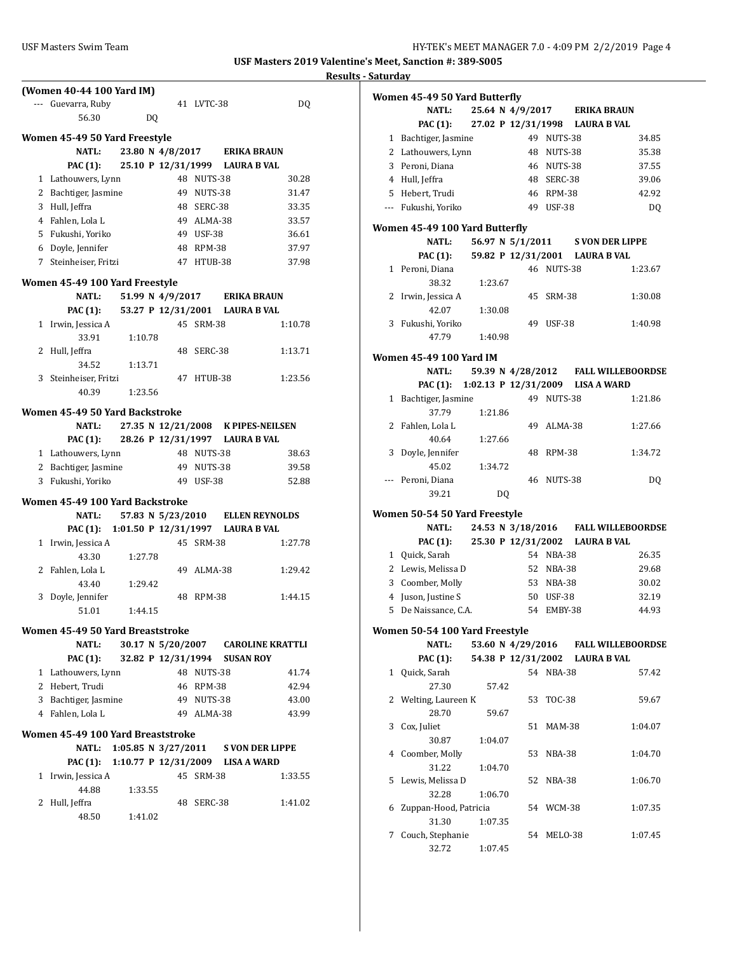# USF Masters Swim Team **HY-TEK's MEET MANAGER 7.0 - 4:09 PM 2/2/2019** Page 4 **(Women 40-44 100 Yard IM)** --- Guevarra, Ruby 41 LVTC-38 DQ 56.30 DQ **Women 45-49 50 Yard Freestyle NATL: 23.80 N 4/8/2017 ERIKA BRAUN PAC (1): 25.10 P 12/31/1999 LAURA B VAL** 1 Lathouwers, Lynn 48 NUTS-38 30.28 2 Bachtiger, Jasmine 49 NUTS-38 31.47 3 Hull, Jeffra 48 SERC-38 33.35 4 Fahlen, Lola L 49 ALMA-38 33.57 5 Fukushi, Yoriko 49 USF-38 36.61 6 Doyle, Jennifer 48 RPM-38 37.97 7 Steinheiser, Fritzi 47 HTUB-38 37.98 **Women 45-49 100 Yard Freestyle NATL: 51.99 N 4/9/2017 ERIKA BRAUN PAC (1): 53.27 P 12/31/2001 LAURA B VAL** 1 Irwin, Jessica A 45 SRM-38 1:10.78 33.91 1:10.78 2 Hull, Jeffra 48 SERC-38 1:13.71 34.52 1:13.71 3 Steinheiser, Fritzi 47 HTUB-38 1:23.56 40.39 1:23.56 **Women 45-49 50 Yard Backstroke NATL: 27.35 N 12/21/2008 K PIPES-NEILSEN PAC (1): 28.26 P 12/31/1997 LAURA B VAL** 1 Lathouwers, Lynn 48 NUTS-38 38.63 2 Bachtiger, Jasmine 49 NUTS-38 39.58 3 Fukushi, Yoriko 49 USF-38 52.88 **Women 45-49 100 Yard Backstroke NATL: 57.83 N 5/23/2010 ELLEN REYNOLDS PAC (1): 1:01.50 P 12/31/1997 LAURA B VAL** 1 Irwin, Jessica A 45 SRM-38 1:27.78 43.30 1:27.78 2 Fahlen, Lola L 49 ALMA-38 1:29.42 43.40 1:29.42 3 Doyle, Jennifer 48 RPM-38 1:44.15 51.01 1:44.15 **Women 45-49 50 Yard Breaststroke NATL: 30.17 N 5/20/2007 CAROLINE KRATTLI PAC (1): 32.82 P 12/31/1994 SUSAN ROY** 1 Lathouwers, Lynn 48 NUTS-38 41.74 2 Hebert, Trudi 46 RPM-38 42.94 3 Bachtiger, Jasmine 49 NUTS-38 43.00 4 Fahlen, Lola L 49 ALMA-38 43.99 **Women 45-49 100 Yard Breaststroke NATL: 1:05.85 N 3/27/2011 S VON DER LIPPE PAC (1): 1:10.77 P 12/31/2009 LISA A WARD** 1 Irwin, Jessica A 45 SRM-38 1:33.55 44.88 1:33.55 2 Hull, Jeffra 48 SERC-38 1:41.02 48.50 1:41.02

| <b>Results - Saturday</b> |   |                                                |         |                  |            |                                           |
|---------------------------|---|------------------------------------------------|---------|------------------|------------|-------------------------------------------|
|                           |   | Women 45-49 50 Yard Butterfly                  |         |                  |            |                                           |
|                           |   | <b>NATL:</b>                                   |         |                  |            | 25.64 N 4/9/2017 ERIKA BRAUN              |
|                           |   | <b>PAC (1):</b>                                |         |                  |            | 27.02 P 12/31/1998 LAURA B VAL            |
|                           |   | 1 Bachtiger, Jasmine                           |         |                  | 49 NUTS-38 | 34.85                                     |
|                           |   | 2 Lathouwers, Lynn                             |         |                  | 48 NUTS-38 | 35.38                                     |
|                           |   | 3 Peroni, Diana                                |         |                  | 46 NUTS-38 | 37.55                                     |
|                           |   | 4 Hull, Jeffra                                 |         |                  | 48 SERC-38 | 39.06                                     |
|                           |   | 5 Hebert, Trudi                                |         |                  | 46 RPM-38  | 42.92                                     |
|                           |   | --- Fukushi, Yoriko                            |         |                  | 49 USF-38  | DQ                                        |
|                           |   |                                                |         |                  |            |                                           |
|                           |   | Women 45-49 100 Yard Butterfly                 |         |                  |            |                                           |
|                           |   | <b>NATL:</b>                                   |         | 56.97 N 5/1/2011 |            | <b>S VON DER LIPPE</b>                    |
|                           |   | <b>PAC (1):</b>                                |         |                  |            | 59.82 P 12/31/2001 LAURA B VAL            |
|                           |   | 1 Peroni, Diana                                |         |                  | 46 NUTS-38 | 1:23.67                                   |
|                           |   | 38.32                                          | 1:23.67 |                  |            |                                           |
|                           |   | 2 Irwin, Jessica A                             |         |                  | 45 SRM-38  | 1:30.08                                   |
|                           |   | 42.07<br>3 Fukushi, Yoriko                     | 1:30.08 |                  |            |                                           |
|                           |   | 47.79                                          |         |                  | 49 USF-38  | 1:40.98                                   |
|                           |   |                                                | 1:40.98 |                  |            |                                           |
|                           |   | <b>Women 45-49 100 Yard IM</b>                 |         |                  |            |                                           |
|                           |   | <b>NATL:</b>                                   |         |                  |            | 59.39 N 4/28/2012 FALL WILLEBOORDSE       |
|                           |   |                                                |         |                  |            | PAC (1): 1:02.13 P 12/31/2009 LISA A WARD |
|                           |   | 1 Bachtiger, Jasmine                           |         |                  | 49 NUTS-38 | 1:21.86                                   |
|                           |   | 37.79                                          | 1:21.86 |                  |            |                                           |
|                           |   | 2 Fahlen, Lola L                               |         |                  | 49 ALMA-38 | 1:27.66                                   |
|                           |   | 40.64                                          | 1:27.66 |                  |            |                                           |
|                           |   | 3 Doyle, Jennifer                              |         |                  | 48 RPM-38  | 1:34.72                                   |
|                           |   | 45.02                                          | 1:34.72 |                  |            |                                           |
|                           |   | --- Peroni, Diana                              |         |                  | 46 NUTS-38 | DQ                                        |
|                           |   | 39.21                                          |         | DQ               |            |                                           |
|                           |   | Women 50-54 50 Yard Freestyle                  |         |                  |            |                                           |
|                           |   | NATL:                                          |         |                  |            | 24.53 N 3/18/2016 FALL WILLEBOORDSE       |
|                           |   | PAC (1):                                       |         |                  |            | 25.30 P 12/31/2002 LAURA B VAL            |
|                           |   | 1 Quick, Sarah                                 |         |                  | 54 NBA-38  | 26.35                                     |
|                           |   | 2 Lewis, Melissa D                             |         |                  | 52 NBA-38  | 29.68                                     |
|                           |   | 3 Coomber, Molly                               |         |                  | 53 NBA-38  | 30.02                                     |
|                           |   | 4 Juson, Justine S                             |         |                  | 50 USF-38  | 32.19                                     |
|                           |   | 5 De Naissance, C.A.                           |         |                  | 54 EMBY-38 | 44.93                                     |
|                           |   |                                                |         |                  |            |                                           |
|                           |   | Women 50-54 100 Yard Freestyle<br><b>NATL:</b> |         |                  |            | 53.60 N 4/29/2016 FALL WILLEBOORDSE       |
|                           |   | PAC (1):                                       |         |                  |            | 54.38 P 12/31/2002 LAURA B VAL            |
|                           |   | 1 Quick, Sarah                                 |         |                  | 54 NBA-38  | 57.42                                     |
|                           |   | 27.30                                          | 57.42   |                  |            |                                           |
|                           |   | 2 Welting, Laureen K                           |         |                  | 53 TOC-38  | 59.67                                     |
|                           |   | 28.70                                          | 59.67   |                  |            |                                           |
|                           |   | 3 Cox, Juliet                                  |         |                  | 51 MAM-38  | 1:04.07                                   |
|                           |   | 30.87                                          | 1:04.07 |                  |            |                                           |
|                           |   | 4 Coomber, Molly                               |         |                  | 53 NBA-38  | 1:04.70                                   |
|                           |   | 31.22                                          | 1:04.70 |                  |            |                                           |
|                           | 5 | Lewis, Melissa D                               |         |                  | 52 NBA-38  | 1:06.70                                   |
|                           |   | 32.28                                          | 1:06.70 |                  |            |                                           |
|                           | 6 | Zuppan-Hood, Patricia                          |         |                  | 54 WCM-38  | 1:07.35                                   |
|                           |   | 31.30                                          | 1:07.35 |                  |            |                                           |
|                           |   | 7 Couch, Stephanie                             |         |                  | 54 MELO-38 | 1:07.45                                   |
|                           |   | 32.72                                          | 1:07.45 |                  |            |                                           |
|                           |   |                                                |         |                  |            |                                           |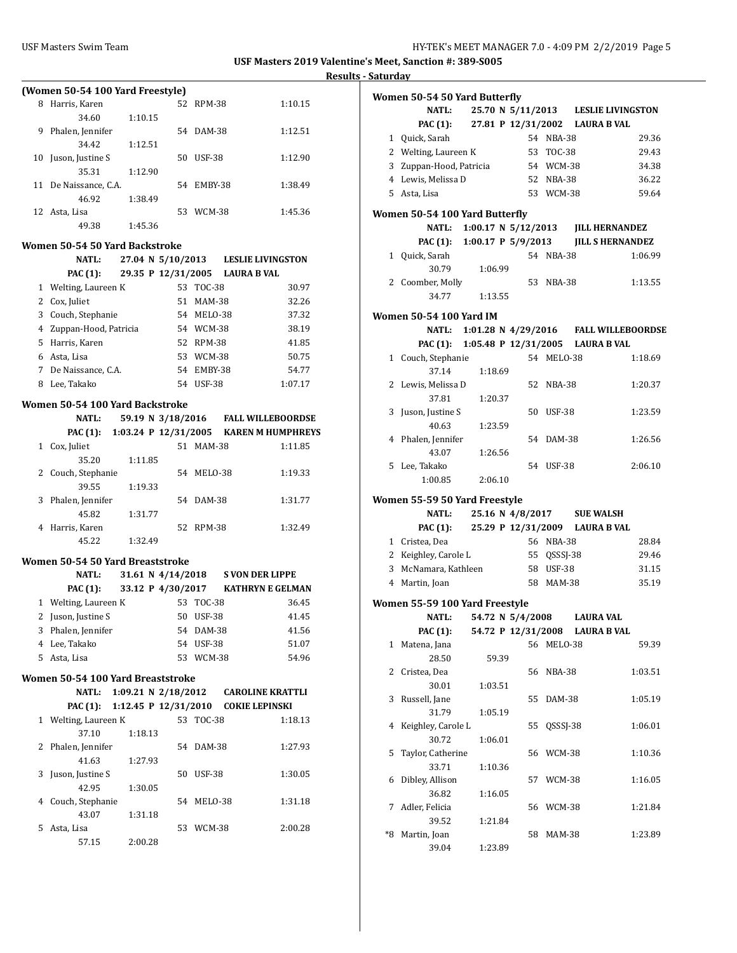Ĭ.

**USF Masters 2019 Valentine's Meet, Sanction #: 389-S005**

|              |                                         |         |    |                                |                                                 | <u>Res</u> |
|--------------|-----------------------------------------|---------|----|--------------------------------|-------------------------------------------------|------------|
|              | (Women 50-54 100 Yard Freestyle)        |         |    |                                |                                                 |            |
|              | 8 Harris, Karen                         |         |    | 52 RPM-38                      | 1:10.15                                         |            |
|              | 34.60                                   | 1:10.15 |    |                                |                                                 |            |
|              | 9 Phalen, Jennifer                      |         |    | 54 DAM-38                      | 1:12.51                                         |            |
|              | 34.42                                   | 1:12.51 |    |                                |                                                 |            |
| 10           | Juson, Justine S                        |         |    | 50 USF-38                      | 1:12.90                                         |            |
|              | 35.31                                   | 1:12.90 |    |                                |                                                 |            |
|              | 11 De Naissance, C.A.                   |         |    | 54 EMBY-38                     | 1:38.49                                         |            |
|              | 46.92                                   | 1:38.49 |    |                                |                                                 |            |
|              | 12 Asta, Lisa                           |         |    | 53 WCM-38                      | 1:45.36                                         |            |
|              | 49.38                                   | 1:45.36 |    |                                |                                                 |            |
|              |                                         |         |    |                                |                                                 |            |
|              | Women 50-54 50 Yard Backstroke<br>NATL: |         |    |                                | 27.04 N 5/10/2013 LESLIE LIVINGSTON             |            |
|              | <b>PAC (1):</b>                         |         |    | 29.35 P 12/31/2005 LAURA B VAL |                                                 |            |
|              |                                         |         |    | 53 TOC-38                      |                                                 |            |
|              | 1 Welting, Laureen K                    |         |    |                                | 30.97                                           |            |
|              | 2 Cox, Juliet                           |         |    | 51 MAM-38                      | 32.26                                           |            |
|              | 3 Couch, Stephanie                      |         |    | 54 MELO-38                     | 37.32                                           |            |
|              | 4 Zuppan-Hood, Patricia                 |         |    | 54 WCM-38                      | 38.19                                           |            |
|              | 5 Harris, Karen                         |         |    | 52 RPM-38                      | 41.85                                           |            |
|              | 6 Asta, Lisa                            |         |    | 53 WCM-38                      | 50.75                                           |            |
|              | 7 De Naissance, C.A.                    |         |    | 54 EMBY-38                     | 54.77                                           |            |
|              | 8 Lee, Takako                           |         |    | 54 USF-38                      | 1:07.17                                         |            |
|              | Women 50-54 100 Yard Backstroke         |         |    |                                |                                                 |            |
|              | NATL:                                   |         |    |                                | 59.19 N 3/18/2016 FALL WILLEBOORDSE             |            |
|              |                                         |         |    |                                | PAC (1): 1:03.24 P 12/31/2005 KAREN M HUMPHREYS |            |
|              | 1 Cox, Juliet                           |         |    | 51 MAM-38                      | 1:11.85                                         |            |
|              | 35.20                                   | 1:11.85 |    |                                |                                                 |            |
|              | 2 Couch, Stephanie                      |         |    | 54 MELO-38                     | 1:19.33                                         |            |
|              | 39.55                                   | 1:19.33 |    |                                |                                                 |            |
|              | 3 Phalen, Jennifer                      |         |    | 54 DAM-38                      | 1:31.77                                         |            |
|              | 45.82                                   | 1:31.77 |    |                                |                                                 |            |
| 4            | Harris, Karen                           |         | 52 | RPM-38                         | 1:32.49                                         |            |
|              | 45.22                                   | 1:32.49 |    |                                |                                                 |            |
|              |                                         |         |    |                                |                                                 |            |
|              | Women 50-54 50 Yard Breaststroke        |         |    |                                |                                                 |            |
|              | NATL:                                   |         |    |                                | 31.61 N 4/14/2018 S VON DER LIPPE               |            |
|              | PAC (1):                                |         |    |                                | 33.12 P 4/30/2017 KATHRYN E GELMAN              |            |
|              | 1 Welting, Laureen K 53 TOC-38          |         |    |                                | 36.45                                           |            |
|              | 2 Juson, Justine S                      |         |    | 50 USF-38                      | 41.45                                           |            |
|              | 3 Phalen, Jennifer                      |         |    | 54 DAM-38                      | 41.56                                           |            |
|              | 4 Lee, Takako                           |         |    | 54 USF-38                      | 51.07                                           |            |
|              | 5 Asta, Lisa                            |         |    | 53 WCM-38                      | 54.96                                           |            |
|              |                                         |         |    |                                |                                                 |            |
|              | Women 50-54 100 Yard Breaststroke       |         |    |                                |                                                 |            |
|              | NATL:                                   |         |    |                                | 1:09.21 N 2/18/2012 CAROLINE KRATTLI            |            |
|              | <b>PAC</b> (1):                         |         |    |                                | 1:12.45 P 12/31/2010 COKIE LEPINSKI             |            |
| $\mathbf{1}$ | Welting, Laureen K                      |         |    | 53 TOC-38                      | 1:18.13                                         |            |
|              | 37.10                                   | 1:18.13 |    |                                |                                                 |            |
| 2            | Phalen, Jennifer                        |         | 54 | DAM-38                         | 1:27.93                                         |            |
|              | 41.63                                   | 1:27.93 |    |                                |                                                 |            |
| 3            | Juson, Justine S                        |         | 50 | USF-38                         | 1:30.05                                         |            |
|              | 42.95                                   | 1:30.05 |    |                                |                                                 |            |
| 4            | Couch, Stephanie                        |         | 54 | MELO-38                        | 1:31.18                                         |            |
|              | 43.07                                   | 1:31.18 |    |                                |                                                 |            |
| 5            | Asta, Lisa                              |         | 53 | WCM-38                         | 2:00.28                                         |            |
|              | 57.15                                   | 2:00.28 |    |                                |                                                 |            |

|              | Women 50-54 50 Yard Butterfly  |                                  |    |               |                                              |
|--------------|--------------------------------|----------------------------------|----|---------------|----------------------------------------------|
|              | <b>NATL:</b>                   |                                  |    |               | 25.70 N 5/11/2013 LESLIE LIVINGSTON          |
|              |                                |                                  |    |               | PAC (1): 27.81 P 12/31/2002 LAURA B VAL      |
|              | 1 Quick, Sarah                 |                                  |    | 54 NBA-38     | 29.36                                        |
|              | 2 Welting, Laureen K           |                                  |    | 53 TOC-38     | 29.43                                        |
|              | 3 Zuppan-Hood, Patricia        |                                  |    | 54 WCM-38     | 34.38                                        |
|              | 4 Lewis, Melissa D             |                                  |    | 52 NBA-38     | 36.22                                        |
|              | 5 Asta, Lisa                   |                                  |    | 53 WCM-38     | 59.64                                        |
|              |                                |                                  |    |               |                                              |
|              | Women 50-54 100 Yard Butterfly |                                  |    |               |                                              |
|              |                                |                                  |    |               | NATL: 1:00.17 N 5/12/2013 JILL HERNANDEZ     |
|              |                                |                                  |    |               | PAC (1): 1:00.17 P 5/9/2013 JILL S HERNANDEZ |
|              | 1 Quick, Sarah                 |                                  |    | 54 NBA-38     | 1:06.99                                      |
|              | 30.79                          | 1:06.99                          |    |               |                                              |
|              | 2 Coomber, Molly               |                                  |    | 53 NBA-38     | 1:13.55                                      |
|              | 34.77                          | 1:13.55                          |    |               |                                              |
|              | Women 50-54 100 Yard IM        |                                  |    |               |                                              |
|              |                                |                                  |    |               | NATL: 1:01.28 N 4/29/2016 FALL WILLEBOORDSE  |
|              |                                |                                  |    |               | PAC (1): 1:05.48 P 12/31/2005 LAURA B VAL    |
|              | 1 Couch, Stephanie             |                                  |    | 54 MELO-38    | 1:18.69                                      |
|              | 37.14                          | 1:18.69                          |    |               |                                              |
|              | 2 Lewis, Melissa D             |                                  |    | 52 NBA-38     | 1:20.37                                      |
|              | 37.81                          | 1:20.37                          |    |               |                                              |
|              | 3 Juson, Justine S             |                                  |    | 50 USF-38     | 1:23.59                                      |
|              | 40.63                          | 1:23.59                          |    |               |                                              |
|              | 4 Phalen, Jennifer             |                                  |    | 54 DAM-38     | 1:26.56                                      |
|              | 43.07                          | 1:26.56                          |    |               |                                              |
|              | 5 Lee, Takako                  |                                  |    | 54 USF-38     | 2:06.10                                      |
|              | 1:00.85                        | 2:06.10                          |    |               |                                              |
|              |                                |                                  |    |               |                                              |
|              | Women 55-59 50 Yard Freestyle  |                                  |    |               |                                              |
|              | NATL:                          |                                  |    |               | 25.16 N 4/8/2017 SUE WALSH                   |
|              |                                |                                  |    |               | PAC (1): 25.29 P 12/31/2009 LAURA B VAL      |
|              | 1 Cristea, Dea                 |                                  |    | 56 NBA-38     | 28.84                                        |
|              | 2 Keighley, Carole L           |                                  |    | 55 QSSSJ-38   | 29.46                                        |
|              | 3 McNamara, Kathleen           |                                  |    | 58 USF-38     | 31.15                                        |
|              | 4 Martin, Joan                 |                                  |    | 58 MAM-38     | 35.19                                        |
|              |                                |                                  |    |               |                                              |
|              | Women 55-59 100 Yard Freestyle |                                  |    |               |                                              |
|              |                                | NATL: 54.72 N 5/4/2008 LAURA VAL |    |               |                                              |
|              | PAC (1):                       |                                  |    |               | 54.72 P 12/31/2008 LAURA B VAL               |
| $\mathbf{1}$ | Matena, Jana                   |                                  |    | 56 MELO-38    | 59.39                                        |
|              | 28.50                          | 59.39                            |    |               |                                              |
|              | 2 Cristea, Dea                 |                                  |    | 56 NBA-38     | 1:03.51                                      |
|              | 30.01                          | 1:03.51                          |    |               |                                              |
| 3            | Russell, Jane                  |                                  | 55 | DAM-38        | 1:05.19                                      |
|              | 31.79                          | 1:05.19                          |    |               |                                              |
| 4            | Keighley, Carole L             |                                  | 55 | QSSSJ-38      | 1:06.01                                      |
|              | 30.72                          | 1:06.01                          |    |               |                                              |
| 5            | Taylor, Catherine              |                                  | 56 | WCM-38        | 1:10.36                                      |
|              | 33.71                          | 1:10.36                          |    |               |                                              |
| 6            | Dibley, Allison                |                                  | 57 | WCM-38        | 1:16.05                                      |
|              | 36.82                          | 1:16.05                          |    |               |                                              |
| 7            | Adler, Felicia                 |                                  |    | 56 WCM-38     | 1:21.84                                      |
|              | 39.52                          | 1:21.84                          |    |               |                                              |
| *8           | Martin, Joan                   |                                  | 58 | <b>MAM-38</b> | 1:23.89                                      |
|              | 39.04                          | 1:23.89                          |    |               |                                              |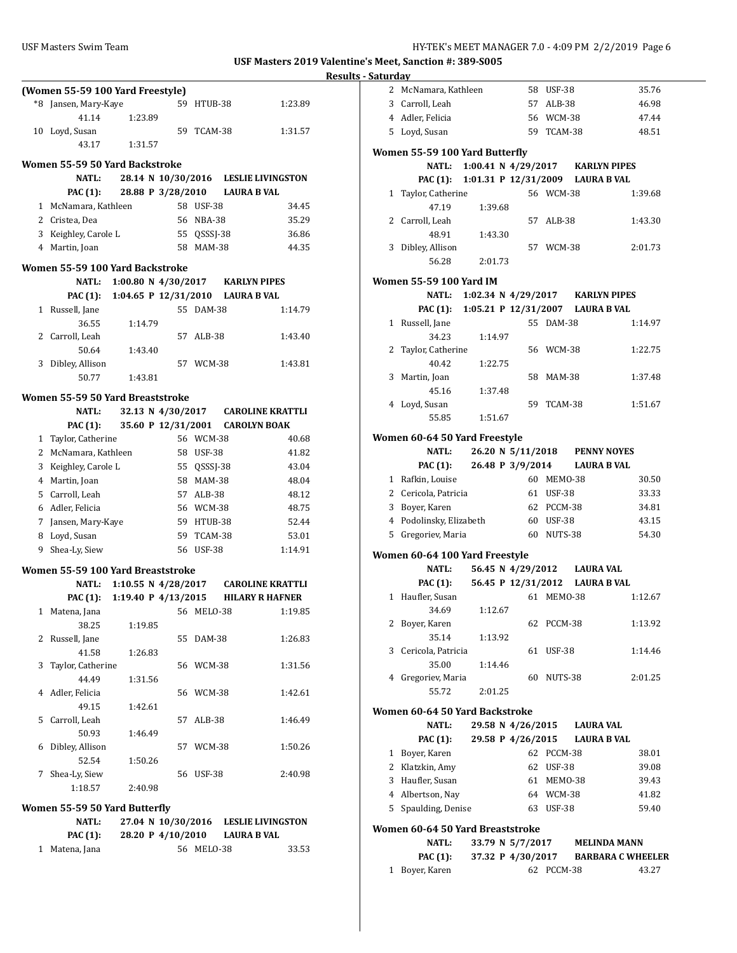|    | (Women 55-59 100 Yard Freestyle)  |                              |    |               |                                           |
|----|-----------------------------------|------------------------------|----|---------------|-------------------------------------------|
|    | *8 Jansen, Mary-Kaye              |                              |    | 59 HTUB-38    | 1:23.89                                   |
|    | 41.14                             | 1:23.89                      |    |               |                                           |
| 10 | Loyd, Susan                       |                              | 59 | TCAM-38       | 1:31.57                                   |
|    | 43.17                             | 1:31.57                      |    |               |                                           |
|    |                                   |                              |    |               |                                           |
|    | Women 55-59 50 Yard Backstroke    |                              |    |               |                                           |
|    | <b>NATL:</b>                      | 28.14 N 10/30/2016           |    |               | <b>LESLIE LIVINGSTON</b>                  |
|    | PAC (1):                          | 28.88 P 3/28/2010            |    |               | <b>LAURA B VAL</b>                        |
|    | 1 McNamara, Kathleen              |                              |    | 58 USF-38     | 34.45                                     |
|    | 2 Cristea, Dea                    |                              |    | 56 NBA-38     | 35.29                                     |
|    | 3 Keighley, Carole L              |                              |    | 55 QSSSJ-38   | 36.86                                     |
|    | 4 Martin, Joan                    |                              |    | 58 MAM-38     | 44.35                                     |
|    | Women 55-59 100 Yard Backstroke   |                              |    |               |                                           |
|    | <b>NATL:</b>                      | 1:00.80 N $4/30/2017$        |    |               | <b>KARLYN PIPES</b>                       |
|    |                                   |                              |    |               | PAC (1): 1:04.65 P 12/31/2010 LAURA B VAL |
| 1  | Russell, Jane                     |                              |    | 55 DAM-38     | 1:14.79                                   |
|    | 36.55                             | 1:14.79                      |    |               |                                           |
|    | 2 Carroll, Leah                   |                              | 57 | $ALB-38$      | 1:43.40                                   |
|    | 50.64                             | 1:43.40                      |    |               |                                           |
|    | 3 Dibley, Allison                 |                              |    | 57 WCM-38     | 1:43.81                                   |
|    | 50.77                             | 1:43.81                      |    |               |                                           |
|    |                                   |                              |    |               |                                           |
|    | Women 55-59 50 Yard Breaststroke  |                              |    |               |                                           |
|    | <b>NATL:</b>                      | 32.13 N 4/30/2017            |    |               | <b>CAROLINE KRATTLI</b>                   |
|    | PAC (1):                          | 35.60 P 12/31/2001           |    |               | <b>CAROLYN BOAK</b>                       |
|    | 1 Taylor, Catherine               |                              |    | 56 WCM-38     | 40.68                                     |
|    | 2 McNamara, Kathleen              |                              |    | 58 USF-38     | 41.82                                     |
|    | 3 Keighley, Carole L              |                              |    | 55 QSSSJ-38   | 43.04                                     |
|    | 4 Martin, Joan                    |                              |    | 58 MAM-38     | 48.04                                     |
|    | 5 Carroll, Leah                   |                              |    | 57 ALB-38     | 48.12                                     |
|    | 6 Adler, Felicia                  |                              |    | 56 WCM-38     | 48.75                                     |
|    | 7 Jansen, Mary-Kaye               |                              |    | 59 HTUB-38    | 52.44                                     |
|    | 8 Loyd, Susan                     |                              |    | 59 TCAM-38    | 53.01                                     |
| 9  | Shea-Ly, Siew                     |                              |    | 56 USF-38     | 1:14.91                                   |
|    |                                   |                              |    |               |                                           |
|    | Women 55-59 100 Yard Breaststroke |                              |    |               |                                           |
|    | NATL:                             | 1:10.55 N $4/28/2017$        |    |               | <b>CAROLINE KRATTLI</b>                   |
|    |                                   | PAC (1): 1:19.40 P 4/13/2015 |    |               | <b>HILARY R HAFNER</b>                    |
| 1  | Matena, Jana                      |                              | 56 | MELO-38       | 1:19.85                                   |
|    | 38.25                             | 1:19.85                      |    |               |                                           |
| 2  | Russell, Jane                     |                              | 55 | DAM-38        | 1:26.83                                   |
|    | 41.58                             | 1:26.83                      |    |               |                                           |
| 3  | Taylor, Catherine                 |                              | 56 | WCM-38        | 1:31.56                                   |
|    | 44.49                             | 1:31.56                      |    |               |                                           |
| 4  | Adler, Felicia                    |                              | 56 | WCM-38        | 1:42.61                                   |
|    | 49.15                             | 1:42.61                      |    |               |                                           |
| 5  | Carroll, Leah                     |                              | 57 | ALB-38        | 1:46.49                                   |
|    | 50.93                             | 1:46.49                      |    |               |                                           |
| 6  | Dibley, Allison                   |                              | 57 | WCM-38        | 1:50.26                                   |
|    | 52.54                             | 1:50.26                      |    |               |                                           |
| 7  | Shea-Ly, Siew                     |                              | 56 | <b>USF-38</b> | 2:40.98                                   |
|    | 1:18.57                           | 2:40.98                      |    |               |                                           |
|    | Women 55-59 50 Yard Butterfly     |                              |    |               |                                           |
|    | <b>NATL:</b>                      | 27.04 N 10/30/2016           |    |               | <b>LESLIE LIVINGSTON</b>                  |
|    | PAC (1):                          | 28.20 P 4/10/2010            |    |               | <b>LAURA B VAL</b>                        |
| 1  | Matena, Jana                      |                              | 56 | MELO-38       | 33.53                                     |

| əatul uay    |                                           |                                  |                                |               |                    |                          |
|--------------|-------------------------------------------|----------------------------------|--------------------------------|---------------|--------------------|--------------------------|
|              | 2 McNamara, Kathleen                      |                                  |                                | 58 USF-38     |                    | 35.76                    |
|              | 3 Carroll, Leah                           |                                  |                                | 57 ALB-38     |                    | 46.98                    |
|              | 4 Adler, Felicia                          |                                  |                                | 56 WCM-38     |                    | 47.44                    |
|              | 5 Loyd, Susan                             |                                  |                                | 59 TCAM-38    |                    | 48.51                    |
|              |                                           |                                  |                                |               |                    |                          |
|              | Women 55-59 100 Yard Butterfly            |                                  |                                |               |                    |                          |
|              | NATL:                                     | 1:00.41 N 4/29/2017 KARLYN PIPES |                                |               |                    |                          |
|              | PAC (1): 1:01.31 P 12/31/2009 LAURA B VAL |                                  |                                |               |                    |                          |
| 1            | Taylor, Catherine                         |                                  |                                | 56 WCM-38     |                    | 1:39.68                  |
|              | 47.19                                     | 1:39.68                          |                                |               |                    |                          |
|              | 2 Carroll, Leah                           |                                  | 57                             | ALB-38        |                    | 1:43.30                  |
|              | 48.91                                     | 1:43.30                          |                                |               |                    |                          |
|              | 3 Dibley, Allison                         |                                  |                                | 57 WCM-38     |                    | 2:01.73                  |
|              | 56.28                                     | 2:01.73                          |                                |               |                    |                          |
|              |                                           |                                  |                                |               |                    |                          |
|              | <b>Women 55-59 100 Yard IM</b>            |                                  |                                |               |                    |                          |
|              | NATL: 1:02.34 N 4/29/2017 KARLYN PIPES    |                                  |                                |               |                    |                          |
|              | PAC (1): 1:05.21 P 12/31/2007 LAURA B VAL |                                  |                                |               |                    |                          |
|              | 1 Russell, Jane                           |                                  |                                | 55 DAM-38     |                    | 1:14.97                  |
|              | 34.23                                     | 1:14.97                          |                                |               |                    |                          |
|              | 2 Taylor, Catherine                       |                                  |                                | 56 WCM-38     |                    | 1:22.75                  |
|              | 40.42                                     | 1:22.75                          |                                |               |                    |                          |
|              | 3 Martin, Joan                            |                                  |                                | 58 MAM-38     |                    | 1:37.48                  |
|              | 45.16                                     | 1:37.48                          |                                |               |                    |                          |
|              | 4 Loyd, Susan                             |                                  | 59                             | TCAM-38       |                    | 1:51.67                  |
|              | 55.85                                     | 1:51.67                          |                                |               |                    |                          |
|              |                                           |                                  |                                |               |                    |                          |
|              | Women 60-64 50 Yard Freestyle             |                                  |                                |               |                    |                          |
|              | <b>NATL:</b>                              |                                  | 26.20 N 5/11/2018 PENNY NOYES  |               |                    |                          |
|              | <b>PAC (1):</b>                           | 26.48 P 3/9/2014                 |                                |               |                    | <b>LAURA B VAL</b>       |
|              | 1 Rafkin, Louise                          |                                  |                                | 60 MEMO-38    |                    | 30.50                    |
|              | 2 Cericola, Patricia                      |                                  |                                | 61 USF-38     |                    | 33.33                    |
|              | 3 Boyer, Karen                            |                                  |                                | 62 PCCM-38    |                    | 34.81                    |
|              | 4 Podolinsky, Elizabeth                   |                                  |                                | 60 USF-38     |                    | 43.15                    |
|              | 5 Gregoriev, Maria                        |                                  |                                | 60 NUTS-38    |                    | 54.30                    |
|              | Women 60-64 100 Yard Freestyle            |                                  |                                |               |                    |                          |
|              | <b>NATL:</b>                              |                                  | 56.45 N 4/29/2012 LAURA VAL    |               |                    |                          |
|              | <b>PAC (1):</b>                           |                                  | 56.45 P 12/31/2012 LAURA B VAL |               |                    |                          |
| $\mathbf{1}$ | Haufler, Susan                            |                                  | 61                             | MEMO-38       |                    | 1:12.67                  |
|              | 34.69                                     |                                  |                                |               |                    |                          |
|              |                                           | 1:12.67                          |                                |               |                    |                          |
|              | 2 Boyer, Karen                            |                                  |                                | 62 PCCM-38    |                    | 1:13.92                  |
|              | 35.14                                     | 1:13.92                          |                                |               |                    |                          |
|              | 3 Cericola, Patricia                      |                                  | 61                             | <b>USF-38</b> |                    | 1:14.46                  |
|              | 35.00                                     | 1:14.46                          |                                |               |                    |                          |
|              | 4 Gregoriev, Maria                        |                                  | 60                             | NUTS-38       |                    | 2:01.25                  |
|              | 55.72                                     | 2:01.25                          |                                |               |                    |                          |
|              | Women 60-64 50 Yard Backstroke            |                                  |                                |               |                    |                          |
|              | <b>NATL:</b>                              |                                  | 29.58 N 4/26/2015              |               | <b>LAURA VAL</b>   |                          |
|              | <b>PAC (1):</b>                           |                                  | 29.58 P 4/26/2015              |               | <b>LAURA B VAL</b> |                          |
|              | 1 Bover, Karen                            |                                  |                                | 62 PCCM-38    |                    | 38.01                    |
|              | 2 Klatzkin, Amy                           |                                  |                                | 62 USF-38     |                    | 39.08                    |
|              | 3 Haufler, Susan                          |                                  |                                | 61 MEMO-38    |                    | 39.43                    |
|              | 4 Albertson, Nay                          |                                  |                                | 64 WCM-38     |                    | 41.82                    |
|              |                                           |                                  |                                |               |                    |                          |
|              | 5 Spaulding, Denise                       |                                  |                                | 63 USF-38     |                    | 59.40                    |
|              | Women 60-64 50 Yard Breaststroke          |                                  |                                |               |                    |                          |
|              |                                           |                                  |                                |               |                    | <b>MELINDA MANN</b>      |
|              | <b>NATL:</b>                              | 33.79 N 5/7/2017                 |                                |               |                    |                          |
|              | <b>PAC</b> (1):                           |                                  | 37.32 P 4/30/2017              |               |                    | <b>BARBARA C WHEELER</b> |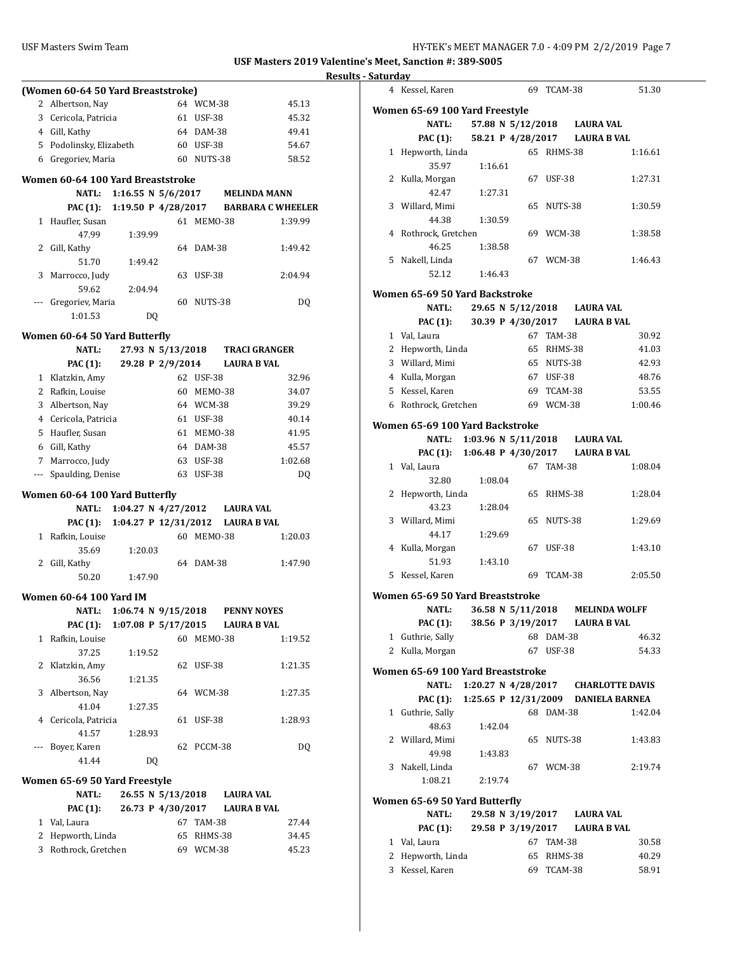|              | (Women 60-64 50 Yard Breaststroke) |                      |    |    |               |                                  |                          |
|--------------|------------------------------------|----------------------|----|----|---------------|----------------------------------|--------------------------|
|              | 2 Albertson, Nay                   |                      |    |    | 64 WCM-38     |                                  | 45.13                    |
|              | 3 Cericola, Patricia               |                      |    |    | 61 USF-38     |                                  | 45.32                    |
|              | 4 Gill, Kathy                      |                      |    |    | 64 DAM-38     |                                  | 49.41                    |
|              | 5 Podolinsky, Elizabeth            |                      |    |    | 60 USF-38     |                                  | 54.67                    |
|              | 6 Gregoriev, Maria                 |                      |    |    | 60 NUTS-38    |                                  | 58.52                    |
|              |                                    |                      |    |    |               |                                  |                          |
|              | Women 60-64 100 Yard Breaststroke  |                      |    |    |               |                                  |                          |
|              | NATL:                              | 1:16.55 N $5/6/2017$ |    |    |               | <b>MELINDA MANN</b>              |                          |
|              | PAC (1):                           | 1:19.50 P 4/28/2017  |    |    |               |                                  | <b>BARBARA C WHEELER</b> |
|              | 1 Haufler, Susan                   |                      |    |    | 61 MEMO-38    |                                  | 1:39.99                  |
|              | 47.99                              | 1:39.99              |    |    |               |                                  |                          |
|              | 2 Gill, Kathy                      |                      |    |    | 64 DAM-38     |                                  | 1:49.42                  |
|              | 51.70                              | 1:49.42              |    |    |               |                                  |                          |
|              | 3 Marrocco, Judy                   |                      |    |    | 63 USF-38     |                                  | 2:04.94                  |
|              | 59.62                              | 2:04.94              |    |    |               |                                  |                          |
| ---          | Gregoriev, Maria                   |                      |    |    | 60 NUTS-38    |                                  | DQ                       |
|              | 1:01.53                            |                      | DQ |    |               |                                  |                          |
|              |                                    |                      |    |    |               |                                  |                          |
|              | Women 60-64 50 Yard Butterfly      |                      |    |    |               |                                  |                          |
|              | <b>NATL:</b>                       | 27.93 N 5/13/2018    |    |    |               | <b>TRACI GRANGER</b>             |                          |
|              | <b>PAC (1):</b>                    | 29.28 P 2/9/2014     |    |    |               | <b>LAURA B VAL</b>               |                          |
|              | 1 Klatzkin, Amy                    |                      |    |    | 62 USF-38     |                                  | 32.96                    |
|              | 2 Rafkin, Louise                   |                      |    |    | 60 MEMO-38    |                                  | 34.07                    |
|              | 3 Albertson, Nay                   |                      |    |    | 64 WCM-38     |                                  | 39.29                    |
|              | 4 Cericola, Patricia               |                      |    |    | 61 USF-38     |                                  | 40.14                    |
|              | 5 Haufler, Susan                   |                      |    |    | 61 MEMO-38    |                                  | 41.95                    |
|              | 6 Gill, Kathy                      |                      |    |    | 64 DAM-38     |                                  | 45.57                    |
|              | 7 Marrocco, Judy                   |                      |    |    | 63 USF-38     |                                  | 1:02.68                  |
|              | --- Spaulding, Denise              |                      |    |    | 63 USF-38     |                                  | DQ                       |
|              | Women 60-64 100 Yard Butterfly     |                      |    |    |               |                                  |                          |
|              | NATL:                              |                      |    |    |               | 1:04.27 N 4/27/2012 LAURA VAL    |                          |
|              | <b>PAC (1):</b>                    |                      |    |    |               | 1:04.27 P 12/31/2012 LAURA B VAL |                          |
|              | 1 Rafkin, Louise                   |                      |    |    | 60 MEMO-38    |                                  | 1:20.03                  |
|              | 35.69                              | 1:20.03              |    |    |               |                                  |                          |
|              | 2 Gill, Kathy                      |                      |    |    | 64 DAM-38     |                                  | 1:47.90                  |
|              | 50.20                              | 1:47.90              |    |    |               |                                  |                          |
|              |                                    |                      |    |    |               |                                  |                          |
|              | <b>Women 60-64 100 Yard IM</b>     |                      |    |    |               |                                  |                          |
|              | NATL:                              |                      |    |    |               | 1:06.74 N 9/15/2018 PENNY NOYES  |                          |
|              | PAC (1):                           | 1:07.08 P 5/17/2015  |    |    |               | <b>LAURA B VAL</b>               |                          |
| $\mathbf{1}$ | Rafkin, Louise                     |                      |    | 60 | MEMO-38       |                                  | 1:19.52                  |
|              | 37.25                              | 1:19.52              |    |    |               |                                  |                          |
|              | 2 Klatzkin, Amy                    |                      |    | 62 | <b>USF-38</b> |                                  | 1:21.35                  |
|              | 36.56                              | 1:21.35              |    |    |               |                                  |                          |
|              | 3 Albertson, Nay                   |                      |    |    | 64 WCM-38     |                                  | 1:27.35                  |
|              | 41.04                              | 1:27.35              |    |    |               |                                  |                          |
|              | 4 Cericola, Patricia               |                      |    | 61 | <b>USF-38</b> |                                  | 1:28.93                  |
|              | 41.57                              | 1:28.93              |    |    |               |                                  |                          |
| ---          | Boyer, Karen                       |                      |    | 62 | PCCM-38       |                                  | DQ                       |
|              | 41.44                              |                      | DQ |    |               |                                  |                          |
|              | Women 65-69 50 Yard Freestyle      |                      |    |    |               |                                  |                          |
|              | <b>NATL:</b>                       | 26.55 N 5/13/2018    |    |    |               | <b>LAURA VAL</b>                 |                          |
|              | <b>PAC</b> (1):                    | 26.73 P 4/30/2017    |    |    |               | <b>LAURA B VAL</b>               |                          |
|              | 1 Val, Laura                       |                      |    |    | 67 TAM-38     |                                  | 27.44                    |
|              | 2 Hepworth, Linda                  |                      |    |    | 65 RHMS-38    |                                  | 34.45                    |
|              | 3 Rothrock, Gretchen               |                      |    |    | 69 WCM-38     |                                  | 45.23                    |
|              |                                    |                      |    |    |               |                                  |                          |

| <b>Results - Saturday</b> |                                          |                               |                             |            |                                       |
|---------------------------|------------------------------------------|-------------------------------|-----------------------------|------------|---------------------------------------|
|                           | 4 Kessel, Karen                          |                               |                             | 69 TCAM-38 | 51.30                                 |
|                           |                                          |                               |                             |            |                                       |
|                           | Women 65-69 100 Yard Freestyle           |                               |                             |            |                                       |
|                           | <b>NATL:</b>                             |                               | 57.88 N 5/12/2018 LAURA VAL |            |                                       |
|                           | <b>PAC (1):</b>                          |                               |                             |            | 58.21 P 4/28/2017 LAURA B VAL         |
|                           | 1 Hepworth, Linda                        |                               |                             | 65 RHMS-38 | 1:16.61                               |
|                           | 35.97                                    | 1:16.61                       |                             |            |                                       |
|                           | 2 Kulla, Morgan                          |                               |                             | 67 USF-38  | 1:27.31                               |
|                           | 42.47                                    | 1:27.31                       |                             |            |                                       |
|                           | 3 Willard, Mimi                          |                               |                             | 65 NUTS-38 | 1:30.59                               |
|                           | 44.38                                    | 1:30.59                       |                             |            |                                       |
|                           | 4 Rothrock, Gretchen                     |                               |                             | 69 WCM-38  | 1:38.58                               |
|                           | 46.25                                    | 1:38.58                       |                             |            |                                       |
|                           | 5 Nakell, Linda                          |                               |                             | 67 WCM-38  | 1:46.43                               |
|                           | 52.12                                    | 1:46.43                       |                             |            |                                       |
|                           | Women 65-69 50 Yard Backstroke           |                               |                             |            |                                       |
|                           | <b>NATL:</b>                             |                               | 29.65 N 5/12/2018 LAURA VAL |            |                                       |
|                           | <b>PAC (1):</b>                          |                               |                             |            | 30.39 P 4/30/2017 LAURA B VAL         |
|                           | 1 Val, Laura                             |                               |                             | 67 TAM-38  | 30.92                                 |
|                           | 2 Hepworth, Linda                        |                               |                             | 65 RHMS-38 | 41.03                                 |
|                           | 3 Willard, Mimi                          |                               |                             | 65 NUTS-38 | 42.93                                 |
|                           |                                          |                               |                             |            |                                       |
|                           | 4 Kulla, Morgan                          |                               |                             | 67 USF-38  | 48.76                                 |
|                           | 5 Kessel, Karen                          |                               |                             | 69 TCAM-38 | 53.55                                 |
|                           | 6 Rothrock, Gretchen                     |                               |                             | 69 WCM-38  | 1:00.46                               |
|                           | Women 65-69 100 Yard Backstroke          |                               |                             |            |                                       |
|                           | <b>NATL:</b>                             | 1:03.96 N 5/11/2018 LAURA VAL |                             |            |                                       |
|                           | PAC (1): 1:06.48 P 4/30/2017 LAURA B VAL |                               |                             |            |                                       |
|                           | 1 Val, Laura                             |                               |                             | 67 TAM-38  | 1:08.04                               |
|                           | 32.80                                    | 1:08.04                       |                             |            |                                       |
|                           | 2 Hepworth, Linda                        |                               |                             | 65 RHMS-38 | 1:28.04                               |
|                           | 43.23                                    | 1:28.04                       |                             |            |                                       |
|                           | 3 Willard, Mimi                          |                               |                             | 65 NUTS-38 | 1:29.69                               |
|                           | 44.17                                    | 1:29.69                       |                             |            |                                       |
|                           | 4 Kulla, Morgan                          |                               |                             | 67 USF-38  | 1:43.10                               |
|                           | 51.93                                    | 1:43.10                       |                             |            |                                       |
|                           | 5 Kessel, Karen                          |                               |                             | 69 TCAM-38 | 2:05.50                               |
|                           |                                          |                               |                             |            |                                       |
|                           | Women 65-69 50 Yard Breaststroke         |                               |                             |            |                                       |
|                           |                                          |                               |                             |            | NATL: 36.58 N 5/11/2018 MELINDA WOLFF |
|                           | <b>PAC (1):</b>                          |                               |                             |            | 38.56 P 3/19/2017 LAURA B VAL         |
|                           | 1 Guthrie, Sally                         |                               |                             | 68 DAM-38  | 46.32                                 |
|                           | 2 Kulla, Morgan                          |                               |                             | 67 USF-38  | 54.33                                 |
|                           | Women 65-69 100 Yard Breaststroke        |                               |                             |            |                                       |
|                           | <b>NATL:</b>                             |                               |                             |            | 1:20.27 N 4/28/2017 CHARLOTTE DAVIS   |
|                           | PAC (1):                                 |                               |                             |            | 1:25.65 P 12/31/2009 DANIELA BARNEA   |
|                           | 1 Guthrie, Sally                         |                               |                             | 68 DAM-38  | 1:42.04                               |
|                           | 48.63                                    | 1:42.04                       |                             |            |                                       |
|                           | 2 Willard, Mimi                          |                               |                             | 65 NUTS-38 | 1:43.83                               |
|                           | 49.98                                    | 1:43.83                       |                             |            |                                       |
|                           | 3 Nakell, Linda                          |                               |                             | 67 WCM-38  | 2:19.74                               |
|                           | 1:08.21                                  | 2:19.74                       |                             |            |                                       |
|                           |                                          |                               |                             |            |                                       |
|                           | Women 65-69 50 Yard Butterfly            |                               |                             |            |                                       |
|                           | <b>NATL:</b>                             |                               | 29.58 N 3/19/2017           |            | <b>LAURA VAL</b>                      |
|                           | <b>PAC (1):</b>                          |                               | 29.58 P 3/19/2017           |            | <b>LAURA B VAL</b>                    |
|                           | 1 Val, Laura                             |                               |                             | 67 TAM-38  | 30.58                                 |
|                           | 2 Hepworth, Linda                        |                               |                             | 65 RHMS-38 | 40.29                                 |
|                           | 3 Kessel, Karen                          |                               |                             | 69 TCAM-38 | 58.91                                 |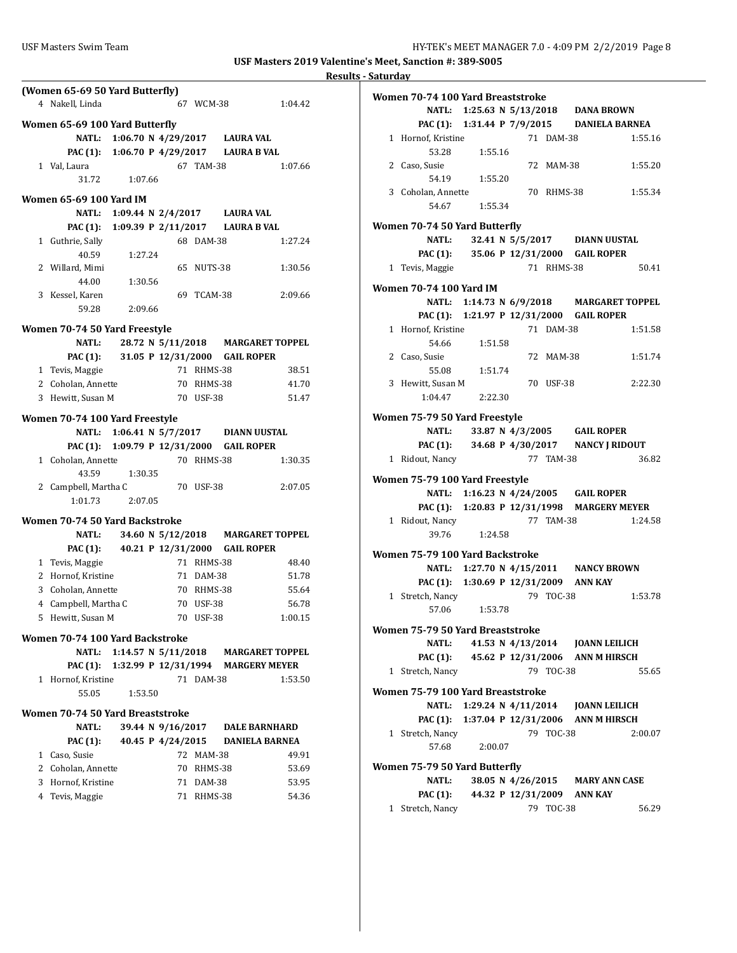|   | (Women 65-69 50 Yard Butterfly)          |                                       |                               |            |                                    |
|---|------------------------------------------|---------------------------------------|-------------------------------|------------|------------------------------------|
|   | 4 Nakell, Linda                          |                                       |                               | 67 WCM-38  | 1:04.42                            |
|   | Women 65-69 100 Yard Butterfly           |                                       |                               |            |                                    |
|   |                                          | NATL: 1:06.70 N 4/29/2017 LAURA VAL   |                               |            |                                    |
|   | PAC (1): 1:06.70 P 4/29/2017 LAURA B VAL |                                       |                               |            |                                    |
|   | 1 Val, Laura                             |                                       |                               | 67 TAM-38  | 1:07.66                            |
|   | 31.72                                    | 1:07.66                               |                               |            |                                    |
|   | Women 65-69 100 Yard IM                  |                                       |                               |            |                                    |
|   |                                          | NATL: 1:09.44 N 2/4/2017 LAURA VAL    |                               |            |                                    |
|   | PAC (1): 1:09.39 P 2/11/2017 LAURA B VAL |                                       |                               |            |                                    |
|   | 1 Guthrie, Sally                         |                                       |                               | 68 DAM-38  | 1:27.24                            |
|   | 40.59                                    | 1:27.24                               |                               |            |                                    |
|   | 2 Willard, Mimi                          |                                       |                               | 65 NUTS-38 | 1:30.56                            |
|   | 44.00                                    | 1:30.56                               |                               |            |                                    |
|   | 3 Kessel, Karen                          |                                       |                               | 69 TCAM-38 | 2:09.66                            |
|   | 59.28                                    | 2:09.66                               |                               |            |                                    |
|   |                                          |                                       |                               |            |                                    |
|   | Women 70-74 50 Yard Freestyle            |                                       |                               |            |                                    |
|   | NATL:                                    |                                       |                               |            | 28.72 N 5/11/2018 MARGARET TOPPEL  |
|   | <b>PAC (1):</b>                          |                                       | 31.05 P 12/31/2000 GAIL ROPER |            |                                    |
|   | 1 Tevis, Maggie                          |                                       |                               | 71 RHMS-38 | 38.51                              |
|   | 2 Coholan, Annette                       |                                       |                               | 70 RHMS-38 | 41.70                              |
|   | 3 Hewitt, Susan M                        |                                       |                               | 70 USF-38  | 51.47                              |
|   | Women 70-74 100 Yard Freestyle           |                                       |                               |            |                                    |
|   |                                          | NATL: 1:06.41 N 5/7/2017 DIANN UUSTAL |                               |            |                                    |
|   | PAC (1): 1:09.79 P 12/31/2000 GAIL ROPER |                                       |                               |            |                                    |
|   | 1 Coholan, Annette                       |                                       |                               | 70 RHMS-38 | 1:30.35                            |
|   | 43.59                                    | 1:30.35                               |                               |            |                                    |
|   | 2 Campbell, Martha C                     |                                       |                               | 70 USF-38  | 2:07.05                            |
|   | 1:01.73                                  | 2:07.05                               |                               |            |                                    |
|   | Women 70-74 50 Yard Backstroke           |                                       |                               |            |                                    |
|   | NATL:                                    |                                       |                               |            | 34.60 N 5/12/2018 MARGARET TOPPEL  |
|   | PAC (1):                                 |                                       | 40.21 P 12/31/2000 GAIL ROPER |            |                                    |
|   | 1 Tevis, Maggie                          |                                       |                               | 71 RHMS-38 | 48.40                              |
|   | 2 Hornof, Kristine                       |                                       |                               | 71 DAM-38  | 51.78                              |
|   | 3 Coholan, Annette                       |                                       |                               | 70 RHMS-38 | 55.64                              |
|   | 4 Campbell, Martha C                     |                                       |                               | 70 USF-38  | 56.78                              |
|   | 5 Hewitt, Susan M                        |                                       |                               | 70 USF-38  | 1:00.15                            |
|   | Women 70-74 100 Yard Backstroke          |                                       |                               |            |                                    |
|   | <b>NATL:</b>                             |                                       | 1:14.57 N $5/11/2018$         |            | <b>MARGARET TOPPEL</b>             |
|   | <b>PAC (1):</b>                          |                                       |                               |            | 1:32.99 P 12/31/1994 MARGERY MEYER |
| 1 | Hornof, Kristine                         |                                       |                               | 71 DAM-38  | 1:53.50                            |
|   | 55.05                                    |                                       |                               |            |                                    |
|   |                                          | 1:53.50                               |                               |            |                                    |
|   | Women 70-74 50 Yard Breaststroke         |                                       |                               |            |                                    |
|   | <b>NATL:</b>                             |                                       | 39.44 N 9/16/2017             |            | <b>DALE BARNHARD</b>               |
|   | <b>PAC (1):</b>                          |                                       | 40.45 P 4/24/2015             |            | <b>DANIELA BARNEA</b>              |
|   | 1 Caso, Susie                            |                                       |                               | 72 MAM-38  | 49.91                              |
|   | 2 Coholan, Annette                       |                                       |                               | 70 RHMS-38 | 53.69                              |
|   | 3 Hornof, Kristine                       |                                       |                               | 71 DAM-38  | 53.95                              |
|   | 4 Tevis, Maggie                          |                                       |                               | 71 RHMS-38 | 54.36                              |
|   |                                          |                                       |                               |            |                                    |

| Women 70-74 100 Yard Breaststroke     |                    |  |            |                                                        |  |
|---------------------------------------|--------------------|--|------------|--------------------------------------------------------|--|
|                                       |                    |  |            | NATL: 1:25.63 N 5/13/2018 DANA BROWN                   |  |
|                                       |                    |  |            | PAC (1): 1:31.44 P 7/9/2015 DANIELA BARNEA             |  |
| 1 Hornof, Kristine                    |                    |  | 71 DAM-38  | 1:55.16                                                |  |
| 53.28                                 | 1:55.16            |  |            |                                                        |  |
| 2 Caso, Susie                         |                    |  | 72 MAM-38  | 1:55.20                                                |  |
| 54.19                                 | 1:55.20            |  |            |                                                        |  |
| 3 Coholan, Annette                    |                    |  | 70 RHMS-38 | 1:55.34                                                |  |
| 54.67                                 | 1:55.34            |  |            |                                                        |  |
| Women 70-74 50 Yard Butterfly         |                    |  |            |                                                        |  |
| NATL:                                 |                    |  |            | 32.41 N 5/5/2017 DIANN UUSTAL                          |  |
|                                       |                    |  |            | PAC (1): 35.06 P 12/31/2000 GAIL ROPER                 |  |
| 1 Tevis, Maggie                       |                    |  | 71 RHMS-38 | 50.41                                                  |  |
|                                       |                    |  |            |                                                        |  |
| <b>Women 70-74 100 Yard IM</b>        |                    |  |            |                                                        |  |
|                                       |                    |  |            | NATL: 1:14.73 N 6/9/2018 MARGARET TOPPEL               |  |
|                                       |                    |  |            | PAC (1): 1:21.97 P 12/31/2000 GAIL ROPER               |  |
| 1 Hornof, Kristine                    |                    |  | 71 DAM-38  | 1:51.58                                                |  |
| 54.66                                 | 1:51.58            |  |            |                                                        |  |
| 2 Caso, Susie                         |                    |  | 72 MAM-38  | 1:51.74                                                |  |
| 55.08                                 | 1:51.74            |  |            |                                                        |  |
| 3 Hewitt, Susan M                     |                    |  | 70 USF-38  | 2:22.30                                                |  |
| 1:04.47                               | 2:22.30            |  |            |                                                        |  |
| Women 75-79 50 Yard Freestyle         |                    |  |            |                                                        |  |
|                                       |                    |  |            | NATL: 33.87 N 4/3/2005 GAIL ROPER                      |  |
|                                       |                    |  |            | PAC (1): 34.68 P 4/30/2017 NANCY J RIDOUT              |  |
| 1 Ridout, Nancy                       |                    |  | 77 TAM-38  | 36.82                                                  |  |
|                                       |                    |  |            |                                                        |  |
| Women 75-79 100 Yard Freestyle        |                    |  |            |                                                        |  |
|                                       |                    |  |            | NATL: 1:16.23 N 4/24/2005 GAIL ROPER                   |  |
| 1 Ridout, Nancy                       |                    |  | 77 TAM-38  | PAC (1): 1:20.83 P 12/31/1998 MARGERY MEYER<br>1:24.58 |  |
|                                       | 39.76 1:24.58      |  |            |                                                        |  |
|                                       |                    |  |            |                                                        |  |
| Women 75-79 100 Yard Backstroke       |                    |  |            |                                                        |  |
|                                       |                    |  |            | NATL: 1:27.70 N 4/15/2011 NANCY BROWN                  |  |
| PAC (1): 1:30.69 P 12/31/2009 ANN KAY |                    |  |            |                                                        |  |
| 1 Stretch, Nancy                      |                    |  | 79 TOC-38  | 1:53.78                                                |  |
| 57.06                                 | 1:53.78            |  |            |                                                        |  |
| Women 75-79 50 Yard Breaststroke      |                    |  |            |                                                        |  |
| NATL:                                 |                    |  |            | 41.53 N 4/13/2014 JOANN LEILICH                        |  |
| <b>PAC (1):</b>                       |                    |  |            | 45.62 P 12/31/2006 ANN M HIRSCH                        |  |
| 1 Stretch, Nancy                      |                    |  | 79 TOC-38  | 55.65                                                  |  |
|                                       |                    |  |            |                                                        |  |
| Women 75-79 100 Yard Breaststroke     |                    |  |            |                                                        |  |
| <b>NATL:</b>                          |                    |  |            |                                                        |  |
| <b>PAC (1):</b>                       |                    |  |            | 1:37.04 P 12/31/2006 ANN M HIRSCH                      |  |
| 1 Stretch, Nancy                      |                    |  | 79 TOC-38  | 2:00.07                                                |  |
| 57.68                                 | 2:00.07            |  |            |                                                        |  |
| Women 75-79 50 Yard Butterfly         |                    |  |            |                                                        |  |
| <b>NATL:</b>                          | 38.05 N 4/26/2015  |  |            | <b>MARY ANN CASE</b>                                   |  |
| <b>PAC</b> (1):                       | 44.32 P 12/31/2009 |  |            | <b>ANN KAY</b>                                         |  |
| 1 Stretch, Nancy                      |                    |  | 79 TOC-38  | 56.29                                                  |  |
|                                       |                    |  |            |                                                        |  |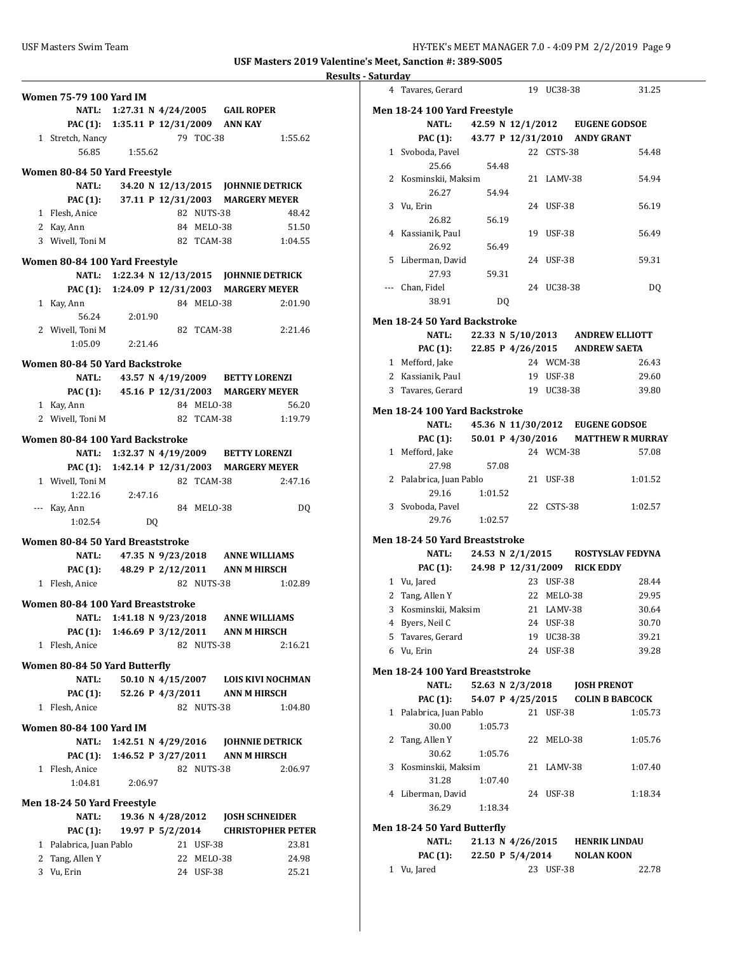|                                               |                           |    |  |            |                                             | Re                       |
|-----------------------------------------------|---------------------------|----|--|------------|---------------------------------------------|--------------------------|
| <b>Women 75-79 100 Yard IM</b>                |                           |    |  |            |                                             |                          |
|                                               |                           |    |  |            | NATL: 1:27.31 N 4/24/2005 GAIL ROPER        |                          |
|                                               |                           |    |  |            | PAC (1): 1:35.11 P 12/31/2009 ANN KAY       |                          |
| 1 Stretch, Nancy                              |                           |    |  | 79 TOC-38  |                                             | 1:55.62                  |
| 56.85                                         | 1:55.62                   |    |  |            |                                             |                          |
|                                               |                           |    |  |            |                                             |                          |
| Women 80-84 50 Yard Freestyle<br><b>NATL:</b> |                           |    |  |            | 34.20 N 12/13/2015 JOHNNIE DETRICK          |                          |
| PAC (1):                                      |                           |    |  |            | 37.11 P 12/31/2003 MARGERY MEYER            |                          |
|                                               |                           |    |  | 82 NUTS-38 |                                             | 48.42                    |
| 1 Flesh, Anice                                |                           |    |  | 84 MELO-38 |                                             | 51.50                    |
| 2 Kay, Ann<br>3 Wivell, Toni M                |                           |    |  |            | 82 TCAM-38 1:04.55                          |                          |
|                                               |                           |    |  |            |                                             |                          |
| Women 80-84 100 Yard Freestyle                |                           |    |  |            |                                             |                          |
|                                               |                           |    |  |            | NATL: 1:22.34 N 12/13/2015 JOHNNIE DETRICK  |                          |
|                                               |                           |    |  |            | PAC (1): 1:24.09 P 12/31/2003 MARGERY MEYER |                          |
| 1 Kay, Ann                                    |                           |    |  | 84 MELO-38 |                                             | 2:01.90                  |
| 56.24                                         | 2:01.90                   |    |  |            |                                             |                          |
| 2 Wivell. Toni M                              |                           |    |  | 82 TCAM-38 |                                             | 2:21.46                  |
| 1:05.09                                       | 2:21.46                   |    |  |            |                                             |                          |
| Women 80-84 50 Yard Backstroke                |                           |    |  |            |                                             |                          |
| NATL:                                         |                           |    |  |            | 43.57 N 4/19/2009 BETTY LORENZI             |                          |
|                                               |                           |    |  |            | PAC (1): 45.16 P 12/31/2003 MARGERY MEYER   |                          |
| 1 Kay, Ann                                    |                           |    |  | 84 MELO-38 |                                             | 56.20                    |
| 2 Wivell. Toni M                              |                           |    |  | 82 TCAM-38 |                                             | 1:19.79                  |
|                                               |                           |    |  |            |                                             |                          |
| Women 80-84 100 Yard Backstroke               |                           |    |  |            |                                             |                          |
|                                               |                           |    |  |            | NATL: 1:32.37 N 4/19/2009 BETTY LORENZI     |                          |
|                                               |                           |    |  |            | PAC (1): 1:42.14 P 12/31/2003 MARGERY MEYER |                          |
| 1 Wivell, Toni M                              |                           |    |  | 82 TCAM-38 |                                             | 2:47.16                  |
| 1:22.16<br>--- Kay, Ann                       | 2:47.16                   |    |  | 84 MELO-38 |                                             |                          |
| 1:02.54                                       |                           | DQ |  |            |                                             | DQ                       |
|                                               |                           |    |  |            |                                             |                          |
| Women 80-84 50 Yard Breaststroke              |                           |    |  |            |                                             |                          |
| NATL:                                         |                           |    |  |            | 47.35 N 9/23/2018 ANNE WILLIAMS             |                          |
|                                               |                           |    |  |            | PAC (1): 48.29 P 2/12/2011 ANN M HIRSCH     |                          |
| 1 Flesh, Anice                                |                           |    |  | 82 NUTS-38 |                                             | 1:02.89                  |
| Women 80-84 100 Yard Breaststroke             |                           |    |  |            |                                             |                          |
| NATL:                                         | 1:41.18 N 9/23/2018       |    |  |            | <b>ANNE WILLIAMS</b>                        |                          |
|                                               |                           |    |  |            | PAC (1): 1:46.69 P 3/12/2011 ANN M HIRSCH   |                          |
| 1 Flesh, Anice                                |                           |    |  | 82 NUTS-38 |                                             | 2:16.21                  |
|                                               |                           |    |  |            |                                             |                          |
| Women 80-84 50 Yard Butterfly                 |                           |    |  |            |                                             |                          |
| <b>NATL:</b>                                  |                           |    |  |            | 50.10 N 4/15/2007 LOIS KIVI NOCHMAN         |                          |
| PAC (1):                                      |                           |    |  |            | 52.26 P 4/3/2011 ANN M HIRSCH               |                          |
| 1 Flesh, Anice                                |                           |    |  | 82 NUTS-38 |                                             | 1:04.80                  |
| <b>Women 80-84 100 Yard IM</b>                |                           |    |  |            |                                             |                          |
|                                               | NATL: 1:42.51 N 4/29/2016 |    |  |            | <b>JOHNNIE DETRICK</b>                      |                          |
| PAC (1): 1:46.52 P 3/27/2011                  |                           |    |  |            | ANN M HIRSCH                                |                          |
| 1 Flesh, Anice                                |                           |    |  | 82 NUTS-38 |                                             | 2:06.97                  |
| 1:04.81                                       | 2:06.97                   |    |  |            |                                             |                          |
| Men 18-24 50 Yard Freestyle                   |                           |    |  |            |                                             |                          |
| <b>NATL:</b>                                  | 19.36 N 4/28/2012         |    |  |            | <b>JOSH SCHNEIDER</b>                       |                          |
| PAC (1):                                      | 19.97 P 5/2/2014          |    |  |            |                                             | <b>CHRISTOPHER PETER</b> |
| 1 Palabrica, Juan Pablo                       |                           |    |  | 21 USF-38  |                                             | 23.81                    |
| 2 Tang, Allen Y                               |                           |    |  | 22 MELO-38 |                                             | 24.98                    |
| 3 Vu, Erin                                    |                           |    |  | 24 USF-38  |                                             | 25.21                    |
|                                               |                           |    |  |            |                                             |                          |

|              | 4 Tavares, Gerard                       |         |       | 19 UC38-38 | 31.25                                 |
|--------------|-----------------------------------------|---------|-------|------------|---------------------------------------|
|              | Men 18-24 100 Yard Freestyle            |         |       |            |                                       |
|              |                                         |         |       |            | NATL: 42.59 N 12/1/2012 EUGENE GODSOE |
|              | PAC (1): 43.77 P 12/31/2010 ANDY GRANT  |         |       |            |                                       |
|              | 1 Svoboda, Pavel                        |         |       | 22 CSTS-38 | 54.48                                 |
|              | 25.66                                   |         | 54.48 |            |                                       |
|              | 2 Kosminskii, Maksim                    |         |       | 21 LAMV-38 | 54.94                                 |
|              | 26.27                                   |         | 54.94 |            |                                       |
|              | 3 Vu, Erin                              |         |       | 24 USF-38  | 56.19                                 |
|              | 26.82                                   |         | 56.19 |            |                                       |
|              | 4 Kassianik, Paul                       |         |       | 19 USF-38  | 56.49                                 |
|              | 26.92                                   |         | 56.49 |            |                                       |
|              | 5 Liberman, David                       |         |       | 24 USF-38  | 59.31                                 |
|              | 27.93                                   |         | 59.31 |            |                                       |
|              | --- Chan, Fidel                         |         |       | 24 UC38-38 | DQ                                    |
|              | 38.91                                   |         | DQ    |            |                                       |
|              | Men 18-24 50 Yard Backstroke            |         |       |            |                                       |
|              | NATL:                                   |         |       |            | 22.33 N 5/10/2013 ANDREW ELLIOTT      |
|              | PAC (1): 22.85 P 4/26/2015 ANDREW SAETA |         |       |            |                                       |
|              | 1 Mefford, Jake                         |         |       | 24 WCM-38  | 26.43                                 |
|              | 2 Kassianik, Paul                       |         |       | 19 USF-38  | 29.60                                 |
|              | 3 Tavares, Gerard                       |         |       | 19 UC38-38 | 39.80                                 |
|              |                                         |         |       |            |                                       |
|              | Men 18-24 100 Yard Backstroke           |         |       |            |                                       |
|              | NATL:                                   |         |       |            | 45.36 N 11/30/2012 EUGENE GODSOE      |
|              | <b>PAC (1):</b>                         |         |       |            | 50.01 P 4/30/2016 MATTHEW R MURRAY    |
|              | 1 Mefford, Jake<br>27.98                |         | 57.08 | 24 WCM-38  | 57.08                                 |
|              | 2 Palabrica, Juan Pablo                 |         |       | 21 USF-38  | 1:01.52                               |
|              | 29.16                                   | 1:01.52 |       |            |                                       |
|              | 3 Svoboda, Pavel                        |         |       | 22 CSTS-38 | 1:02.57                               |
|              | 29.76                                   | 1:02.57 |       |            |                                       |
|              | Men 18-24 50 Yard Breaststroke          |         |       |            |                                       |
|              | NATL:                                   |         |       |            | 24.53 N 2/1/2015 ROSTYSLAV FEDYNA     |
|              | PAC (1): 24.98 P 12/31/2009 RICK EDDY   |         |       |            |                                       |
|              | 1 Vu, Jared                             |         |       | 23 USF-38  | 28.44                                 |
|              | 2 Tang, Allen Y                         |         |       | 22 MELO-38 | 29.95                                 |
|              | 3 Kosminskii, Maksim                    |         |       | 21 LAMV-38 | 30.64                                 |
|              | 4 Byers, Neil C                         |         |       | 24 USF-38  | 30.70                                 |
|              | 5 Tavares, Gerard                       |         |       | 19 UC38-38 | 39.21                                 |
|              | 6 Vu, Erin                              |         |       | 24 USF-38  | 39.28                                 |
|              |                                         |         |       |            |                                       |
|              | Men 18-24 100 Yard Breaststroke         |         |       |            |                                       |
|              | <b>NATL:</b>                            |         |       |            | 52.63 N 2/3/2018 JOSH PRENOT          |
|              | <b>PAC (1):</b>                         |         |       |            | 54.07 P 4/25/2015 COLIN B BABCOCK     |
|              | 1 Palabrica, Juan Pablo                 |         |       | 21 USF-38  | 1:05.73                               |
|              | 30.00                                   | 1:05.73 |       |            |                                       |
| 2            | Tang, Allen Y                           |         |       | 22 MELO-38 | 1:05.76                               |
|              | 30.62                                   | 1:05.76 |       |            |                                       |
| 3            | Kosminskii, Maksim                      |         |       | 21 LAMV-38 | 1:07.40                               |
|              | 31.28                                   | 1:07.40 |       |            |                                       |
|              | 4 Liberman, David                       |         |       | 24 USF-38  | 1:18.34                               |
|              | 36.29                                   | 1:18.34 |       |            |                                       |
|              | Men 18-24 50 Yard Butterfly             |         |       |            |                                       |
|              | <b>NATL:</b>                            |         |       |            | 21.13 N 4/26/2015 HENRIK LINDAU       |
|              | PAC (1): 22.50 P 5/4/2014 NOLAN KOON    |         |       |            |                                       |
| $\mathbf{1}$ | Vu, Jared                               |         |       | 23 USF-38  | 22.78                                 |
|              |                                         |         |       |            |                                       |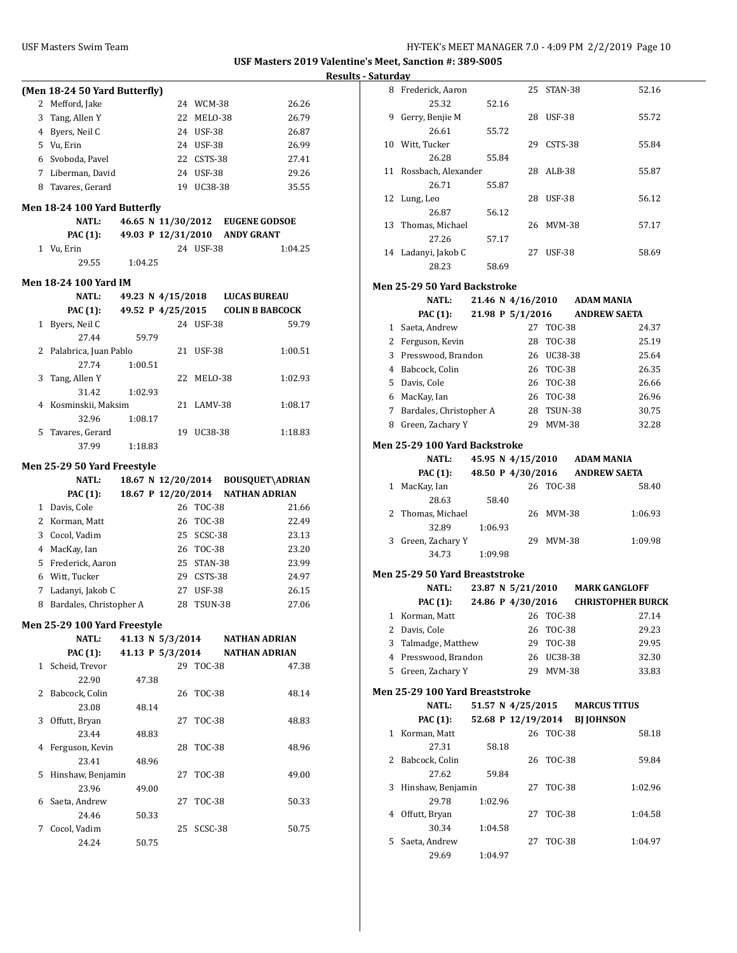|       | (Men 18-24 50 Yard Butterfly)                |         |       |                    |               |                                                       |  |
|-------|----------------------------------------------|---------|-------|--------------------|---------------|-------------------------------------------------------|--|
| 2     | Mefford, Jake                                |         |       |                    | 24 WCM-38     | 26.26                                                 |  |
|       | 3 Tang, Allen Y                              |         |       | 22                 | MELO-38       | 26.79                                                 |  |
|       | 4 Byers, Neil C                              |         |       |                    | 24 USF-38     | 26.87                                                 |  |
|       | 5 Vu, Erin                                   |         |       |                    | 24 USF-38     | 26.99                                                 |  |
|       | 6 Svoboda, Pavel                             |         |       |                    | 22 CSTS-38    | 27.41                                                 |  |
|       | 7 Liberman, David                            |         |       |                    | 24 USF-38     | 29.26                                                 |  |
|       | 8 Tavares, Gerard                            |         |       |                    | 19 UC38-38    | 35.55                                                 |  |
|       |                                              |         |       |                    |               |                                                       |  |
|       | Men 18-24 100 Yard Butterfly<br><b>NATL:</b> |         |       |                    |               |                                                       |  |
|       |                                              |         |       |                    |               | 46.65 N 11/30/2012 EUGENE GODSOE<br><b>ANDY GRANT</b> |  |
|       | <b>PAC</b> (1):<br>1 Vu, Erin                |         |       | 49.03 P 12/31/2010 | 24 USF-38     | 1:04.25                                               |  |
|       | 29.55                                        | 1:04.25 |       |                    |               |                                                       |  |
|       |                                              |         |       |                    |               |                                                       |  |
|       | Men 18-24 100 Yard IM                        |         |       |                    |               |                                                       |  |
|       | <b>NATL:</b>                                 |         |       | 49.23 N 4/15/2018  |               | <b>LUCAS BUREAU</b>                                   |  |
|       | <b>PAC (1):</b>                              |         |       | 49.52 P 4/25/2015  |               | <b>COLIN B BABCOCK</b>                                |  |
| $1\,$ | Byers, Neil C                                |         |       |                    | 24 USF-38     | 59.79                                                 |  |
|       | 27.44                                        |         | 59.79 |                    |               |                                                       |  |
| 2     | Palabrica, Juan Pablo                        |         |       | 21                 | <b>USF-38</b> | 1:00.51                                               |  |
|       | 27.74                                        | 1:00.51 |       |                    |               |                                                       |  |
| 3     | Tang, Allen Y                                |         |       | 22                 | MELO-38       | 1:02.93                                               |  |
|       | 31.42                                        | 1:02.93 |       |                    |               |                                                       |  |
| 4     | Kosminskii, Maksim                           |         |       | 21                 | LAMV-38       | 1:08.17                                               |  |
| 5     | 32.96<br>Tavares, Gerard                     | 1:08.17 |       |                    | 19 UC38-38    |                                                       |  |
|       | 37.99                                        | 1:18.83 |       |                    |               | 1:18.83                                               |  |
|       |                                              |         |       |                    |               |                                                       |  |
|       | Men 25-29 50 Yard Freestyle                  |         |       |                    |               |                                                       |  |
|       |                                              |         |       |                    |               |                                                       |  |
|       | <b>NATL:</b>                                 |         |       |                    |               | 18.67 N 12/20/2014 BOUSQUET\ADRIAN                    |  |
|       | PAC (1):                                     |         |       | 18.67 P 12/20/2014 |               | <b>NATHAN ADRIAN</b>                                  |  |
|       | 1 Davis, Cole                                |         |       |                    | 26 TOC-38     | 21.66                                                 |  |
|       | 2 Korman, Matt                               |         |       |                    | 26 TOC-38     | 22.49                                                 |  |
|       | 3 Cocol, Vadim                               |         |       |                    | 25 SCSC-38    | 23.13                                                 |  |
|       | 4 MacKay, Ian                                |         |       |                    | 26 TOC-38     | 23.20                                                 |  |
|       | 5 Frederick, Aaron                           |         |       |                    | 25 STAN-38    | 23.99                                                 |  |
|       | 6 Witt, Tucker                               |         |       |                    | 29 CSTS-38    | 24.97                                                 |  |
|       | 7 Ladanyi, Jakob C                           |         |       |                    | 27 USF-38     | 26.15                                                 |  |
|       | 8 Bardales, Christopher A                    |         |       | 28                 | TSUN-38       | 27.06                                                 |  |
|       | Men 25-29 100 Yard Freestyle                 |         |       |                    |               |                                                       |  |
|       | NATL:                                        |         |       | 41.13 N 5/3/2014   |               | <b>NATHAN ADRIAN</b>                                  |  |
|       | <b>PAC</b> (1):                              |         |       |                    |               | 41.13 P 5/3/2014 NATHAN ADRIAN                        |  |
| 1     | Scheid, Trevor                               |         |       |                    | 29 TOC-38     | 47.38                                                 |  |
|       | 22.90                                        |         | 47.38 |                    |               |                                                       |  |
| 2     | Babcock, Colin                               |         |       | 26                 | TOC-38        | 48.14                                                 |  |
|       | 23.08                                        |         | 48.14 |                    |               |                                                       |  |
| 3     | Offutt, Bryan                                |         |       | 27                 | TOC-38        | 48.83                                                 |  |
|       | 23.44                                        |         | 48.83 |                    |               |                                                       |  |
| 4     | Ferguson, Kevin                              |         |       | 28                 | <b>TOC-38</b> | 48.96                                                 |  |
|       | 23.41                                        |         | 48.96 |                    |               |                                                       |  |
| 5     | Hinshaw, Benjamin                            |         |       | 27                 | <b>TOC-38</b> | 49.00                                                 |  |
|       | 23.96                                        |         | 49.00 |                    |               |                                                       |  |
| 6     | Saeta, Andrew                                |         |       | 27                 | TOC-38        | 50.33                                                 |  |
|       | 24.46                                        |         | 50.33 |                    |               |                                                       |  |
| 7     | Cocol, Vadim<br>24.24                        |         | 50.75 | 25                 | SCSC-38       | 50.75                                                 |  |

| 8            | Frederick, Aaron                |         | 25                 | STAN-38       | 52.16                    |
|--------------|---------------------------------|---------|--------------------|---------------|--------------------------|
|              | 25.32                           | 52.16   |                    |               |                          |
| 9            | Gerry, Benjie M                 |         |                    | 28 USF-38     | 55.72                    |
|              | 26.61                           | 55.72   |                    |               |                          |
| 10           | Witt, Tucker                    |         | 29                 | CSTS-38       | 55.84                    |
|              | 26.28                           | 55.84   |                    |               |                          |
|              |                                 |         |                    |               |                          |
| 11           | Rossbach, Alexander             |         |                    | 28 ALB-38     | 55.87                    |
|              | 26.71                           | 55.87   |                    |               |                          |
| 12           | Lung, Leo                       |         |                    | 28 USF-38     | 56.12                    |
|              | 26.87                           | 56.12   |                    |               |                          |
| 13           | Thomas, Michael                 |         |                    | 26 MVM-38     | 57.17                    |
|              | 27.26                           | 57.17   |                    |               |                          |
| 14           | Ladanyi, Jakob C                |         |                    | 27 USF-38     | 58.69                    |
|              | 28.23                           | 58.69   |                    |               |                          |
|              |                                 |         |                    |               |                          |
|              | Men 25-29 50 Yard Backstroke    |         |                    |               |                          |
|              | <b>NATL:</b>                    |         | 21.46 N 4/16/2010  |               | ADAM MANIA               |
|              | <b>PAC (1):</b>                 |         | 21.98 P 5/1/2016   |               | <b>ANDREW SAETA</b>      |
|              | 1 Saeta, Andrew                 |         |                    | 27 TOC-38     | 24.37                    |
|              | 2 Ferguson, Kevin               |         | 28                 | <b>TOC-38</b> | 25.19                    |
|              | 3 Presswood, Brandon            |         |                    | 26 UC38-38    | 25.64                    |
|              | 4 Babcock, Colin                |         |                    | 26 TOC-38     | 26.35                    |
|              | 5 Davis, Cole                   |         |                    | 26 TOC-38     | 26.66                    |
|              | 6 MacKay, Ian                   |         |                    | 26 TOC-38     | 26.96                    |
|              | 7 Bardales, Christopher A       |         |                    | 28 TSUN-38    | 30.75                    |
|              |                                 |         |                    |               |                          |
|              | 8 Green, Zachary Y              |         |                    | 29 MVM-38     | 32.28                    |
|              | Men 25-29 100 Yard Backstroke   |         |                    |               |                          |
|              | <b>NATL:</b>                    |         | 45.95 N 4/15/2010  |               | <b>ADAM MANIA</b>        |
|              | <b>PAC (1):</b>                 |         | 48.50 P 4/30/2016  |               | <b>ANDREW SAETA</b>      |
|              | 1 MacKay, Ian                   |         |                    | 26 TOC-38     | 58.40                    |
|              | 28.63                           | 58.40   |                    |               |                          |
| 2            | Thomas, Michael                 |         |                    | 26 MVM-38     | 1:06.93                  |
|              | 32.89                           | 1:06.93 |                    |               |                          |
| 3            | Green, Zachary Y                |         |                    | 29 MVM-38     | 1:09.98                  |
|              | 34.73                           | 1:09.98 |                    |               |                          |
|              |                                 |         |                    |               |                          |
|              | Men 25-29 50 Yard Breaststroke  |         |                    |               |                          |
|              | <b>NATL:</b>                    |         | 23.87 N 5/21/2010  |               | <b>MARK GANGLOFF</b>     |
|              | <b>PAC (1):</b>                 |         | 24.86 P 4/30/2016  |               | <b>CHRISTOPHER BURCK</b> |
|              | 1 Korman, Matt                  |         |                    | 26 TOC-38     | 27.14                    |
| 2            | Davis, Cole                     |         |                    | 26 TOC-38     | 29.23                    |
| 3            | Talmadge, Matthew               |         | 29                 | TOC-38        | 29.95                    |
| 4            | Presswood, Brandon              |         |                    | 26 UC38-38    | 32.30                    |
| 5            | Green, Zachary Y                |         |                    | 29 MVM-38     | 33.83                    |
|              |                                 |         |                    |               |                          |
|              | Men 25-29 100 Yard Breaststroke |         |                    |               |                          |
|              | <b>NATL:</b>                    |         | 51.57 N 4/25/2015  |               | <b>MARCUS TITUS</b>      |
|              | <b>PAC</b> (1):                 |         | 52.68 P 12/19/2014 |               | <b>BJ JOHNSON</b>        |
| $\mathbf{1}$ | Korman, Matt                    |         |                    | 26 TOC-38     | 58.18                    |
|              | 27.31                           | 58.18   |                    |               |                          |
| 2            | Babcock, Colin                  |         | 26                 | TOC-38        | 59.84                    |
|              | 27.62                           | 59.84   |                    |               |                          |
| 3            |                                 |         | 27                 |               |                          |
|              | Hinshaw, Benjamin               |         |                    | TOC-38        | 1:02.96                  |
|              | 29.78                           | 1:02.96 |                    |               |                          |
| 4            | Offutt, Bryan                   |         | 27                 | TOC-38        | 1:04.58                  |
|              | 30.34                           | 1:04.58 |                    |               |                          |
| 5            | Saeta, Andrew                   |         | 27                 | TOC-38        | 1:04.97                  |
|              | 29.69                           | 1:04.97 |                    |               |                          |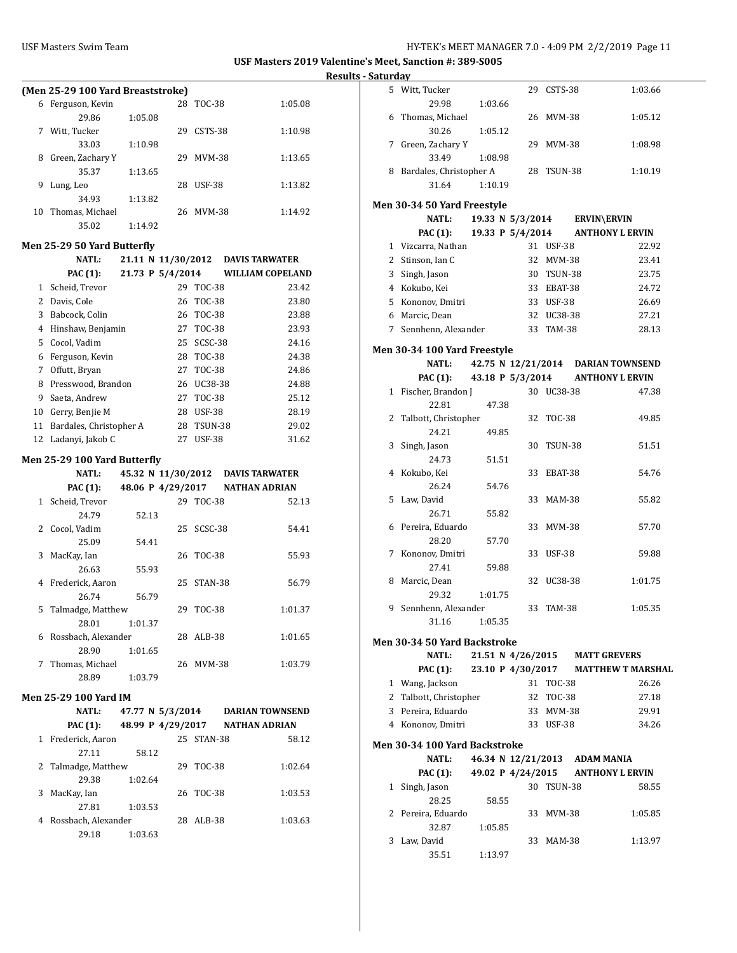÷,

|              | (Men 25-29 100 Yard Breaststroke)                |                    |    |               |                                 |
|--------------|--------------------------------------------------|--------------------|----|---------------|---------------------------------|
| 6            | Ferguson, Kevin                                  |                    | 28 | TOC-38        | 1:05.08                         |
|              | 29.86                                            | 1:05.08            |    |               |                                 |
| 7            | Witt, Tucker                                     |                    | 29 | CSTS-38       | 1:10.98                         |
|              | 33.03                                            | 1:10.98            |    |               |                                 |
| 8            | Green, Zachary Y                                 |                    | 29 | <b>MVM-38</b> | 1:13.65                         |
|              | 35.37                                            | 1:13.65            |    |               |                                 |
| 9            | Lung, Leo                                        |                    | 28 | <b>USF-38</b> | 1:13.82                         |
|              | 34.93                                            | 1:13.82            |    |               |                                 |
| 10           | Thomas, Michael                                  |                    | 26 | <b>MVM-38</b> | 1:14.92                         |
|              | 35.02                                            | 1:14.92            |    |               |                                 |
|              | Men 25-29 50 Yard Butterfly                      |                    |    |               |                                 |
|              | <b>NATL:</b>                                     | 21.11 N 11/30/2012 |    |               | <b>DAVIS TARWATER</b>           |
|              | PAC (1):                                         | 21.73 P 5/4/2014   |    |               | <b>WILLIAM COPELAND</b>         |
| $\mathbf{1}$ | Scheid, Trevor                                   |                    | 29 | <b>TOC-38</b> | 23.42                           |
|              | 2 Davis, Cole                                    |                    | 26 | <b>TOC-38</b> | 23.80                           |
|              | 3 Babcock, Colin                                 |                    | 26 | <b>TOC-38</b> | 23.88                           |
|              | 4 Hinshaw, Benjamin                              |                    |    | 27 TOC-38     | 23.93                           |
|              | 5 Cocol, Vadim                                   |                    | 25 | SCSC-38       | 24.16                           |
|              | 6 Ferguson, Kevin                                |                    |    | 28 TOC-38     | 24.38                           |
|              | 7 Offutt, Bryan                                  |                    |    | 27 TOC-38     | 24.86                           |
|              | 8 Presswood, Brandon                             |                    |    |               | 24.88                           |
|              |                                                  |                    |    | 26 UC38-38    |                                 |
|              | 9 Saeta, Andrew                                  |                    |    | 27 TOC-38     | 25.12                           |
|              | 10 Gerry, Benjie M<br>11 Bardales, Christopher A |                    |    | 28 USF-38     | 28.19                           |
| 12           |                                                  |                    | 27 | 28 TSUN-38    | 29.02                           |
|              | Ladanyi, Jakob C                                 |                    |    | <b>USF-38</b> | 31.62                           |
|              | Men 25-29 100 Yard Butterfly                     |                    |    |               |                                 |
|              |                                                  |                    |    |               |                                 |
|              | <b>NATL:</b>                                     | 45.32 N 11/30/2012 |    |               | <b>DAVIS TARWATER</b>           |
|              | PAC (1):                                         | 48.06 P 4/29/2017  |    |               | <b>NATHAN ADRIAN</b>            |
| 1            | Scheid, Trevor                                   |                    | 29 | <b>TOC-38</b> | 52.13                           |
|              | 24.79                                            | 52.13              |    |               |                                 |
| 2            | Cocol, Vadim                                     |                    | 25 | SCSC-38       | 54.41                           |
|              | 25.09                                            | 54.41              |    |               |                                 |
| 3            | MacKay, Ian                                      |                    | 26 | TOC-38        | 55.93                           |
|              | 26.63                                            | 55.93              |    |               |                                 |
| 4            | Frederick, Aaron                                 |                    | 25 | STAN-38       | 56.79                           |
|              | 26.74                                            | 56.79              |    |               |                                 |
| 5            | Talmadge, Matthew                                |                    | 29 | TOC-38        | 1:01.37                         |
|              | 28.01                                            | 1:01.37            |    |               |                                 |
|              | 6 Rossbach, Alexander                            |                    |    | 28 ALB-38     | 1:01.65                         |
|              | 28.90                                            | 1:01.65            |    |               |                                 |
| 7            | Thomas, Michael                                  |                    |    | 26 MVM-38     | 1:03.79                         |
|              | 28.89                                            | 1:03.79            |    |               |                                 |
|              | Men 25-29 100 Yard IM                            |                    |    |               |                                 |
|              | <b>NATL:</b>                                     | 47.77 N 5/3/2014   |    |               | <b>DARIAN TOWNSEND</b>          |
|              | <b>PAC (1):</b>                                  |                    |    |               | 48.99 P 4/29/2017 NATHAN ADRIAN |
|              | 1 Frederick, Aaron                               |                    |    | 25 STAN-38    | 58.12                           |
|              | 27.11                                            | 58.12              |    |               |                                 |
| 2            | Talmadge, Matthew                                |                    | 29 | <b>TOC-38</b> | 1:02.64                         |
|              | 29.38                                            | 1:02.64            |    |               |                                 |
| 3            | MacKay, Ian                                      |                    | 26 | TOC-38        | 1:03.53                         |
|              | 27.81                                            | 1:03.53            |    |               |                                 |
|              | 4 Rossbach, Alexander                            |                    |    | 28 ALB-38     | 1:03.63                         |

| aturday |                                             |                    |    |            |                                     |
|---------|---------------------------------------------|--------------------|----|------------|-------------------------------------|
|         | 5 Witt, Tucker                              |                    |    | 29 CSTS-38 | 1:03.66                             |
|         | 29.98                                       | 1:03.66            |    |            |                                     |
| 6       | Thomas, Michael                             |                    |    | 26 MVM-38  | 1:05.12                             |
|         | 30.26                                       | 1:05.12            |    |            |                                     |
|         | 7 Green, Zachary Y<br>33.49                 | 1:08.98            |    | 29 MVM-38  | 1:08.98                             |
|         | 8 Bardales, Christopher A                   |                    |    | 28 TSUN-38 | 1:10.19                             |
|         | 31.64                                       | 1:10.19            |    |            |                                     |
|         |                                             |                    |    |            |                                     |
|         | Men 30-34 50 Yard Freestyle<br><b>NATL:</b> | 19.33 N 5/3/2014   |    |            | <b>ERVIN\ERVIN</b>                  |
|         |                                             |                    |    |            |                                     |
|         | PAC (1):                                    | 19.33 P 5/4/2014   |    |            | <b>ANTHONY L ERVIN</b>              |
|         | 1 Vizcarra, Nathan                          |                    |    | 31 USF-38  | 22.92                               |
|         | 2 Stinson, Ian C                            |                    |    | 32 MVM-38  | 23.41                               |
| 3       | Singh, Jason                                |                    |    | 30 TSUN-38 | 23.75                               |
|         | 4 Kokubo, Kei                               |                    |    | 33 EBAT-38 | 24.72                               |
|         | 5 Kononov, Dmitri                           |                    |    | 33 USF-38  | 26.69                               |
|         | 6 Marcic, Dean                              |                    |    | 32 UC38-38 | 27.21                               |
|         | 7 Sennhenn, Alexander                       |                    |    | 33 TAM-38  | 28.13                               |
|         | Men 30-34 100 Yard Freestyle                |                    |    |            |                                     |
|         | <b>NATL:</b>                                |                    |    |            | 42.75 N 12/21/2014 DARIAN TOWNSEND  |
|         | PAC (1): 43.18 P $5/3/2014$                 |                    |    |            | <b>ANTHONY L ERVIN</b>              |
|         | 1 Fischer, Brandon J                        |                    |    | 30 UC38-38 | 47.38                               |
|         | 22.81                                       | 47.38              |    |            |                                     |
| 2       | Talbott, Christopher                        |                    |    | 32 TOC-38  | 49.85                               |
|         | 24.21                                       | 49.85              |    |            |                                     |
| 3       | Singh, Jason                                |                    |    | 30 TSUN-38 | 51.51                               |
|         | 24.73                                       | 51.51              |    |            |                                     |
| 4       | Kokubo, Kei                                 |                    |    | 33 EBAT-38 | 54.76                               |
|         | 26.24                                       | 54.76              |    |            |                                     |
| 5       | Law, David                                  |                    |    | 33 MAM-38  | 55.82                               |
| 6       | 26.71<br>Pereira, Eduardo                   | 55.82              |    | 33 MVM-38  | 57.70                               |
|         | 28.20                                       | 57.70              |    |            |                                     |
|         | 7 Kononov, Dmitri                           |                    | 33 | USF-38     | 59.88                               |
|         | 27.41                                       | 59.88              |    |            |                                     |
| 8       | Marcic, Dean                                |                    |    | 32 UC38-38 | 1:01.75                             |
|         | 29.32                                       | 1:01.75            |    |            |                                     |
| 9       | Sennhenn, Alexander                         |                    |    | 33 TAM-38  | 1:05.35                             |
|         | 31.16                                       | 1:05.35            |    |            |                                     |
|         | Men 30-34 50 Yard Backstroke                |                    |    |            |                                     |
|         | <b>NATL:</b>                                | 21.51 N 4/26/2015  |    |            | <b>MATT GREVERS</b>                 |
|         | PAC (1):                                    |                    |    |            | 23.10 P 4/30/2017 MATTHEW T MARSHAL |
|         | 1 Wang, Jackson                             |                    |    | 31 TOC-38  | 26.26                               |
|         | 2 Talbott, Christopher                      |                    |    | 32 TOC-38  | 27.18                               |
|         | 3 Pereira, Eduardo                          |                    |    | 33 MVM-38  | 29.91                               |
|         | 4 Kononov, Dmitri                           |                    |    | 33 USF-38  | 34.26                               |
|         | Men 30-34 100 Yard Backstroke               |                    |    |            |                                     |
|         | <b>NATL:</b>                                | 46.34 N 12/21/2013 |    |            | <b>ADAM MANIA</b>                   |
|         |                                             |                    |    |            |                                     |
|         | <b>PAC (1):</b>                             | 49.02 P 4/24/2015  |    |            | <b>ANTHONY L ERVIN</b>              |
|         | 1 Singh, Jason<br>28.25                     |                    |    | 30 TSUN-38 | 58.55                               |
|         |                                             | 58.55              |    |            |                                     |
| 2       | Pereira, Eduardo                            |                    |    | 33 MVM-38  | 1:05.85                             |
| 3       | 32.87<br>Law, David                         | 1:05.85            |    | 33 MAM-38  | 1:13.97                             |
|         | 35.51                                       | 1:13.97            |    |            |                                     |
|         |                                             |                    |    |            |                                     |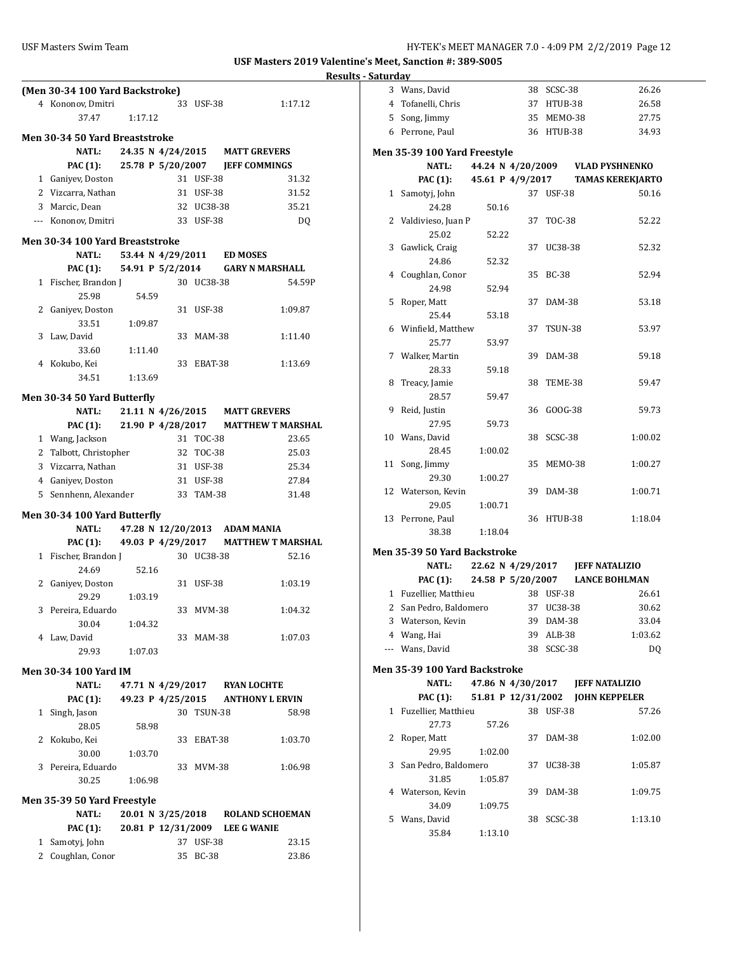|                |                                       |         |       |                                |               |                 | Rε                                |
|----------------|---------------------------------------|---------|-------|--------------------------------|---------------|-----------------|-----------------------------------|
|                | (Men 30-34 100 Yard Backstroke)       |         |       |                                |               |                 |                                   |
|                | 4 Kononov, Dmitri                     |         |       |                                | 33 USF-38     |                 | 1:17.12                           |
|                | 37.47                                 | 1:17.12 |       |                                |               |                 |                                   |
|                | <b>Men 30-34 50 Yard Breaststroke</b> |         |       |                                |               |                 |                                   |
|                | <b>NATL:</b>                          |         |       |                                |               |                 |                                   |
|                |                                       |         |       |                                |               |                 | 24.35 N 4/24/2015 MATT GREVERS    |
|                | <b>PAC (1):</b>                       |         |       |                                | 31 USF-38     |                 | 25.78 P 5/20/2007 JEFF COMMINGS   |
|                | 1 Ganiyev, Doston                     |         |       |                                |               |                 | 31.32                             |
|                | 2 Vizcarra, Nathan                    |         |       |                                | 31 USF-38     |                 | 31.52                             |
|                | 3 Marcic, Dean                        |         |       |                                | 32 UC38-38    |                 | 35.21                             |
|                | --- Kononov, Dmitri                   |         |       |                                | 33 USF-38     |                 | DQ                                |
|                | Men 30-34 100 Yard Breaststroke       |         |       |                                |               |                 |                                   |
|                | <b>NATL:</b>                          |         |       | 53.44 N 4/29/2011              |               | <b>ED MOSES</b> |                                   |
|                | <b>PAC (1):</b>                       |         |       | 54.91 P 5/2/2014               |               |                 | <b>GARY N MARSHALL</b>            |
|                | 1 Fischer, Brandon J                  |         |       |                                | 30 UC38-38    |                 | 54.59P                            |
|                | 25.98                                 |         | 54.59 |                                |               |                 |                                   |
| 2              | Ganiyev, Doston                       |         |       |                                | 31 USF-38     |                 | 1:09.87                           |
|                | 33.51                                 | 1:09.87 |       |                                |               |                 |                                   |
| 3              | Law. David                            |         |       |                                | 33 MAM-38     |                 | 1:11.40                           |
|                | 33.60                                 | 1:11.40 |       |                                |               |                 |                                   |
|                | 4 Kokubo, Kei                         |         |       |                                | 33 EBAT-38    |                 | 1:13.69                           |
|                | 34.51                                 | 1:13.69 |       |                                |               |                 |                                   |
|                | Men 30-34 50 Yard Butterfly           |         |       |                                |               |                 |                                   |
|                | <b>NATL:</b>                          |         |       | 21.11 N 4/26/2015              |               |                 | <b>MATT GREVERS</b>               |
|                | <b>PAC (1):</b>                       |         |       | 21.90 P 4/28/2017              |               |                 | <b>MATTHEW T MARSHAL</b>          |
|                | 1 Wang, Jackson                       |         |       |                                | 31 TOC-38     |                 | 23.65                             |
|                | 2 Talbott, Christopher                |         |       |                                | 32 TOC-38     |                 | 25.03                             |
|                | 3 Vizcarra, Nathan                    |         |       |                                | 31 USF-38     |                 | 25.34                             |
|                | 4 Ganiyev, Doston                     |         |       |                                | 31 USF-38     |                 | 27.84                             |
|                | 5 Sennhenn, Alexander                 |         |       |                                | 33 TAM-38     |                 | 31.48                             |
|                |                                       |         |       |                                |               |                 |                                   |
|                | Men 30-34 100 Yard Butterfly          |         |       |                                |               |                 |                                   |
|                | NATL:                                 |         |       | 47.28 N 12/20/2013             |               |                 | ADAM MANIA                        |
|                | PAC (1): 49.03 P 4/29/2017            |         |       |                                |               |                 | <b>MATTHEW T MARSHAL</b>          |
|                | 1 Fischer, Brandon J                  |         |       |                                | 30 UC38-38    |                 | 52.16                             |
| 2              | 24.69                                 |         | 52.16 | 31                             | <b>USF-38</b> |                 | 1:03.19                           |
|                | Ganiyev, Doston<br>29.29              | 1:03.19 |       |                                |               |                 |                                   |
|                | 3 Pereira, Eduardo                    |         |       |                                | 33 MVM-38     |                 | 1:04.32                           |
|                | 30.04                                 | 1:04.32 |       |                                |               |                 |                                   |
|                | 4 Law, David                          |         |       |                                | 33 MAM-38     |                 | 1:07.03                           |
|                | 29.93                                 | 1:07.03 |       |                                |               |                 |                                   |
|                |                                       |         |       |                                |               |                 |                                   |
|                | Men 30-34 100 Yard IM                 |         |       |                                |               |                 |                                   |
|                | <b>NATL:</b>                          |         |       | 47.71 N 4/29/2017              |               |                 | <b>RYAN LOCHTE</b>                |
|                | <b>PAC (1):</b>                       |         |       |                                |               |                 | 49.23 P 4/25/2015 ANTHONY L ERVIN |
| 1              | Singh, Jason                          |         |       |                                | 30 TSUN-38    |                 | 58.98                             |
|                | 28.05                                 |         | 58.98 |                                |               |                 |                                   |
| 2              | Kokubo, Kei                           |         |       |                                | 33 EBAT-38    |                 | 1:03.70                           |
|                | 30.00                                 | 1:03.70 |       |                                |               |                 |                                   |
|                | 3 Pereira, Eduardo                    |         |       |                                | 33 MVM-38     |                 | 1:06.98                           |
|                | 30.25                                 | 1:06.98 |       |                                |               |                 |                                   |
|                | Men 35-39 50 Yard Freestyle           |         |       |                                |               |                 |                                   |
|                | <b>NATL:</b>                          |         |       | 20.01 N 3/25/2018              |               |                 | <b>ROLAND SCHOEMAN</b>            |
|                | PAC (1):                              |         |       | 20.81 P 12/31/2009 LEE G WANIE |               |                 |                                   |
|                | 1 Samotyj, John                       |         |       |                                | 37 USF-38     |                 | 23.15                             |
| $\overline{2}$ | Coughlan, Conor                       |         |       | 35                             | <b>BC-38</b>  |                 | 23.86                             |

| aturday      |                               |         |                    |                |                                  |
|--------------|-------------------------------|---------|--------------------|----------------|----------------------------------|
|              | 3 Wans, David                 |         | 38                 | SCSC-38        | 26.26                            |
|              | 4 Tofanelli, Chris            |         | 37                 | HTUB-38        | 26.58                            |
|              | 5 Song, Jimmy                 |         | 35                 | MEMO-38        | 27.75                            |
|              | 6 Perrone, Paul               |         |                    | 36 HTUB-38     | 34.93                            |
|              |                               |         |                    |                |                                  |
|              | Men 35-39 100 Yard Freestyle  |         |                    |                |                                  |
|              | <b>NATL:</b>                  |         |                    |                | 44.24 N 4/20/2009 VLAD PYSHNENKO |
|              | <b>PAC (1):</b>               |         | 45.61 P 4/9/2017   |                | <b>TAMAS KEREKJARTO</b>          |
|              | 1 Samotyj, John               |         |                    | 37 USF-38      | 50.16                            |
|              | 24.28                         |         | 50.16              |                |                                  |
|              | 2 Valdivieso, Juan P          |         | 37                 | TOC-38         | 52.22                            |
|              | 25.02                         |         | 52.22              |                |                                  |
| 3            | Gawlick, Craig                |         | 37                 | UC38-38        | 52.32                            |
|              | 24.86                         |         | 52.32              |                |                                  |
| 4            | Coughlan, Conor               |         | 35                 | <b>BC-38</b>   | 52.94                            |
|              | 24.98                         |         | 52.94              |                |                                  |
| 5            | Roper, Matt                   |         | 37                 | DAM-38         | 53.18                            |
|              | 25.44                         |         | 53.18              |                |                                  |
|              | 6 Winfield, Matthew           |         | 37                 | <b>TSUN-38</b> | 53.97                            |
|              | 25.77                         |         | 53.97              |                |                                  |
|              | 7 Walker, Martin              |         | 39                 | <b>DAM-38</b>  | 59.18                            |
|              | 28.33                         |         | 59.18              |                |                                  |
| 8            | Treacy, Jamie                 |         | 38                 | TEME-38        | 59.47                            |
|              | 28.57                         |         | 59.47              |                |                                  |
| 9            | Reid, Justin                  |         | 36                 | GOOG-38        | 59.73                            |
|              | 27.95                         |         | 59.73              |                |                                  |
|              | 10 Wans, David                |         | 38                 | SCSC-38        | 1:00.02                          |
|              | 28.45                         | 1:00.02 |                    |                |                                  |
| 11           | Song, Jimmy                   |         | 35                 | MEMO-38        | 1:00.27                          |
|              | 29.30                         | 1:00.27 |                    |                |                                  |
| 12           | Waterson, Kevin               |         | 39                 | DAM-38         | 1:00.71                          |
|              | 29.05                         | 1:00.71 |                    |                |                                  |
| 13           | Perrone, Paul                 |         | 36                 | HTUB-38        | 1:18.04                          |
|              | 38.38                         | 1:18.04 |                    |                |                                  |
|              | Men 35-39 50 Yard Backstroke  |         |                    |                |                                  |
|              | <b>NATL:</b>                  |         |                    |                | 22.62 N 4/29/2017 JEFF NATALIZIO |
|              | <b>PAC</b> (1):               |         | 24.58 P 5/20/2007  |                | <b>LANCE BOHLMAN</b>             |
|              | 1 Fuzellier, Matthieu         |         |                    | 38 USF-38      | 26.61                            |
|              | 2 San Pedro, Baldomero        |         |                    | 37 UC38-38     | 30.62                            |
| 3            | Waterson, Kevin               |         | 39                 | DAM-38         | 33.04                            |
|              | 4 Wang, Hai                   |         | 39                 | ALB-38         | 1:03.62                          |
|              | --- Wans, David               |         | 38                 | SCSC-38        | DQ                               |
|              | Men 35-39 100 Yard Backstroke |         |                    |                |                                  |
|              | <b>NATL:</b>                  |         | 47.86 N 4/30/2017  |                | <b>JEFF NATALIZIO</b>            |
|              | PAC (1):                      |         | 51.81 P 12/31/2002 |                | <b>JOHN KEPPELER</b>             |
| $\mathbf{1}$ | Fuzellier, Matthieu           |         |                    | 38 USF-38      | 57.26                            |
|              | 27.73                         |         | 57.26              |                |                                  |
| 2            | Roper, Matt                   |         | 37                 | DAM-38         | 1:02.00                          |
|              | 29.95                         | 1:02.00 |                    |                |                                  |
| 3            | San Pedro, Baldomero          |         | 37                 | UC38-38        | 1:05.87                          |
|              | 31.85                         | 1:05.87 |                    |                |                                  |
| 4            | Waterson, Kevin               |         | 39                 | DAM-38         | 1:09.75                          |
|              | 34.09                         | 1:09.75 |                    |                |                                  |

5 Wans, David 38 SCSC-38 1:13.10

35.84 1:13.10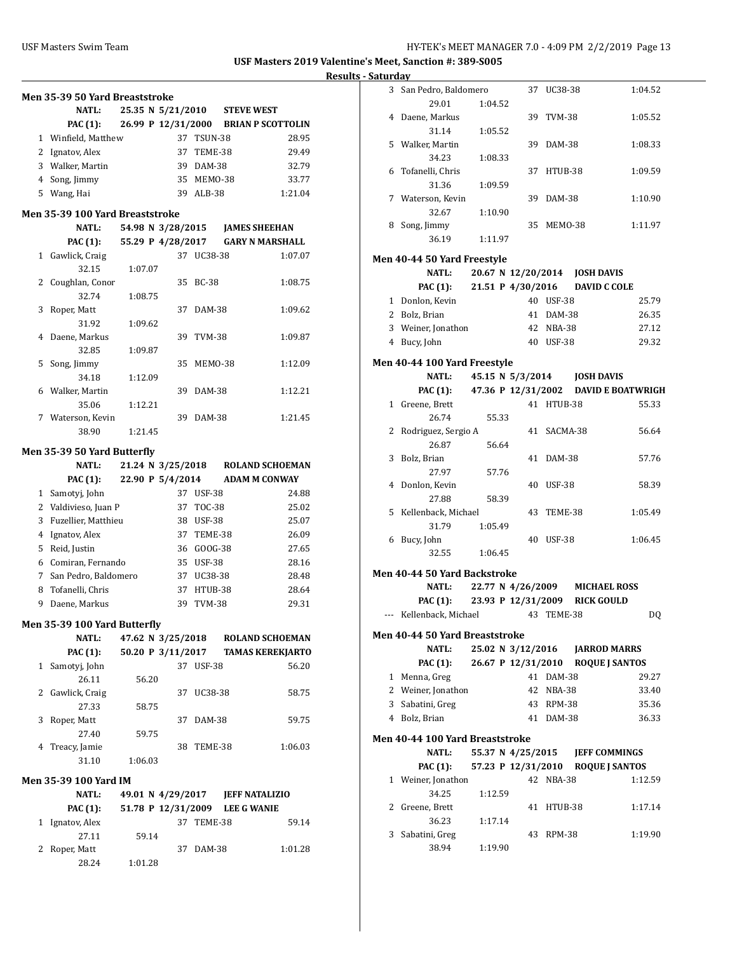|              | Men 35-39 50 Yard Breaststroke  |         |                                |              |                   |                                      |
|--------------|---------------------------------|---------|--------------------------------|--------------|-------------------|--------------------------------------|
|              | <b>NATL:</b>                    |         | 25.35 N 5/21/2010              |              | <b>STEVE WEST</b> |                                      |
|              | PAC (1):                        |         |                                |              |                   | 26.99 P 12/31/2000 BRIAN P SCOTTOLIN |
|              | 1 Winfield, Matthew             |         |                                | 37 TSUN-38   |                   | 28.95                                |
|              | 2 Ignatov, Alex                 |         |                                | 37 TEME-38   |                   | 29.49                                |
|              | 3 Walker, Martin                |         |                                | 39 DAM-38    |                   | 32.79                                |
|              | 4 Song, Jimmy                   |         |                                | 35 MEM0-38   |                   | 33.77                                |
|              | 5 Wang, Hai                     |         |                                | 39 ALB-38    |                   | 1:21.04                              |
|              |                                 |         |                                |              |                   |                                      |
|              | Men 35-39 100 Yard Breaststroke |         |                                |              |                   |                                      |
|              | <b>NATL:</b>                    |         |                                |              |                   |                                      |
|              | PAC (1):                        |         | 55.29 P 4/28/2017              |              |                   | <b>GARY N MARSHALL</b>               |
| $\mathbf{1}$ | Gawlick, Craig                  |         |                                | 37 UC38-38   |                   | 1:07.07                              |
|              | 32.15                           | 1:07.07 |                                |              |                   |                                      |
|              | 2 Coughlan, Conor               |         | 35                             | <b>BC-38</b> |                   | 1:08.75                              |
|              | 32.74                           | 1:08.75 |                                |              |                   |                                      |
| 3            | Roper, Matt                     |         | 37                             | DAM-38       |                   | 1:09.62                              |
|              | 31.92                           | 1:09.62 |                                |              |                   |                                      |
| 4            | Daene, Markus                   |         | 39                             | TVM-38       |                   | 1:09.87                              |
|              | 32.85                           | 1:09.87 |                                |              |                   |                                      |
| 5            | Song, Jimmy                     |         | 35                             | MEMO-38      |                   | 1:12.09                              |
|              | 34.18                           | 1:12.09 |                                |              |                   |                                      |
|              | 6 Walker, Martin                |         | 39                             | DAM-38       |                   | 1:12.21                              |
|              | 35.06                           | 1:12.21 |                                |              |                   |                                      |
|              | 7 Waterson, Kevin               |         |                                | 39 DAM-38    |                   | 1:21.45                              |
|              | 38.90                           | 1:21.45 |                                |              |                   |                                      |
|              | Men 35-39 50 Yard Butterfly     |         |                                |              |                   |                                      |
|              | <b>NATL:</b>                    |         | 21.24 N 3/25/2018              |              |                   | <b>ROLAND SCHOEMAN</b>               |
|              | <b>PAC (1):</b>                 |         | 22.90 P 5/4/2014               |              |                   | <b>ADAM M CONWAY</b>                 |
|              | 1 Samotyj, John                 |         |                                | 37 USF-38    |                   | 24.88                                |
|              | 2 Valdivieso, Juan P            |         |                                | 37 TOC-38    |                   | 25.02                                |
|              | 3 Fuzellier, Matthieu           |         |                                | 38 USF-38    |                   | 25.07                                |
|              | 4 Ignatov, Alex                 |         |                                | 37 TEME-38   |                   | 26.09                                |
|              | 5 Reid, Justin                  |         |                                | 36 GOOG-38   |                   | 27.65                                |
|              | 6 Comiran, Fernando             |         |                                | 35 USF-38    |                   | 28.16                                |
| 7            | San Pedro, Baldomero            |         |                                | 37 UC38-38   |                   | 28.48                                |
| 8            | Tofanelli, Chris                |         | 37                             | HTUB-38      |                   | 28.64                                |
| 9.           | Daene, Markus                   |         |                                | 39 TVM-38    |                   | 29.31                                |
|              |                                 |         |                                |              |                   |                                      |
|              | Men 35-39 100 Yard Butterfly    |         |                                |              |                   |                                      |
|              | <b>NATL:</b>                    |         | 47.62 N 3/25/2018              |              |                   | <b>ROLAND SCHOEMAN</b>               |
|              | <b>PAC</b> (1):                 |         | 50.20 P 3/11/2017              |              |                   | <b>TAMAS KEREKJARTO</b>              |
| $\mathbf{1}$ | Samotyj, John                   |         |                                | 37 USF-38    |                   | 56.20                                |
|              | 26.11                           | 56.20   |                                |              |                   |                                      |
| 2            | Gawlick, Craig                  |         | 37                             | UC38-38      |                   | 58.75                                |
|              | 27.33                           | 58.75   |                                |              |                   |                                      |
| 3            | Roper, Matt                     |         | 37                             | DAM-38       |                   | 59.75                                |
|              | 27.40                           | 59.75   |                                |              |                   |                                      |
| 4            | Treacy, Jamie                   |         | 38                             | TEME-38      |                   | 1:06.03                              |
|              | 31.10                           | 1:06.03 |                                |              |                   |                                      |
|              |                                 |         |                                |              |                   |                                      |
|              | Men 35-39 100 Yard IM           |         |                                |              |                   |                                      |
|              | <b>NATL:</b>                    |         | 49.01 N 4/29/2017              |              |                   | <b>JEFF NATALIZIO</b>                |
|              | <b>PAC (1):</b>                 |         | 51.78 P 12/31/2009 LEE G WANIE |              |                   |                                      |
|              | 1 Ignatov, Alex                 |         | 37                             | TEME-38      |                   | 59.14                                |
|              | 27.11                           | 59.14   |                                |              |                   |                                      |
|              |                                 |         |                                |              |                   |                                      |
| 2            | Roper, Matt<br>28.24            | 1:01.28 | 37                             | DAM-38       |                   | 1:01.28                              |

| utui uu y |                                    |                   |       |    |                    |                                               |         |
|-----------|------------------------------------|-------------------|-------|----|--------------------|-----------------------------------------------|---------|
|           | 3 San Pedro, Baldomero             |                   |       |    | 37 UC38-38         |                                               | 1:04.52 |
|           | 29.01                              | 1:04.52           |       |    |                    |                                               |         |
|           | 4 Daene, Markus                    |                   |       |    | 39 TVM-38          |                                               | 1:05.52 |
|           | 31.14                              | 1:05.52           |       |    |                    |                                               |         |
|           | 5 Walker, Martin                   |                   |       |    | 39 DAM-38          |                                               | 1:08.33 |
|           | 34.23                              | 1:08.33           |       |    |                    |                                               |         |
|           | 6 Tofanelli, Chris                 |                   |       |    | 37 HTUB-38         |                                               | 1:09.59 |
|           | 31.36                              | 1:09.59           |       |    |                    |                                               |         |
|           | 7 Waterson, Kevin                  |                   |       |    | 39 DAM-38          |                                               | 1:10.90 |
|           | 32.67                              | 1:10.90           |       |    |                    |                                               |         |
|           | 8 Song, Jimmy                      |                   |       |    | 35 MEM0-38         |                                               | 1:11.97 |
|           | 36.19                              | 1:11.97           |       |    |                    |                                               |         |
|           |                                    |                   |       |    |                    |                                               |         |
|           | <b>Men 40-44 50 Yard Freestyle</b> |                   |       |    |                    |                                               |         |
|           | <b>NATL:</b>                       |                   |       |    |                    | 20.67 N 12/20/2014 JOSH DAVIS                 |         |
|           | <b>PAC (1):</b>                    |                   |       |    |                    | 21.51 P 4/30/2016 DAVID C COLE                |         |
|           | 1 Donlon, Kevin                    |                   |       |    | 40 USF-38          |                                               | 25.79   |
|           | 2 Bolz, Brian                      |                   |       |    | 41 DAM-38          |                                               | 26.35   |
|           | 3 Weiner, Jonathon                 |                   |       |    | 42 NBA-38          |                                               | 27.12   |
|           | 4 Bucy, John                       |                   |       |    | 40 USF-38          |                                               | 29.32   |
|           | Men 40-44 100 Yard Freestyle       |                   |       |    |                    |                                               |         |
|           | <b>NATL:</b>                       |                   |       |    |                    | 45.15 N 5/3/2014 JOSH DAVIS                   |         |
|           |                                    |                   |       |    |                    | PAC (1): 47.36 P 12/31/2002 DAVID E BOATWRIGH |         |
|           | 1 Greene, Brett                    |                   |       |    | 41 HTUB-38         |                                               | 55.33   |
|           | 26.74                              |                   | 55.33 |    |                    |                                               |         |
| 2         | Rodriguez, Sergio A                |                   |       |    | 41 SACMA-38        |                                               | 56.64   |
|           | 26.87                              | 56.64             |       |    |                    |                                               |         |
| 3         | Bolz, Brian                        |                   |       |    | 41 DAM-38          |                                               | 57.76   |
|           | 27.97                              | 57.76             |       |    |                    |                                               |         |
|           | 4 Donlon, Kevin                    |                   |       |    | 40 USF-38          |                                               | 58.39   |
|           | 27.88                              | 58.39             |       |    |                    |                                               |         |
|           | 5 Kellenback, Michael              |                   |       |    | 43 TEME-38         |                                               | 1:05.49 |
|           | 31.79                              | 1:05.49           |       |    |                    |                                               |         |
| 6         | Bucy, John                         |                   |       |    | 40 USF-38          |                                               | 1:06.45 |
|           | 32.55                              | 1:06.45           |       |    |                    |                                               |         |
|           |                                    |                   |       |    |                    |                                               |         |
|           | Men 40-44 50 Yard Backstroke       |                   |       |    |                    |                                               |         |
|           | <b>NATL:</b>                       | 22.77 N 4/26/2009 |       |    |                    | <b>MICHAEL ROSS</b>                           |         |
|           |                                    |                   |       |    |                    | PAC (1): 23.93 P 12/31/2009 RICK GOULD        |         |
|           | Kellenback, Michael                |                   |       |    | 43 TEME-38         |                                               | DQ      |
|           | Men 40-44 50 Yard Breaststroke     |                   |       |    |                    |                                               |         |
|           | <b>NATL:</b>                       | 25.02 N 3/12/2016 |       |    |                    | <b>JARROD MARRS</b>                           |         |
|           | <b>PAC (1):</b>                    |                   |       |    | 26.67 P 12/31/2010 | <b>ROQUE J SANTOS</b>                         |         |
|           | 1 Menna, Greg                      |                   |       |    | 41 DAM-38          |                                               | 29.27   |
|           | 2 Weiner, Jonathon                 |                   |       |    | 42 NBA-38          |                                               | 33.40   |
|           | 3 Sabatini, Greg                   |                   |       |    | 43 RPM-38          |                                               | 35.36   |
|           | 4 Bolz, Brian                      |                   |       |    | 41 DAM-38          |                                               | 36.33   |
|           |                                    |                   |       |    |                    |                                               |         |
|           | Men 40-44 100 Yard Breaststroke    |                   |       |    |                    |                                               |         |
|           | <b>NATL:</b>                       | 55.37 N 4/25/2015 |       |    |                    | <b>JEFF COMMINGS</b>                          |         |
|           | PAC (1):                           |                   |       |    | 57.23 P 12/31/2010 | <b>ROQUE J SANTOS</b>                         |         |
|           | 1 Weiner, Jonathon                 |                   |       |    | 42 NBA-38          |                                               | 1:12.59 |
|           | 34.25                              | 1:12.59           |       |    |                    |                                               |         |
| 2         | Greene, Brett                      |                   |       | 41 | HTUB-38            |                                               | 1:17.14 |
|           | 36.23                              | 1:17.14           |       |    |                    |                                               |         |
| 3         | Sabatini, Greg                     |                   |       |    | 43 RPM-38          |                                               | 1:19.90 |
|           |                                    |                   |       |    |                    |                                               |         |
|           | 38.94                              | 1:19.90           |       |    |                    |                                               |         |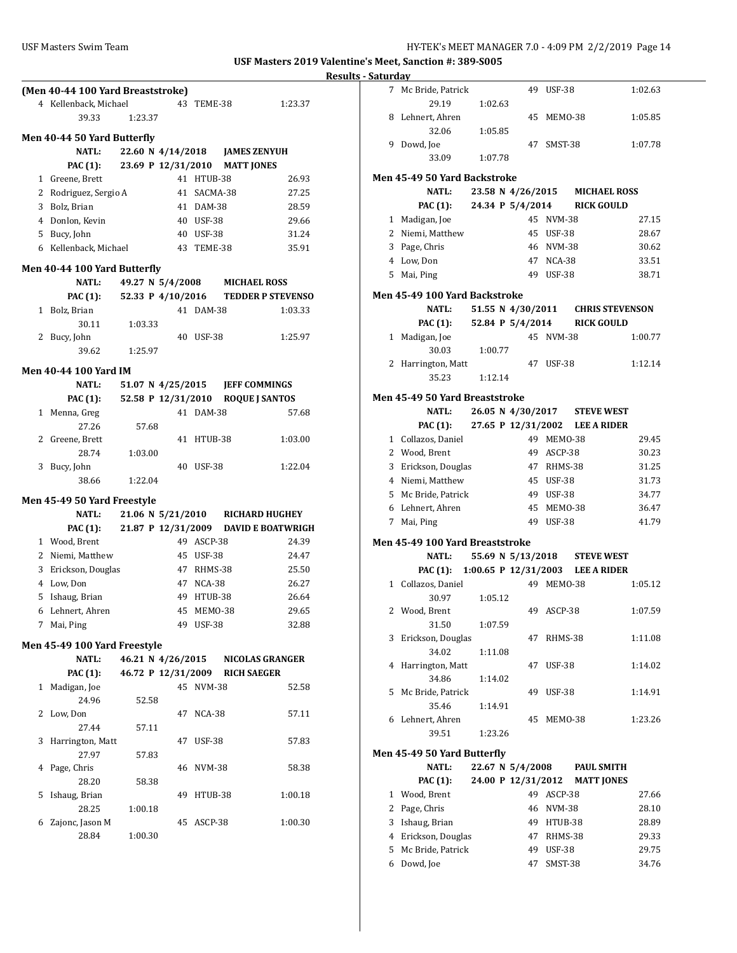|   | (Men 40-44 100 Yard Breaststroke)  |                                            |    |            |                   |                                               |
|---|------------------------------------|--------------------------------------------|----|------------|-------------------|-----------------------------------------------|
|   | 4 Kellenback, Michael              |                                            | 43 | TEME-38    |                   | 1:23.37                                       |
|   | 39.33                              | 1:23.37                                    |    |            |                   |                                               |
|   | Men 40-44 50 Yard Butterfly        |                                            |    |            |                   |                                               |
|   | <b>NATL:</b>                       | 22.60 N 4/14/2018 JAMES ZENYUH             |    |            |                   |                                               |
|   | <b>PAC</b> (1):                    | 23.69 P 12/31/2010                         |    |            | <b>MATT JONES</b> |                                               |
|   | 1 Greene, Brett                    |                                            |    | 41 HTUB-38 |                   | 26.93                                         |
|   | 2 Rodriguez, Sergio A              |                                            | 41 | SACMA-38   |                   | 27.25                                         |
|   | 3 Bolz, Brian                      |                                            |    | 41 DAM-38  |                   | 28.59                                         |
|   | 4 Donlon, Kevin                    |                                            |    | 40 USF-38  |                   | 29.66                                         |
|   | 5 Bucy, John                       |                                            |    | 40 USF-38  |                   | 31.24                                         |
|   | 6 Kellenback, Michael              |                                            |    | 43 TEME-38 |                   | 35.91                                         |
|   | Men 40-44 100 Yard Butterfly       |                                            |    |            |                   |                                               |
|   | NATL:                              | 49.27 N 5/4/2008 MICHAEL ROSS              |    |            |                   |                                               |
|   |                                    |                                            |    |            |                   | PAC (1): 52.33 P 4/10/2016 TEDDER P STEVENSO  |
|   | 1 Bolz, Brian                      |                                            | 41 | DAM-38     |                   | 1:03.33                                       |
|   | 30.11                              | 1:03.33                                    |    |            |                   |                                               |
|   | 2 Bucy, John                       |                                            |    | 40 USF-38  |                   | 1:25.97                                       |
|   | 39.62                              | 1:25.97                                    |    |            |                   |                                               |
|   |                                    |                                            |    |            |                   |                                               |
|   | Men 40-44 100 Yard IM              |                                            |    |            |                   |                                               |
|   | <b>NATL:</b>                       | 51.07 N 4/25/2015 JEFF COMMINGS            |    |            |                   |                                               |
|   |                                    | PAC (1): 52.58 P 12/31/2010 ROQUE J SANTOS |    |            |                   |                                               |
|   | 1 Menna, Greg                      |                                            |    | 41 DAM-38  |                   | 57.68                                         |
|   | 27.26<br>2 Greene, Brett           | 57.68                                      | 41 | HTUB-38    |                   | 1:03.00                                       |
|   | 28.74                              | 1:03.00                                    |    |            |                   |                                               |
| 3 | Bucy, John                         |                                            | 40 | USF-38     |                   | 1:22.04                                       |
|   | 38.66                              | 1:22.04                                    |    |            |                   |                                               |
|   |                                    |                                            |    |            |                   |                                               |
|   | <b>Men 45-49 50 Yard Freestyle</b> |                                            |    |            |                   |                                               |
|   | <b>NATL:</b>                       |                                            |    |            |                   | 21.06 N 5/21/2010 RICHARD HUGHEY              |
|   |                                    |                                            |    |            |                   | PAC (1): 21.87 P 12/31/2009 DAVID E BOATWRIGH |
|   | 1 Wood, Brent                      |                                            |    | 49 ASCP-38 |                   | 24.39                                         |
|   | 2 Niemi, Matthew                   |                                            |    | 45 USF-38  |                   | 24.47                                         |
|   | 3 Erickson, Douglas                |                                            |    | 47 RHMS-38 |                   | 25.50                                         |
|   | 4 Low, Don                         |                                            |    | 47 NCA-38  |                   | 26.27                                         |
|   | 5 Ishaug, Brian                    |                                            |    | 49 HTUB-38 |                   | 26.64                                         |
|   | 6 Lehnert. Ahren                   |                                            |    | 45 MEMO-38 |                   | 29.65                                         |
| 7 | Mai, Ping                          |                                            |    | 49 USF-38  |                   | 32.88                                         |
|   | Men 45-49 100 Yard Freestyle       |                                            |    |            |                   |                                               |
|   | NATL:                              |                                            |    |            |                   | 46.21 N 4/26/2015 NICOLAS GRANGER             |
|   | <b>PAC (1):</b>                    | 46.72 P 12/31/2009 RICH SAEGER             |    |            |                   |                                               |
|   | 1 Madigan, Joe                     |                                            |    | 45 NVM-38  |                   | 52.58                                         |
|   | 24.96                              | 52.58                                      |    |            |                   |                                               |
| 2 | Low, Don                           |                                            |    | 47 NCA-38  |                   | 57.11                                         |
|   | 27.44                              | 57.11                                      |    |            |                   |                                               |
| 3 | Harrington, Matt                   |                                            |    | 47 USF-38  |                   | 57.83                                         |
|   | 27.97                              | 57.83                                      |    |            |                   |                                               |
|   | Page, Chris<br>4                   |                                            |    | 46 NVM-38  |                   | 58.38                                         |
|   | 28.20                              | 58.38                                      |    |            |                   |                                               |
|   | 5 Ishaug, Brian                    |                                            | 49 | HTUB-38    |                   | 1:00.18                                       |
|   | 28.25                              | 1:00.18                                    |    |            |                   |                                               |
| 6 | Zajonc, Jason M                    |                                            | 45 | ASCP-38    |                   | 1:00.30                                       |
|   | 28.84                              | 1:00.30                                    |    |            |                   |                                               |

| aturday                         |                    |    |                                           |                   |
|---------------------------------|--------------------|----|-------------------------------------------|-------------------|
| 7<br>Mc Bride, Patrick<br>29.19 | 1:02.63            |    | 49 USF-38                                 | 1:02.63           |
| 8 Lehnert, Ahren                |                    | 45 | MEMO-38                                   | 1:05.85           |
| 32.06                           | 1:05.85            |    |                                           |                   |
| 9 Dowd, Joe<br>33.09            | 1:07.78            | 47 | SMST-38                                   | 1:07.78           |
| Men 45-49 50 Yard Backstroke    |                    |    |                                           |                   |
| <b>NATL:</b>                    |                    |    | 23.58 N 4/26/2015 MICHAEL ROSS            |                   |
| <b>PAC (1):</b>                 |                    |    | 24.34 P 5/4/2014 RICK GOULD               |                   |
| 1 Madigan, Joe                  |                    |    | 45 NVM-38                                 | 27.15             |
| 2 Niemi, Matthew                |                    |    | 45 USF-38                                 | 28.67             |
| 3 Page, Chris                   |                    |    | 46 NVM-38                                 | 30.62             |
| 4 Low, Don                      |                    |    | 47 NCA-38                                 | 33.51             |
| 5 Mai, Ping                     |                    |    | 49 USF-38                                 | 38.71             |
| Men 45-49 100 Yard Backstroke   |                    |    |                                           |                   |
| <b>NATL:</b>                    |                    |    | 51.55 N 4/30/2011 CHRIS STEVENSON         |                   |
| <b>PAC (1):</b>                 |                    |    | 52.84 P 5/4/2014 RICK GOULD               |                   |
| 1 Madigan, Joe                  |                    |    | 45 NVM-38                                 | 1:00.77           |
| 30.03                           | 1:00.77            |    |                                           |                   |
| 2 Harrington, Matt<br>35.23     | 1:12.14            |    | 47 USF-38                                 | 1:12.14           |
|                                 |                    |    |                                           |                   |
| Men 45-49 50 Yard Breaststroke  |                    |    |                                           |                   |
| NATL:                           |                    |    | 26.05 N 4/30/2017 STEVE WEST              |                   |
|                                 |                    |    | PAC (1): 27.65 P 12/31/2002 LEE A RIDER   |                   |
| 1 Collazos, Daniel              |                    |    | 49 MEMO-38                                | 29.45             |
| 2 Wood, Brent                   |                    |    | 49 ASCP-38                                | 30.23             |
| 3 Erickson, Douglas             |                    |    | 47 RHMS-38                                | 31.25             |
| 4 Niemi, Matthew                |                    |    | 45 USF-38                                 | 31.73             |
| 5 Mc Bride, Patrick             |                    |    | 49 USF-38                                 | 34.77             |
| 6 Lehnert, Ahren                |                    |    | 45 MEMO-38                                | 36.47             |
| 7 Mai, Ping                     |                    |    | 49 USF-38                                 | 41.79             |
| Men 45-49 100 Yard Breaststroke |                    |    |                                           |                   |
| <b>NATL:</b>                    |                    |    | 55.69 N 5/13/2018 STEVE WEST              |                   |
|                                 |                    |    | PAC (1): 1:00.65 P 12/31/2003 LEE A RIDER |                   |
| 1 Collazos, Daniel              |                    |    | 49 MEMO-38                                | 1:05.12           |
| 30.97                           | 1:05.12            |    |                                           |                   |
| 2<br>Wood, Brent<br>31.50       |                    | 49 | ASCP-38                                   | 1:07.59           |
| Erickson, Douglas<br>3          | 1:07.59            | 47 | RHMS-38                                   |                   |
| 34.02                           | 1:11.08            |    |                                           | 1:11.08           |
| 4<br>Harrington, Matt           |                    | 47 | USF-38                                    | 1:14.02           |
| 34.86                           | 1:14.02            |    |                                           |                   |
| 5<br>Mc Bride, Patrick          |                    | 49 | USF-38                                    | 1:14.91           |
| 35.46                           | 1:14.91            |    |                                           |                   |
| 6 Lehnert, Ahren                |                    | 45 | MEMO-38                                   | 1:23.26           |
| 39.51                           | 1:23.26            |    |                                           |                   |
| Men 45-49 50 Yard Butterfly     |                    |    |                                           |                   |
| <b>NATL:</b>                    | 22.67 N 5/4/2008   |    |                                           | <b>PAUL SMITH</b> |
| <b>PAC</b> (1):                 | 24.00 P 12/31/2012 |    |                                           | <b>MATT JONES</b> |
| 1 Wood, Brent                   |                    |    | 49 ASCP-38                                | 27.66             |
| 2 Page, Chris                   |                    |    | 46 NVM-38                                 | 28.10             |
| Ishaug, Brian<br>3              |                    |    | 49 HTUB-38                                | 28.89             |
| 4 Erickson, Douglas             |                    | 47 | RHMS-38                                   | 29.33             |
| Mc Bride, Patrick<br>5          |                    | 49 | <b>USF-38</b>                             | 29.75             |
| 6 Dowd, Joe                     |                    | 47 | SMST-38                                   | 34.76             |
|                                 |                    |    |                                           |                   |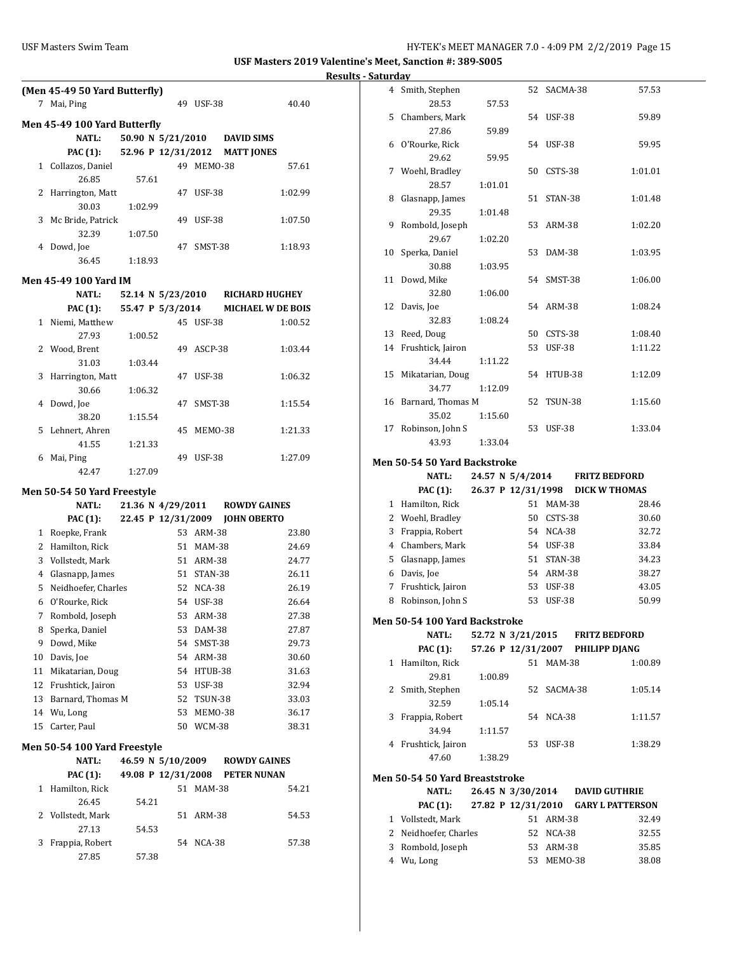|                       | (Men 45-49 50 Yard Butterfly) |         |       |                    |               |                   |                          |  |  |
|-----------------------|-------------------------------|---------|-------|--------------------|---------------|-------------------|--------------------------|--|--|
| 7                     | Mai, Ping                     |         |       |                    | 49 USF-38     |                   | 40.40                    |  |  |
|                       | Men 45-49 100 Yard Butterfly  |         |       |                    |               |                   |                          |  |  |
|                       | <b>NATL:</b>                  |         |       | 50.90 N 5/21/2010  |               | <b>DAVID SIMS</b> |                          |  |  |
|                       | PAC (1):                      |         |       | 52.96 P 12/31/2012 |               | <b>MATT JONES</b> |                          |  |  |
|                       | 1 Collazos, Daniel            |         |       |                    | 49 MEMO-38    |                   | 57.61                    |  |  |
|                       | 26.85                         |         | 57.61 |                    |               |                   |                          |  |  |
|                       | 2 Harrington, Matt            |         |       | 47                 | <b>USF-38</b> |                   | 1:02.99                  |  |  |
|                       | 30.03                         | 1:02.99 |       |                    |               |                   |                          |  |  |
|                       | 3 Mc Bride, Patrick           |         |       | 49                 | <b>USF-38</b> |                   | 1:07.50                  |  |  |
|                       | 32.39                         | 1:07.50 |       |                    |               |                   |                          |  |  |
|                       | 4 Dowd, Joe                   |         |       | 47                 | SMST-38       |                   | 1:18.93                  |  |  |
|                       | 36.45                         | 1:18.93 |       |                    |               |                   |                          |  |  |
| Men 45-49 100 Yard IM |                               |         |       |                    |               |                   |                          |  |  |
|                       | <b>NATL:</b>                  |         |       | 52.14 N 5/23/2010  |               |                   | <b>RICHARD HUGHEY</b>    |  |  |
|                       | PAC (1):                      |         |       | 55.47 P 5/3/2014   |               |                   | <b>MICHAEL W DE BOIS</b> |  |  |
|                       | 1 Niemi, Matthew              |         |       |                    | 45 USF-38     |                   | 1:00.52                  |  |  |
|                       | 27.93                         | 1:00.52 |       |                    |               |                   |                          |  |  |
|                       | 2 Wood, Brent                 |         |       |                    | 49 ASCP-38    |                   | 1:03.44                  |  |  |
|                       | 31.03                         | 1:03.44 |       |                    |               |                   |                          |  |  |
| 3                     | Harrington, Matt              |         |       | 47                 | <b>USF-38</b> |                   | 1:06.32                  |  |  |
|                       | 30.66                         | 1:06.32 |       |                    |               |                   |                          |  |  |
|                       | 4 Dowd, Joe                   |         |       | 47                 | SMST-38       |                   | 1:15.54                  |  |  |
|                       | 38.20                         | 1:15.54 |       |                    |               |                   |                          |  |  |
| 5                     | Lehnert, Ahren                |         |       | 45                 | MEMO-38       |                   | 1:21.33                  |  |  |
|                       | 41.55                         | 1:21.33 |       |                    |               |                   |                          |  |  |
|                       | 6 Mai, Ping                   |         |       | 49                 | USF-38        |                   | 1:27.09                  |  |  |
|                       | 42.47                         | 1:27.09 |       |                    |               |                   |                          |  |  |
|                       | Men 50-54 50 Yard Freestyle   |         |       |                    |               |                   |                          |  |  |
|                       | <b>NATL:</b>                  |         |       | 21.36 N 4/29/2011  |               |                   | <b>ROWDY GAINES</b>      |  |  |
|                       | PAC (1):                      |         |       | 22.45 P 12/31/2009 |               |                   | <b>JOHN OBERTO</b>       |  |  |
|                       | 1 Roepke, Frank               |         |       |                    | 53 ARM-38     |                   | 23.80                    |  |  |
|                       | 2 Hamilton, Rick              |         |       |                    | 51 MAM-38     |                   | 24.69                    |  |  |
|                       | 3 Vollstedt, Mark             |         |       |                    | 51 ARM-38     |                   | 24.77                    |  |  |
|                       | 4 Glasnapp, James             |         |       |                    | 51 STAN-38    |                   | 26.11                    |  |  |
|                       | 5 Neidhoefer, Charles         |         |       |                    | 52 NCA-38     |                   | 26.19                    |  |  |
|                       | 6 O'Rourke, Rick              |         |       |                    | 54 USF-38     |                   | 26.64                    |  |  |
|                       | 7 Rombold, Joseph             |         |       |                    | 53 ARM-38     |                   | 27.38                    |  |  |
| 8                     | Sperka, Daniel                |         |       | 53                 | DAM-38        |                   | 27.87                    |  |  |
| 9                     | Dowd, Mike                    |         |       | 54                 | SMST-38       |                   | 29.73                    |  |  |
| 10                    | Davis, Joe                    |         |       |                    | 54 ARM-38     |                   | 30.60                    |  |  |
| 11                    | Mikatarian, Doug              |         |       | 54                 | HTUB-38       |                   | 31.63                    |  |  |
| 12                    | Frushtick, Jairon             |         |       | 53                 | <b>USF-38</b> |                   | 32.94                    |  |  |
| 13                    | Barnard, Thomas M             |         |       | 52                 | TSUN-38       |                   | 33.03                    |  |  |
| 14                    | Wu, Long                      |         |       | 53                 | MEMO-38       |                   | 36.17                    |  |  |
| 15                    | Carter, Paul                  |         |       | 50                 | WCM-38        |                   | 38.31                    |  |  |
|                       |                               |         |       |                    |               |                   |                          |  |  |
|                       | Men 50-54 100 Yard Freestyle  |         |       |                    |               |                   |                          |  |  |
|                       | NATL:                         |         |       | 46.59 N 5/10/2009  |               |                   | <b>ROWDY GAINES</b>      |  |  |

|   | <b>PAC</b> (1):   | 49.08 P 12/31/2008 |    |               | PETER NUNAN |       |
|---|-------------------|--------------------|----|---------------|-------------|-------|
|   | Hamilton, Rick    |                    | 51 | <b>MAM-38</b> |             | 54.21 |
|   | 26.45             | 54.21              |    |               |             |       |
|   | 2 Vollstedt, Mark |                    |    | 51 ARM-38     |             | 54.53 |
|   | 27.13             | 54.53              |    |               |             |       |
| 3 | Frappia, Robert   |                    |    | 54 NCA-38     |             | 57.38 |
|   | 27.85             | 57.38              |    |               |             |       |

|    | 4 Smith, Stephen     |         |    | 52 SACMA-38 | 57.53   |
|----|----------------------|---------|----|-------------|---------|
|    | 28.53                | 57.53   |    |             |         |
|    | 5 Chambers, Mark     |         |    | 54 USF-38   | 59.89   |
|    | 27.86                | 59.89   |    |             |         |
|    | 6 O'Rourke, Rick     |         |    | 54 USF-38   | 59.95   |
|    | 29.62                | 59.95   |    |             |         |
|    | 7 Woehl, Bradley     |         | 50 | CSTS-38     | 1:01.01 |
|    | 28.57                | 1:01.01 |    |             |         |
| 8  | Glasnapp, James      |         |    | 51 STAN-38  | 1:01.48 |
|    | 29.35                | 1:01.48 |    |             |         |
|    | 9 Rombold, Joseph    |         |    | 53 ARM-38   | 1:02.20 |
|    | 29.67                | 1:02.20 |    |             |         |
|    | 10 Sperka, Daniel    |         | 53 | DAM-38      | 1:03.95 |
|    | 30.88                | 1:03.95 |    |             |         |
| 11 | Dowd, Mike           |         |    | 54 SMST-38  | 1:06.00 |
|    | 32.80                | 1:06.00 |    |             |         |
|    | 12 Davis, Joe        |         |    | 54 ARM-38   | 1:08.24 |
|    | 32.83                | 1:08.24 |    |             |         |
|    | 13 Reed, Doug        |         | 50 | CSTS-38     | 1:08.40 |
|    | 14 Frushtick, Jairon |         |    | 53 USF-38   | 1:11.22 |
|    | 34.44                | 1:11.22 |    |             |         |
|    | 15 Mikatarian, Doug  |         |    | 54 HTUB-38  | 1:12.09 |
|    | 34.77                | 1:12.09 |    |             |         |
|    | 16 Barnard, Thomas M |         | 52 | TSUN-38     | 1:15.60 |
|    | 35.02                | 1:15.60 |    |             |         |
| 17 | Robinson, John S     |         |    | 53 USF-38   | 1:33.04 |
|    | 43.93                | 1:33.04 |    |             |         |
|    |                      |         |    |             |         |

#### **Men 50-54 50 Yard Backstroke**

|   | <b>NATL:</b>      |  | 24.57 N 5/4/2014   |               | <b>FRITZ BEDFORD</b> |
|---|-------------------|--|--------------------|---------------|----------------------|
|   | PAC (1):          |  | 26.37 P 12/31/1998 |               | <b>DICK W THOMAS</b> |
|   | Hamilton, Rick    |  | 51                 | <b>MAM-38</b> | 28.46                |
| 2 | Woehl, Bradley    |  | 50                 | CSTS-38       | 30.60                |
| 3 | Frappia, Robert   |  |                    | 54 NCA-38     | 32.72                |
| 4 | Chambers, Mark    |  | 54                 | <b>USF-38</b> | 33.84                |
| 5 | Glasnapp, James   |  | 51                 | STAN-38       | 34.23                |
| 6 | Davis, Joe        |  |                    | 54 ARM-38     | 38.27                |
|   | Frushtick, Jairon |  | 53                 | <b>USF-38</b> | 43.05                |
| 8 | Robinson, John S  |  | 53                 | <b>USF-38</b> | 50.99                |

#### **Men 50-54 100 Yard Backstroke**

|   | <b>NATL:</b>      | 52.72 N 3/21/2015  |     |               | <b>FRITZ BEDFORD</b> |
|---|-------------------|--------------------|-----|---------------|----------------------|
|   | PAC (1):          | 57.26 P 12/31/2007 |     |               | <b>PHILIPP DJANG</b> |
| 1 | Hamilton, Rick    |                    | 51  | <b>MAM-38</b> | 1:00.89              |
|   | 29.81             | 1:00.89            |     |               |                      |
|   | 2 Smith, Stephen  |                    |     | 52 SACMA-38   | 1:05.14              |
|   | 32.59             | 1:05.14            |     |               |                      |
| 3 | Frappia, Robert   |                    | 54. | NCA-38        | 1:11.57              |
|   | 34.94             | 1:11.57            |     |               |                      |
| 4 | Frushtick, Jairon |                    | 53  | <b>USF-38</b> | 1:38.29              |
|   | 47.60             | 1:38.29            |     |               |                      |

#### **Men 50-54 50 Yard Breaststroke**

| <b>NATL:</b>          | 26.45 N 3/30/2014  |            | <b>DAVID GUTHRIE</b>    |       |
|-----------------------|--------------------|------------|-------------------------|-------|
| PAC (1):              | 27.82 P 12/31/2010 |            | <b>GARY L PATTERSON</b> |       |
| 1 Vollstedt, Mark     |                    | 51 ARM-38  |                         | 32.49 |
| 2 Neidhoefer, Charles |                    | 52 NCA-38  |                         | 32.55 |
| 3 Rombold, Joseph     |                    | 53 ARM-38  |                         | 35.85 |
| 4 Wu, Long            |                    | 53 MEM0-38 |                         | 38.08 |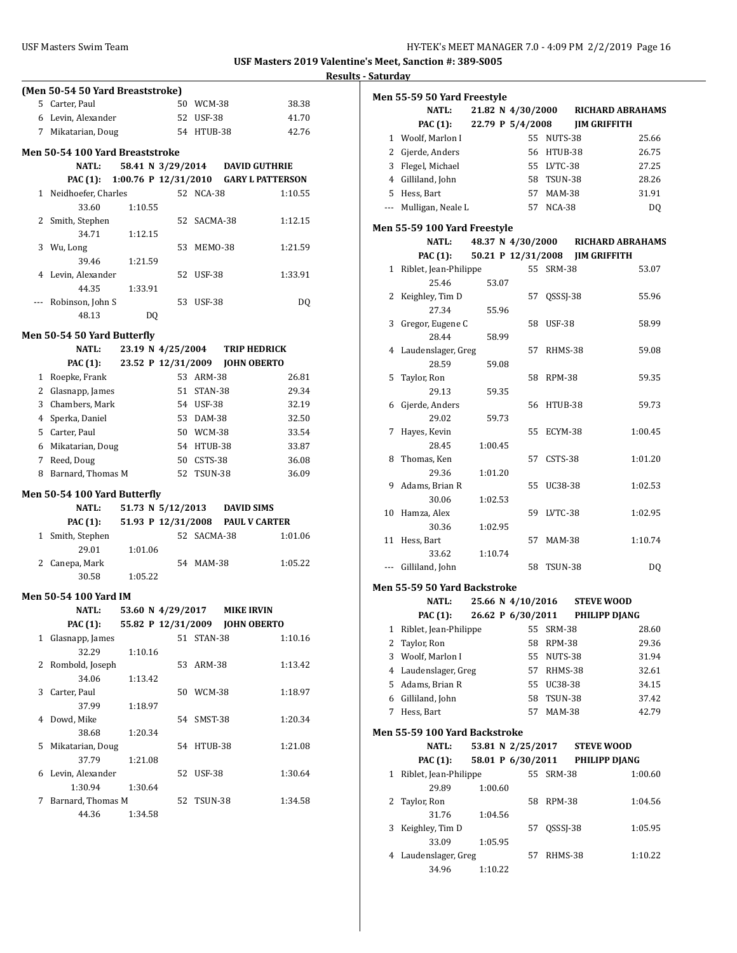## **Results - Saturday (Men 50-54 50 Yard Breaststroke)** 5 Carter, Paul 50 WCM-38 38.38 6 Levin, Alexander 52 USF-38 41.70 7 Mikatarian, Doug 54 HTUB-38 42.76 **Men 50-54 100 Yard Breaststroke NATL: 58.41 N 3/29/2014 DAVID GUTHRIE PAC (1): 1:00.76 P 12/31/2010 GARY L PATTERSON** 1 Neidhoefer, Charles 52 NCA-38 1:10.55 33.60 1:10.55 2 Smith, Stephen 52 SACMA-38 1:12.15 34.71 1:12.15 3 Wu, Long 53 MEMO-38 1:21.59 39.46 1:21.59 4 Levin, Alexander 52 USF-38 1:33.91 44.35 1:33.91 --- Robinson, John S 53 USF-38 DQ 48.13 DQ **Men 50-54 50 Yard Butterfly NATL: 23.19 N 4/25/2004 TRIP HEDRICK PAC (1): 23.52 P 12/31/2009 JOHN OBERTO** 1 Roepke, Frank 53 ARM-38 26.81 2 Glasnapp, James 51 STAN-38 29.34 3 Chambers, Mark 54 USF-38 32.19 4 Sperka, Daniel 53 DAM-38 32.50 5 Carter, Paul 50 WCM-38 33.54 6 Mikatarian, Doug 54 HTUB-38 33.87 7 Reed, Doug 50 CSTS-38 36.08 8 Barnard, Thomas M 52 TSUN-38 36.09 **Men 50-54 100 Yard Butterfly NATL: 51.73 N 5/12/2013 DAVID SIMS PAC (1): 51.93 P 12/31/2008 PAUL V CARTER** 1 Smith, Stephen 52 SACMA-38 1:01.06 29.01 1:01.06 2 Canepa, Mark 54 MAM-38 1:05.22 30.58 1:05.22 **Men 50-54 100 Yard IM NATL: 53.60 N 4/29/2017 MIKE IRVIN PAC (1): 55.82 P 12/31/2009 JOHN OBERTO** 1 Glasnapp, James 51 STAN-38 1:10.16 32.29 1:10.16 2 Rombold, Joseph 53 ARM-38 1:13.42 34.06 1:13.42 3 Carter, Paul 50 WCM-38 1:18.97 37.99 1:18.97 4 Dowd, Mike 54 SMST-38 1:20.34 38.68 1:20.34 5 Mikatarian, Doug 54 HTUB-38 1:21.08 37.79 1:21.08 6 Levin, Alexander 52 USF-38 1:30.64 1:30.94 1:30.64 7 Barnard, Thomas M 52 TSUN-38 1:34.58 44.36 1:34.58

|    | Men 55-59 50 Yard Freestyle                   |         |                    |               |                |                         |
|----|-----------------------------------------------|---------|--------------------|---------------|----------------|-------------------------|
|    | <b>NATL:</b>                                  |         | 21.82 N 4/30/2000  |               |                | <b>RICHARD ABRAHAMS</b> |
|    | <b>PAC (1):</b>                               |         | 22.79 P 5/4/2008   |               |                | <b>JIM GRIFFITH</b>     |
|    | 1 Woolf, Marlon I                             |         |                    | 55 NUTS-38    |                | 25.66                   |
|    | 2 Gjerde, Anders                              |         |                    | 56 HTUB-38    |                | 26.75                   |
|    | 3 Flegel, Michael                             |         |                    | 55 LVTC-38    |                | 27.25                   |
|    | 4 Gilliland, John                             |         |                    | 58 TSUN-38    |                | 28.26                   |
|    | 5 Hess, Bart                                  |         |                    | 57 MAM-38     |                | 31.91                   |
|    | --- Mulligan, Neale L                         |         |                    | 57 NCA-38     |                | DQ                      |
|    | <b>Men 55-59 100 Yard Freestyle</b>           |         |                    |               |                |                         |
|    | <b>NATL:</b>                                  |         | 48.37 N 4/30/2000  |               |                | <b>RICHARD ABRAHAMS</b> |
|    | <b>PAC (1):</b>                               |         | 50.21 P 12/31/2008 |               |                | <b>JIM GRIFFITH</b>     |
|    | 1 Riblet, Jean-Philippe                       |         |                    | 55 SRM-38     |                | 53.07                   |
|    | 25.46                                         | 53.07   |                    |               |                |                         |
| 2  | Keighley, Tim D                               |         | 57                 |               | QSSSJ-38       | 55.96                   |
|    | 27.34                                         | 55.96   |                    |               |                |                         |
| 3  | Gregor, Eugene C                              |         | 58                 | USF-38        |                | 58.99                   |
|    | 28.44                                         | 58.99   |                    |               |                |                         |
| 4  | Laudenslager, Greg                            |         | 57                 |               | RHMS-38        | 59.08                   |
|    | 28.59                                         | 59.08   |                    |               |                |                         |
| 5  | Taylor, Ron                                   |         | 58                 | <b>RPM-38</b> |                | 59.35                   |
|    | 29.13                                         | 59.35   |                    |               |                |                         |
| 6  | Gjerde, Anders                                |         | 56                 |               | HTUB-38        | 59.73                   |
|    | 29.02                                         | 59.73   |                    |               |                |                         |
| 7  | Hayes, Kevin                                  |         | 55                 |               | ECYM-38        | 1:00.45                 |
|    | 28.45                                         | 1:00.45 |                    |               |                |                         |
| 8  | Thomas, Ken                                   |         | 57                 | CSTS-38       |                | 1:01.20                 |
|    | 29.36                                         | 1:01.20 |                    |               |                |                         |
| 9  | Adams, Brian R                                |         | 55                 |               | UC38-38        | 1:02.53                 |
|    | 30.06                                         | 1:02.53 |                    |               |                |                         |
| 10 | Hamza, Alex                                   |         | 59                 | LVTC-38       |                | 1:02.95                 |
|    | 30.36                                         | 1:02.95 |                    |               |                |                         |
|    | 11 Hess, Bart                                 |         | 57                 |               | <b>MAM-38</b>  | 1:10.74                 |
|    | 33.62                                         | 1:10.74 |                    |               |                |                         |
|    | --- Gilliland, John                           |         |                    | 58 TSUN-38    |                | DQ                      |
|    |                                               |         |                    |               |                |                         |
|    | Men 55-59 50 Yard Backstroke                  |         |                    |               |                |                         |
|    | <b>NATL:</b>                                  |         | 25.66 N 4/10/2016  |               |                | <b>STEVE WOOD</b>       |
|    | PAC (1):                                      |         | 26.62 P 6/30/2011  |               |                | PHILIPP DJANG           |
| 1  | Riblet, Jean-Philippe                         |         | 55                 | SRM-38        |                | 28.60                   |
| 2  | Taylor, Ron                                   |         | 58                 | <b>RPM-38</b> |                | 29.36                   |
| 3  | Woolf, Marlon I                               |         | 55                 |               | NUTS-38        | 31.94                   |
|    | 4 Laudenslager, Greg                          |         | 57                 |               | RHMS-38        | 32.61                   |
|    | 5 Adams, Brian R                              |         | 55                 |               | UC38-38        | 34.15                   |
|    | 6 Gilliland, John                             |         | 58                 |               | <b>TSUN-38</b> | 37.42                   |
| 7  | Hess, Bart                                    |         | 57                 |               | MAM-38         | 42.79                   |
|    |                                               |         |                    |               |                |                         |
|    | Men 55-59 100 Yard Backstroke<br><b>NATL:</b> |         | 53.81 N 2/25/2017  |               |                | <b>STEVE WOOD</b>       |
|    | PAC (1):                                      |         | 58.01 P 6/30/2011  |               |                | PHILIPP DJANG           |
| 1  | Riblet, Jean-Philippe                         |         | 55                 | <b>SRM-38</b> |                | 1:00.60                 |
|    | 29.89                                         | 1:00.60 |                    |               |                |                         |
| 2  |                                               |         | 58                 |               |                |                         |
|    | Taylor, Ron                                   |         |                    | RPM-38        |                | 1:04.56                 |
|    | 31.76                                         | 1:04.56 |                    |               |                |                         |
| 3  | Keighley, Tim D                               |         | 57                 |               | QSSSJ-38       | 1:05.95                 |
|    | 33.09                                         | 1:05.95 |                    |               |                |                         |
| 4  | Laudenslager, Greg                            |         | 57                 |               | RHMS-38        | 1:10.22                 |
|    | 34.96                                         | 1:10.22 |                    |               |                |                         |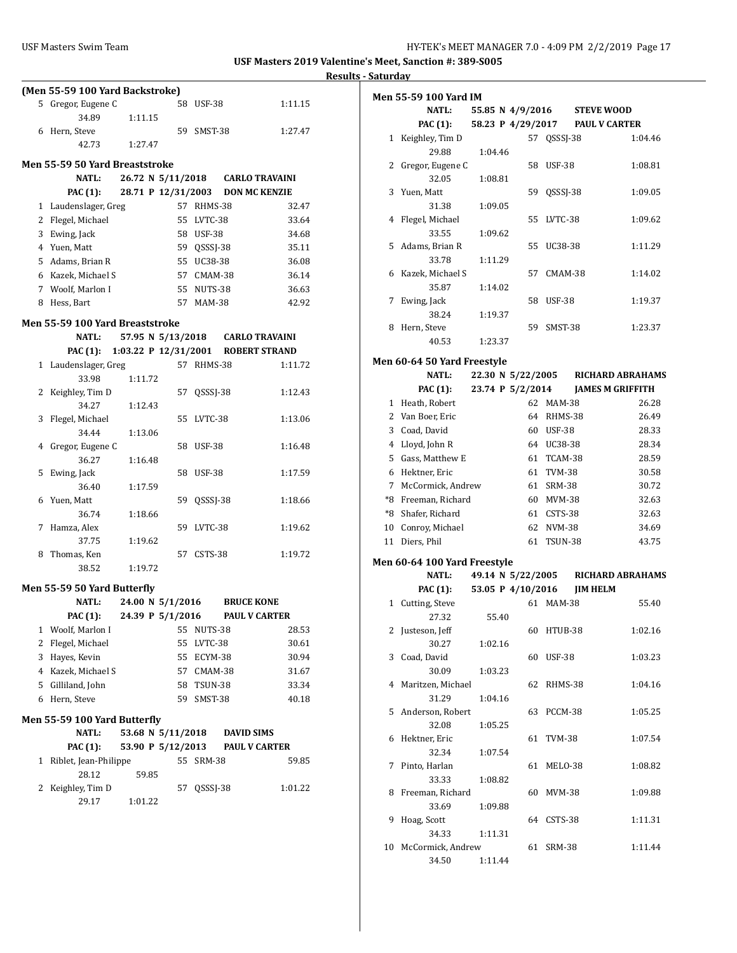÷,

|   | (Men 55-59 100 Yard Backstroke)             |                                  |     |                |                   |                      |
|---|---------------------------------------------|----------------------------------|-----|----------------|-------------------|----------------------|
|   | 5 Gregor, Eugene C                          |                                  |     | 58 USF-38      |                   | 1:11.15              |
|   | 34.89                                       | 1:11.15                          |     |                |                   |                      |
|   | 6 Hern, Steve                               |                                  | 59. | SMST-38        |                   | 1:27.47              |
|   | 42.73                                       | 1:27.47                          |     |                |                   |                      |
|   |                                             |                                  |     |                |                   |                      |
|   | Men 55-59 50 Yard Breaststroke              |                                  |     |                |                   |                      |
|   | <b>NATL:</b>                                | 26.72 N 5/11/2018 CARLO TRAVAINI |     |                |                   |                      |
|   | <b>PAC (1):</b>                             | 28.71 P 12/31/2003               |     |                |                   | <b>DON MC KENZIE</b> |
|   | 1 Laudenslager, Greg                        |                                  |     | 57 RHMS-38     |                   | 32.47                |
|   | 2 Flegel, Michael                           |                                  |     | 55 LVTC-38     |                   | 33.64                |
|   | 3 Ewing, Jack                               |                                  |     | 58 USF-38      |                   | 34.68                |
|   | 4 Yuen, Matt                                |                                  |     | 59 QSSSJ-38    |                   | 35.11                |
|   | 5 Adams, Brian R                            |                                  |     | 55 UC38-38     |                   | 36.08                |
|   | 6 Kazek, Michael S                          |                                  |     | 57 CMAM-38     |                   | 36.14                |
|   | 7 Woolf, Marlon I                           |                                  |     | 55 NUTS-38     |                   | 36.63                |
|   | 8 Hess, Bart                                |                                  |     | 57 MAM-38      |                   | 42.92                |
|   | Men 55-59 100 Yard Breaststroke             |                                  |     |                |                   |                      |
|   | <b>NATL:</b>                                | 57.95 N 5/13/2018 CARLO TRAVAINI |     |                |                   |                      |
|   | PAC (1): 1:03.22 P 12/31/2001 ROBERT STRAND |                                  |     |                |                   |                      |
|   | 1 Laudenslager, Greg                        |                                  |     | 57 RHMS-38     |                   | 1:11.72              |
|   | 33.98                                       | 1:11.72                          |     |                |                   |                      |
|   | 2 Keighley, Tim D                           |                                  |     | 57 QSSSJ-38    |                   | 1:12.43              |
|   | 34.27                                       | 1:12.43                          |     |                |                   |                      |
| 3 | Flegel, Michael                             |                                  |     | 55 LVTC-38     |                   | 1:13.06              |
|   | 34.44                                       | 1:13.06                          |     |                |                   |                      |
|   | 4 Gregor, Eugene C                          |                                  | 58  | <b>USF-38</b>  |                   | 1:16.48              |
|   | 36.27                                       | 1:16.48                          |     |                |                   |                      |
|   | 5 Ewing, Jack                               |                                  | 58  | <b>USF-38</b>  |                   | 1:17.59              |
|   | 36.40                                       | 1:17.59                          |     |                |                   |                      |
|   | 6 Yuen, Matt                                |                                  | 59  | QSSSJ-38       |                   | 1:18.66              |
|   | 36.74                                       | 1:18.66                          |     |                |                   |                      |
| 7 | Hamza, Alex                                 |                                  | 59  | LVTC-38        |                   | 1:19.62              |
|   | 37.75                                       | 1:19.62                          |     |                |                   |                      |
| 8 | Thomas, Ken                                 |                                  | 57  | CSTS-38        |                   | 1:19.72              |
|   | 38.52                                       | 1:19.72                          |     |                |                   |                      |
|   | <b>Men 55-59 50 Yard Butterfly</b>          |                                  |     |                |                   |                      |
|   | <b>NATL:</b>                                | 24.00 N 5/1/2016                 |     |                | <b>BRUCE KONE</b> |                      |
|   | PAC (1): 24.39 P $5/1/2016$                 |                                  |     |                |                   | <b>PAUL V CARTER</b> |
| 1 | Woolf, Marlon I                             |                                  | 55  | NUTS-38        |                   | 28.53                |
| 2 | Flegel, Michael                             |                                  |     | 55 LVTC-38     |                   | 30.61                |
|   | 3 Hayes, Kevin                              |                                  |     | 55 ECYM-38     |                   | 30.94                |
|   | 4 Kazek, Michael S                          |                                  |     | 57 CMAM-38     |                   | 31.67                |
|   | 5 Gilliland, John                           |                                  | 58  | <b>TSUN-38</b> |                   | 33.34                |
| 6 | Hern, Steve                                 |                                  | 59  | SMST-38        |                   | 40.18                |
|   |                                             |                                  |     |                |                   |                      |
|   | Men 55-59 100 Yard Butterfly                |                                  |     |                |                   |                      |
|   | <b>NATL:</b>                                | 53.68 N 5/11/2018                |     |                | <b>DAVID SIMS</b> |                      |
|   | PAC (1):                                    | 53.90 P 5/12/2013                |     |                |                   | <b>PAUL V CARTER</b> |
| 1 | Riblet, Jean-Philippe                       |                                  | 55  | <b>SRM-38</b>  |                   | 59.85                |
|   | 28.12                                       | 59.85                            |     |                |                   |                      |
| 2 | Keighley, Tim D                             |                                  | 57  | QSSSJ-38       |                   | 1:01.22              |
|   | 29.17                                       | 1:01.22                          |     |                |                   |                      |
|   |                                             |                                  |     |                |                   |                      |

| <u>sataraay</u> | <b>Men 55-59 100 Yard IM</b> |         |       |                   |               |                                    |         |
|-----------------|------------------------------|---------|-------|-------------------|---------------|------------------------------------|---------|
|                 | <b>NATL:</b>                 |         |       |                   |               | 55.85 N 4/9/2016 STEVE WOOD        |         |
|                 | <b>PAC (1):</b>              |         |       |                   |               | 58.23 P 4/29/2017 PAUL V CARTER    |         |
|                 | 1 Keighley, Tim D            |         |       |                   | 57 QSSSJ-38   |                                    | 1:04.46 |
|                 | 29.88                        | 1:04.46 |       |                   |               |                                    |         |
|                 | 2 Gregor, Eugene C           |         |       | 58                | USF-38        |                                    | 1:08.81 |
|                 | 32.05                        | 1:08.81 |       |                   |               |                                    |         |
| 3               | Yuen, Matt                   |         |       |                   | 59 QSSSJ-38   |                                    | 1:09.05 |
|                 | 31.38                        | 1:09.05 |       |                   |               |                                    |         |
| 4               | Flegel, Michael              |         |       | 55                | LVTC-38       |                                    | 1:09.62 |
|                 | 33.55                        | 1:09.62 |       |                   |               |                                    |         |
| 5               | Adams, Brian R               |         |       | 55                | UC38-38       |                                    | 1:11.29 |
|                 | 33.78                        | 1:11.29 |       |                   |               |                                    |         |
|                 | 6 Kazek, Michael S           |         |       | 57                | CMAM-38       |                                    | 1:14.02 |
|                 | 35.87                        |         |       |                   |               |                                    |         |
|                 |                              | 1:14.02 |       |                   |               |                                    |         |
|                 | 7 Ewing, Jack                |         |       | 58                | USF-38        |                                    | 1:19.37 |
|                 | 38.24                        | 1:19.37 |       |                   |               |                                    |         |
| 8               | Hern, Steve                  |         |       | 59                | SMST-38       |                                    | 1:23.37 |
|                 | 40.53                        | 1:23.37 |       |                   |               |                                    |         |
|                 | Men 60-64 50 Yard Freestyle  |         |       |                   |               |                                    |         |
|                 | <b>NATL:</b>                 |         |       | 22.30 N 5/22/2005 |               | RICHARD ABRAHAMS                   |         |
|                 | <b>PAC</b> (1):              |         |       | 23.74 P 5/2/2014  |               | <b>JAMES M GRIFFITH</b>            |         |
|                 | 1 Heath, Robert              |         |       |                   | 62 MAM-38     |                                    | 26.28   |
|                 |                              |         |       |                   |               |                                    |         |
|                 | 2 Van Boer, Eric             |         |       |                   | 64 RHMS-38    |                                    | 26.49   |
|                 | 3 Coad, David                |         |       |                   | 60 USF-38     |                                    | 28.33   |
|                 | 4 Lloyd, John R              |         |       |                   | 64 UC38-38    |                                    | 28.34   |
|                 | 5 Gass, Matthew E            |         |       |                   | 61 TCAM-38    |                                    | 28.59   |
|                 | 6 Hektner, Eric              |         |       |                   | 61 TVM-38     |                                    | 30.58   |
| 7               | McCormick, Andrew            |         |       |                   | 61 SRM-38     |                                    | 30.72   |
|                 | *8 Freeman, Richard          |         |       |                   | 60 MVM-38     |                                    | 32.63   |
|                 | *8 Shafer, Richard           |         |       |                   | 61 CSTS-38    |                                    | 32.63   |
|                 | 10 Conroy, Michael           |         |       |                   | 62 NVM-38     |                                    | 34.69   |
|                 | 11 Diers, Phil               |         |       | 61                | TSUN-38       |                                    | 43.75   |
|                 |                              |         |       |                   |               |                                    |         |
|                 | Men 60-64 100 Yard Freestyle |         |       |                   |               |                                    |         |
|                 | <b>NATL:</b>                 |         |       |                   |               | 49.14 N 5/22/2005 RICHARD ABRAHAMS |         |
|                 | <b>PAC</b> (1):              |         |       | 53.05 P 4/10/2016 |               | <b>JIM HELM</b>                    |         |
|                 | 1 Cutting, Steve             |         |       |                   | 61 MAM-38     |                                    | 55.40   |
|                 | 27.32                        |         | 55.40 |                   |               |                                    |         |
|                 | 2 Justeson, Jeff             |         |       | 60                | HTUB-38       |                                    | 1:02.16 |
|                 | 30.27                        | 1:02.16 |       |                   |               |                                    |         |
|                 | 3 Coad, David                |         |       | 60                | USF-38        |                                    | 1:03.23 |
|                 | 30.09                        | 1:03.23 |       |                   |               |                                    |         |
| 4               | Maritzen, Michael            |         |       | 62                | RHMS-38       |                                    | 1:04.16 |
|                 | 31.29                        | 1:04.16 |       |                   |               |                                    |         |
|                 |                              |         |       |                   |               |                                    | 1:05.25 |
| 5               | Anderson, Robert             |         |       | 63                | PCCM-38       |                                    |         |
|                 | 32.08                        | 1:05.25 |       |                   |               |                                    |         |
| 6               | Hektner, Eric                |         |       | 61                | <b>TVM-38</b> |                                    | 1:07.54 |
|                 | 32.34                        | 1:07.54 |       |                   |               |                                    |         |
| 7               | Pinto, Harlan                |         |       | 61                | MELO-38       |                                    | 1:08.82 |
|                 | 33.33                        | 1:08.82 |       |                   |               |                                    |         |
| 8               | Freeman, Richard             |         |       | 60                | MVM-38        |                                    | 1:09.88 |
|                 | 33.69                        | 1:09.88 |       |                   |               |                                    |         |
| 9               | Hoag, Scott                  |         |       |                   | 64 CSTS-38    |                                    | 1:11.31 |
|                 | 34.33                        | 1:11.31 |       |                   |               |                                    |         |
| 10              | McCormick, Andrew            |         |       | 61                | SRM-38        |                                    | 1:11.44 |
|                 | 34.50                        | 1:11.44 |       |                   |               |                                    |         |
|                 |                              |         |       |                   |               |                                    |         |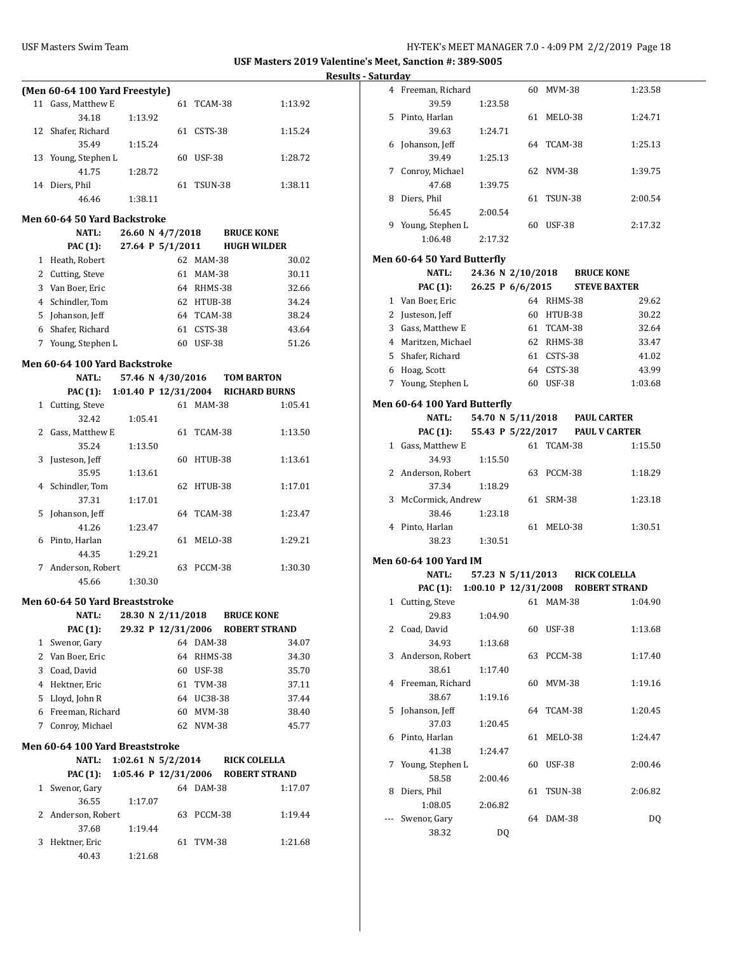|                              | (Men 60-64 100 Yard Freestyle) |                  |    |               |         |  |  |  |
|------------------------------|--------------------------------|------------------|----|---------------|---------|--|--|--|
| 11                           | Gass, Matthew E                |                  |    | 61 TCAM-38    | 1:13.92 |  |  |  |
|                              | 34.18                          | 1:13.92          |    |               |         |  |  |  |
|                              | 12 Shafer, Richard             |                  |    | 61 CSTS-38    | 1:15.24 |  |  |  |
|                              | 35.49                          | 1:15.24          |    |               |         |  |  |  |
|                              | 13 Young, Stephen L            |                  | 60 | <b>USF-38</b> | 1:28.72 |  |  |  |
|                              | 41.75                          | 1:28.72          |    |               |         |  |  |  |
|                              | 14 Diers, Phil                 |                  | 61 | TSUN-38       | 1:38.11 |  |  |  |
|                              | 46.46                          | 1:38.11          |    |               |         |  |  |  |
| Men 60-64 50 Yard Backstroke |                                |                  |    |               |         |  |  |  |
|                              | NATI -                         | 26.60 N 4/7/2018 |    | RRIICE KONF   |         |  |  |  |

|   | IVAL L.            | 40.00 N T/1/4010 |               | DIVAL IVAN P       |
|---|--------------------|------------------|---------------|--------------------|
|   | <b>PAC</b> (1):    | 27.64 P 5/1/2011 |               | <b>HUGH WILDER</b> |
| 1 | Heath, Robert      | 62               | MAM-38        | 30.02              |
|   | 2 Cutting, Steve   | 61               | <b>MAM-38</b> | 30.11              |
|   | 3 Van Boer, Eric   | 64               | RHMS-38       | 32.66              |
|   | 4 Schindler, Tom   |                  | 62 HTUB-38    | 34.24              |
|   | 5 Johanson, Jeff   |                  | 64 TCAM-38    | 38.24              |
| 6 | Shafer, Richard    | 61               | CSTS-38       | 43.64              |
|   | 7 Young, Stephen L | 60               | <b>USF-38</b> | 51.26              |
|   |                    |                  |               |                    |

### **Men 60-64 100 Yard Backstroke**

|   | <b>NATL:</b>     | 57.46 N 4/30/2016      |    |            | <b>TOM BARTON</b>    |         |
|---|------------------|------------------------|----|------------|----------------------|---------|
|   | PAC (1):         | 1:01.40 P $12/31/2004$ |    |            | <b>RICHARD BURNS</b> |         |
| 1 | Cutting, Steve   |                        | 61 | MAM-38     |                      | 1:05.41 |
|   | 32.42            | 1:05.41                |    |            |                      |         |
| 2 | Gass, Matthew E  |                        |    | 61 TCAM-38 |                      | 1:13.50 |
|   | 35.24            | 1:13.50                |    |            |                      |         |
| 3 | Justeson, Jeff   |                        | 60 | HTUB-38    |                      | 1:13.61 |
|   | 35.95            | 1:13.61                |    |            |                      |         |
| 4 | Schindler, Tom   |                        |    | 62 HTUB-38 |                      | 1:17.01 |
|   | 37.31            | 1:17.01                |    |            |                      |         |
|   | 5 Johanson, Jeff |                        |    | 64 TCAM-38 |                      | 1:23.47 |
|   | 41.26            | 1:23.47                |    |            |                      |         |
| 6 | Pinto, Harlan    |                        | 61 | MELO-38    |                      | 1:29.21 |
|   | 44.35            | 1:29.21                |    |            |                      |         |
| 7 | Anderson, Robert |                        | 63 | PCCM-38    |                      | 1:30.30 |
|   | 45.66            | 1:30.30                |    |            |                      |         |

#### **Men 60-64 50 Yard Breaststroke**

|    | <b>NATL:</b>     |  | 28.30 N 2/11/2018  |               | <b>BRUCE KONE</b>    |       |
|----|------------------|--|--------------------|---------------|----------------------|-------|
|    | PAC (1):         |  | 29.32 P 12/31/2006 |               | <b>ROBERT STRAND</b> |       |
|    | 1 Swenor, Gary   |  | 64                 | DAM-38        |                      | 34.07 |
|    | 2 Van Boer, Eric |  | 64                 | RHMS-38       |                      | 34.30 |
| 3  | Coad, David      |  | 60                 | <b>USF-38</b> |                      | 35.70 |
| 4  | Hektner, Eric    |  | 61                 | TVM-38        |                      | 37.11 |
| 5  | Lloyd, John R    |  | 64                 | UC38-38       |                      | 37.44 |
| 6. | Freeman, Richard |  | 60                 | MVM-38        |                      | 38.40 |
|    | Conroy, Michael  |  |                    | 62 NVM-38     |                      | 45.77 |
|    |                  |  |                    |               |                      |       |

#### **Men 60-64 100 Yard Breaststroke**

|   | <b>NATL:</b>       | 1:02.61 N $5/2/2014$ |     |                | <b>RICK COLELLA</b>  |
|---|--------------------|----------------------|-----|----------------|----------------------|
|   | <b>PAC (1):</b>    | 1:05.46 P 12/31/2006 |     |                | <b>ROBERT STRAND</b> |
| 1 | Swenor, Gary       |                      |     | 64 DAM-38      | 1:17.07              |
|   | 36.55              | 1:17.07              |     |                |                      |
|   | 2 Anderson, Robert |                      | 63  | <b>PCCM-38</b> | 1:19.44              |
|   | 37.68              | 1:19.44              |     |                |                      |
|   | 3 Hektner, Eric    |                      | 61. | TVM-38         | 1:21.68              |
|   | 40.43              | 1:21.68              |     |                |                      |

|   | 4 Freeman, Richard                          |         |                   |    | 60 MVM-38     |                                    | 1:23.58 |
|---|---------------------------------------------|---------|-------------------|----|---------------|------------------------------------|---------|
|   | 39.59                                       | 1:23.58 |                   |    |               |                                    |         |
| 5 | Pinto, Harlan                               |         |                   | 61 | MELO-38       |                                    | 1:24.71 |
|   | 39.63                                       | 1:24.71 |                   |    |               |                                    |         |
| 6 | Johanson, Jeff                              |         |                   |    | 64 TCAM-38    |                                    | 1:25.13 |
|   | 39.49                                       | 1:25.13 |                   |    |               |                                    |         |
| 7 | Conroy, Michael                             |         |                   | 62 | <b>NVM-38</b> |                                    | 1:39.75 |
|   | 47.68                                       | 1:39.75 |                   |    |               |                                    |         |
| 8 | Diers, Phil                                 |         |                   | 61 | TSUN-38       |                                    | 2:00.54 |
|   | 56.45                                       | 2:00.54 |                   |    |               |                                    |         |
|   | 9 Young, Stephen L                          |         |                   | 60 | USF-38        |                                    | 2:17.32 |
|   | 1:06.48                                     | 2:17.32 |                   |    |               |                                    |         |
|   |                                             |         |                   |    |               |                                    |         |
|   | Men 60-64 50 Yard Butterfly<br><b>NATL:</b> |         | 24.36 N 2/10/2018 |    |               | <b>BRUCE KONE</b>                  |         |
|   | <b>PAC</b> (1):                             |         | 26.25 P 6/6/2015  |    |               | <b>STEVE BAXTER</b>                |         |
|   | 1 Van Boer, Eric                            |         |                   |    | 64 RHMS-38    |                                    | 29.62   |
|   | 2 Justeson, Jeff                            |         |                   |    | 60 HTUB-38    |                                    | 30.22   |
|   |                                             |         |                   |    |               |                                    | 32.64   |
|   | 3 Gass, Matthew E                           |         |                   |    | 61 TCAM-38    |                                    |         |
|   | 4 Maritzen, Michael                         |         |                   |    | 62 RHMS-38    |                                    | 33.47   |
|   | 5 Shafer, Richard                           |         |                   |    | 61 CSTS-38    |                                    | 41.02   |
|   | 6 Hoag, Scott                               |         |                   |    | 64 CSTS-38    |                                    | 43.99   |
|   | 7 Young, Stephen L                          |         |                   |    | 60 USF-38     |                                    | 1:03.68 |
|   | Men 60-64 100 Yard Butterfly                |         |                   |    |               |                                    |         |
|   | <b>NATL:</b>                                |         |                   |    |               | 54.70 N 5/11/2018 PAUL CARTER      |         |
|   | <b>PAC (1):</b>                             |         | 55.43 P 5/22/2017 |    |               | <b>PAUL V CARTER</b>               |         |
|   | 1 Gass, Matthew E                           |         |                   | 61 | TCAM-38       |                                    | 1:15.50 |
|   | 34.93                                       | 1:15.50 |                   |    |               |                                    |         |
|   | 2 Anderson, Robert                          |         |                   | 63 | PCCM-38       |                                    | 1:18.29 |
|   | 37.34                                       | 1:18.29 |                   |    |               |                                    |         |
| 3 | McCormick, Andrew                           |         |                   | 61 | <b>SRM-38</b> |                                    | 1:23.18 |
|   | 38.46                                       | 1:23.18 |                   |    |               |                                    |         |
|   | 4 Pinto, Harlan                             |         |                   |    | 61 MELO-38    |                                    | 1:30.51 |
|   | 38.23                                       | 1:30.51 |                   |    |               |                                    |         |
|   | Men 60-64 100 Yard IM                       |         |                   |    |               |                                    |         |
|   | <b>NATL:</b>                                |         |                   |    |               | 57.23 N 5/11/2013 RICK COLELLA     |         |
|   | <b>PAC (1):</b>                             |         |                   |    |               | 1:00.10 P 12/31/2008 ROBERT STRAND |         |
|   | 1 Cutting, Steve                            |         |                   |    | 61 MAM-38     |                                    | 1:04.90 |
|   | 29.83                                       | 1:04.90 |                   |    |               |                                    |         |
| 2 | Coad, David                                 |         |                   | 60 | <b>USF-38</b> |                                    | 1:13.68 |
|   | 34.93                                       | 1:13.68 |                   |    |               |                                    |         |
| 3 | Anderson, Robert                            |         |                   | 63 | PCCM-38       |                                    | 1:17.40 |
|   | 38.61                                       | 1:17.40 |                   |    |               |                                    |         |
| 4 | Freeman, Richard                            |         |                   | 60 | MVM-38        |                                    | 1:19.16 |
|   | 38.67                                       | 1:19.16 |                   |    |               |                                    |         |
| 5 | Johanson, Jeff                              |         |                   | 64 | TCAM-38       |                                    | 1:20.45 |
|   | 37.03                                       | 1:20.45 |                   |    |               |                                    |         |
| 6 | Pinto, Harlan                               |         |                   | 61 | MELO-38       |                                    | 1:24.47 |
|   | 41.38                                       | 1:24.47 |                   |    |               |                                    |         |
| 7 | Young, Stephen L                            |         |                   | 60 | <b>USF-38</b> |                                    | 2:00.46 |
|   |                                             |         |                   |    |               |                                    |         |
| 8 | 58.58                                       | 2:00.46 |                   |    |               |                                    |         |
|   | Diers, Phil                                 |         |                   | 61 | TSUN-38       |                                    | 2:06.82 |
|   | 1:08.05                                     | 2:06.82 |                   |    |               |                                    |         |
|   | Swenor, Gary                                |         |                   | 64 | DAM-38        |                                    | DQ      |
|   | 38.32                                       |         | DQ                |    |               |                                    |         |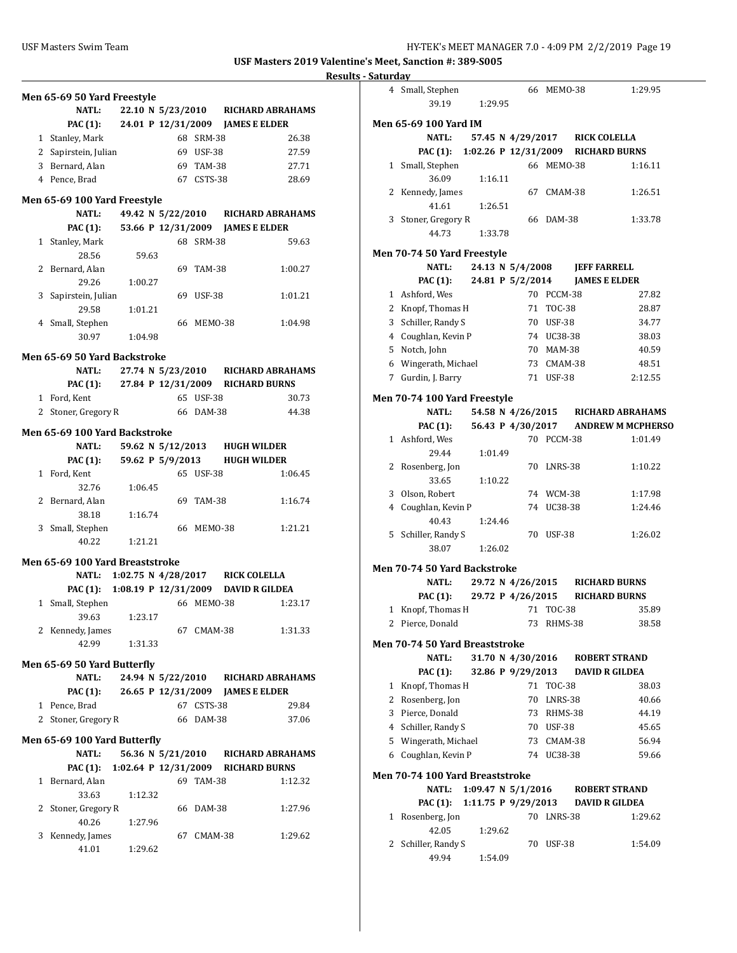| 22.10 N 5/23/2010 RICHARD ABRAHAMS<br><b>NATL:</b><br>PAC (1): 24.01 P 12/31/2009 JAMES E ELDER<br>1 Stanley, Mark<br>68 SRM-38<br>2 Sapirstein, Julian<br>69 USF-38<br>3 Bernard, Alan<br>69 TAM-38<br>4 Pence, Brad<br>67 CSTS-38<br>Men 65-69 100 Yard Freestyle<br>49.42 N 5/22/2010<br><b>NATL:</b><br><b>RICHARD ABRAHAMS</b><br>53.66 P 12/31/2009<br>PAC (1):<br><b>JAMES E ELDER</b><br>1 Stanley, Mark<br>68 SRM-38<br>28.56<br>59.63<br>2 Bernard, Alan<br>69 TAM-38<br>29.26<br>1:00.27<br>3 Sapirstein, Julian<br>69 USF-38<br>1:01.21<br>29.58<br>4 Small, Stephen<br>66 MEM0-38<br>30.97<br>1:04.98<br>Men 65-69 50 Yard Backstroke<br>27.74 N 5/23/2010 RICHARD ABRAHAMS<br><b>NATL:</b><br>PAC (1): 27.84 P 12/31/2009 RICHARD BURNS<br>1 Ford, Kent<br>65 USF-38<br>2 Stoner, Gregory R<br>66 DAM-38<br>Men 65-69 100 Yard Backstroke<br>59.62 N 5/12/2013 HUGH WILDER<br>NATL:<br>59.62 P 5/9/2013 HUGH WILDER<br><b>PAC (1):</b><br>1 Ford, Kent<br>65 USF-38<br>32.76<br>1:06.45<br>2 Bernard, Alan<br>69 TAM-38<br>38.18<br>1:16.74<br>3 Small, Stephen<br>66 MEMO-38<br>40.22<br>1:21.21<br>Men 65-69 100 Yard Breaststroke<br>1:02.75 N 4/28/2017 RICK COLELLA<br><b>NATL:</b><br>1:08.19 P 12/31/2009 DAVID R GILDEA<br>PAC (1):<br>Small, Stephen<br>66 MEMO-38<br>1<br>39.63<br>1:23.17<br>2 Kennedy, James<br>67 CMAM-38<br>42.99<br>1:31.33<br>Men 65-69 50 Yard Butterfly<br><b>NATL:</b><br>24.94 N 5/22/2010 RICHARD ABRAHAMS<br>26.65 P 12/31/2009 JAMES E ELDER<br><b>PAC (1):</b><br>1 Pence, Brad<br>67 CSTS-38<br>Stoner, Gregory R<br>2<br>66 DAM-38<br>Men 65-69 100 Yard Butterfly<br>56.36 N 5/21/2010 RICHARD ABRAHAMS<br><b>NATL:</b><br>1:02.64 P 12/31/2009 RICHARD BURNS<br>PAC (1):<br>Bernard, Alan<br>69 TAM-38<br>1.<br>33.63<br>1:12.32<br>2<br>Stoner, Gregory R<br>66<br>DAM-38 | Men 65-69 50 Yard Freestyle |  |  |         |
|--------------------------------------------------------------------------------------------------------------------------------------------------------------------------------------------------------------------------------------------------------------------------------------------------------------------------------------------------------------------------------------------------------------------------------------------------------------------------------------------------------------------------------------------------------------------------------------------------------------------------------------------------------------------------------------------------------------------------------------------------------------------------------------------------------------------------------------------------------------------------------------------------------------------------------------------------------------------------------------------------------------------------------------------------------------------------------------------------------------------------------------------------------------------------------------------------------------------------------------------------------------------------------------------------------------------------------------------------------------------------------------------------------------------------------------------------------------------------------------------------------------------------------------------------------------------------------------------------------------------------------------------------------------------------------------------------------------------------------------------------------------------------------------------------------------------------------------|-----------------------------|--|--|---------|
|                                                                                                                                                                                                                                                                                                                                                                                                                                                                                                                                                                                                                                                                                                                                                                                                                                                                                                                                                                                                                                                                                                                                                                                                                                                                                                                                                                                                                                                                                                                                                                                                                                                                                                                                                                                                                                      |                             |  |  |         |
|                                                                                                                                                                                                                                                                                                                                                                                                                                                                                                                                                                                                                                                                                                                                                                                                                                                                                                                                                                                                                                                                                                                                                                                                                                                                                                                                                                                                                                                                                                                                                                                                                                                                                                                                                                                                                                      |                             |  |  |         |
|                                                                                                                                                                                                                                                                                                                                                                                                                                                                                                                                                                                                                                                                                                                                                                                                                                                                                                                                                                                                                                                                                                                                                                                                                                                                                                                                                                                                                                                                                                                                                                                                                                                                                                                                                                                                                                      |                             |  |  | 26.38   |
|                                                                                                                                                                                                                                                                                                                                                                                                                                                                                                                                                                                                                                                                                                                                                                                                                                                                                                                                                                                                                                                                                                                                                                                                                                                                                                                                                                                                                                                                                                                                                                                                                                                                                                                                                                                                                                      |                             |  |  | 27.59   |
|                                                                                                                                                                                                                                                                                                                                                                                                                                                                                                                                                                                                                                                                                                                                                                                                                                                                                                                                                                                                                                                                                                                                                                                                                                                                                                                                                                                                                                                                                                                                                                                                                                                                                                                                                                                                                                      |                             |  |  | 27.71   |
|                                                                                                                                                                                                                                                                                                                                                                                                                                                                                                                                                                                                                                                                                                                                                                                                                                                                                                                                                                                                                                                                                                                                                                                                                                                                                                                                                                                                                                                                                                                                                                                                                                                                                                                                                                                                                                      |                             |  |  | 28.69   |
|                                                                                                                                                                                                                                                                                                                                                                                                                                                                                                                                                                                                                                                                                                                                                                                                                                                                                                                                                                                                                                                                                                                                                                                                                                                                                                                                                                                                                                                                                                                                                                                                                                                                                                                                                                                                                                      |                             |  |  |         |
|                                                                                                                                                                                                                                                                                                                                                                                                                                                                                                                                                                                                                                                                                                                                                                                                                                                                                                                                                                                                                                                                                                                                                                                                                                                                                                                                                                                                                                                                                                                                                                                                                                                                                                                                                                                                                                      |                             |  |  |         |
|                                                                                                                                                                                                                                                                                                                                                                                                                                                                                                                                                                                                                                                                                                                                                                                                                                                                                                                                                                                                                                                                                                                                                                                                                                                                                                                                                                                                                                                                                                                                                                                                                                                                                                                                                                                                                                      |                             |  |  |         |
|                                                                                                                                                                                                                                                                                                                                                                                                                                                                                                                                                                                                                                                                                                                                                                                                                                                                                                                                                                                                                                                                                                                                                                                                                                                                                                                                                                                                                                                                                                                                                                                                                                                                                                                                                                                                                                      |                             |  |  | 59.63   |
|                                                                                                                                                                                                                                                                                                                                                                                                                                                                                                                                                                                                                                                                                                                                                                                                                                                                                                                                                                                                                                                                                                                                                                                                                                                                                                                                                                                                                                                                                                                                                                                                                                                                                                                                                                                                                                      |                             |  |  |         |
|                                                                                                                                                                                                                                                                                                                                                                                                                                                                                                                                                                                                                                                                                                                                                                                                                                                                                                                                                                                                                                                                                                                                                                                                                                                                                                                                                                                                                                                                                                                                                                                                                                                                                                                                                                                                                                      |                             |  |  | 1:00.27 |
|                                                                                                                                                                                                                                                                                                                                                                                                                                                                                                                                                                                                                                                                                                                                                                                                                                                                                                                                                                                                                                                                                                                                                                                                                                                                                                                                                                                                                                                                                                                                                                                                                                                                                                                                                                                                                                      |                             |  |  |         |
|                                                                                                                                                                                                                                                                                                                                                                                                                                                                                                                                                                                                                                                                                                                                                                                                                                                                                                                                                                                                                                                                                                                                                                                                                                                                                                                                                                                                                                                                                                                                                                                                                                                                                                                                                                                                                                      |                             |  |  | 1:01.21 |
|                                                                                                                                                                                                                                                                                                                                                                                                                                                                                                                                                                                                                                                                                                                                                                                                                                                                                                                                                                                                                                                                                                                                                                                                                                                                                                                                                                                                                                                                                                                                                                                                                                                                                                                                                                                                                                      |                             |  |  |         |
|                                                                                                                                                                                                                                                                                                                                                                                                                                                                                                                                                                                                                                                                                                                                                                                                                                                                                                                                                                                                                                                                                                                                                                                                                                                                                                                                                                                                                                                                                                                                                                                                                                                                                                                                                                                                                                      |                             |  |  | 1:04.98 |
|                                                                                                                                                                                                                                                                                                                                                                                                                                                                                                                                                                                                                                                                                                                                                                                                                                                                                                                                                                                                                                                                                                                                                                                                                                                                                                                                                                                                                                                                                                                                                                                                                                                                                                                                                                                                                                      |                             |  |  |         |
|                                                                                                                                                                                                                                                                                                                                                                                                                                                                                                                                                                                                                                                                                                                                                                                                                                                                                                                                                                                                                                                                                                                                                                                                                                                                                                                                                                                                                                                                                                                                                                                                                                                                                                                                                                                                                                      |                             |  |  |         |
|                                                                                                                                                                                                                                                                                                                                                                                                                                                                                                                                                                                                                                                                                                                                                                                                                                                                                                                                                                                                                                                                                                                                                                                                                                                                                                                                                                                                                                                                                                                                                                                                                                                                                                                                                                                                                                      |                             |  |  |         |
|                                                                                                                                                                                                                                                                                                                                                                                                                                                                                                                                                                                                                                                                                                                                                                                                                                                                                                                                                                                                                                                                                                                                                                                                                                                                                                                                                                                                                                                                                                                                                                                                                                                                                                                                                                                                                                      |                             |  |  |         |
|                                                                                                                                                                                                                                                                                                                                                                                                                                                                                                                                                                                                                                                                                                                                                                                                                                                                                                                                                                                                                                                                                                                                                                                                                                                                                                                                                                                                                                                                                                                                                                                                                                                                                                                                                                                                                                      |                             |  |  | 30.73   |
|                                                                                                                                                                                                                                                                                                                                                                                                                                                                                                                                                                                                                                                                                                                                                                                                                                                                                                                                                                                                                                                                                                                                                                                                                                                                                                                                                                                                                                                                                                                                                                                                                                                                                                                                                                                                                                      |                             |  |  | 44.38   |
|                                                                                                                                                                                                                                                                                                                                                                                                                                                                                                                                                                                                                                                                                                                                                                                                                                                                                                                                                                                                                                                                                                                                                                                                                                                                                                                                                                                                                                                                                                                                                                                                                                                                                                                                                                                                                                      |                             |  |  |         |
|                                                                                                                                                                                                                                                                                                                                                                                                                                                                                                                                                                                                                                                                                                                                                                                                                                                                                                                                                                                                                                                                                                                                                                                                                                                                                                                                                                                                                                                                                                                                                                                                                                                                                                                                                                                                                                      |                             |  |  |         |
|                                                                                                                                                                                                                                                                                                                                                                                                                                                                                                                                                                                                                                                                                                                                                                                                                                                                                                                                                                                                                                                                                                                                                                                                                                                                                                                                                                                                                                                                                                                                                                                                                                                                                                                                                                                                                                      |                             |  |  |         |
|                                                                                                                                                                                                                                                                                                                                                                                                                                                                                                                                                                                                                                                                                                                                                                                                                                                                                                                                                                                                                                                                                                                                                                                                                                                                                                                                                                                                                                                                                                                                                                                                                                                                                                                                                                                                                                      |                             |  |  |         |
|                                                                                                                                                                                                                                                                                                                                                                                                                                                                                                                                                                                                                                                                                                                                                                                                                                                                                                                                                                                                                                                                                                                                                                                                                                                                                                                                                                                                                                                                                                                                                                                                                                                                                                                                                                                                                                      |                             |  |  | 1:06.45 |
|                                                                                                                                                                                                                                                                                                                                                                                                                                                                                                                                                                                                                                                                                                                                                                                                                                                                                                                                                                                                                                                                                                                                                                                                                                                                                                                                                                                                                                                                                                                                                                                                                                                                                                                                                                                                                                      |                             |  |  |         |
|                                                                                                                                                                                                                                                                                                                                                                                                                                                                                                                                                                                                                                                                                                                                                                                                                                                                                                                                                                                                                                                                                                                                                                                                                                                                                                                                                                                                                                                                                                                                                                                                                                                                                                                                                                                                                                      |                             |  |  | 1:16.74 |
|                                                                                                                                                                                                                                                                                                                                                                                                                                                                                                                                                                                                                                                                                                                                                                                                                                                                                                                                                                                                                                                                                                                                                                                                                                                                                                                                                                                                                                                                                                                                                                                                                                                                                                                                                                                                                                      |                             |  |  |         |
|                                                                                                                                                                                                                                                                                                                                                                                                                                                                                                                                                                                                                                                                                                                                                                                                                                                                                                                                                                                                                                                                                                                                                                                                                                                                                                                                                                                                                                                                                                                                                                                                                                                                                                                                                                                                                                      |                             |  |  | 1:21.21 |
|                                                                                                                                                                                                                                                                                                                                                                                                                                                                                                                                                                                                                                                                                                                                                                                                                                                                                                                                                                                                                                                                                                                                                                                                                                                                                                                                                                                                                                                                                                                                                                                                                                                                                                                                                                                                                                      |                             |  |  |         |
|                                                                                                                                                                                                                                                                                                                                                                                                                                                                                                                                                                                                                                                                                                                                                                                                                                                                                                                                                                                                                                                                                                                                                                                                                                                                                                                                                                                                                                                                                                                                                                                                                                                                                                                                                                                                                                      |                             |  |  |         |
|                                                                                                                                                                                                                                                                                                                                                                                                                                                                                                                                                                                                                                                                                                                                                                                                                                                                                                                                                                                                                                                                                                                                                                                                                                                                                                                                                                                                                                                                                                                                                                                                                                                                                                                                                                                                                                      |                             |  |  |         |
|                                                                                                                                                                                                                                                                                                                                                                                                                                                                                                                                                                                                                                                                                                                                                                                                                                                                                                                                                                                                                                                                                                                                                                                                                                                                                                                                                                                                                                                                                                                                                                                                                                                                                                                                                                                                                                      |                             |  |  |         |
|                                                                                                                                                                                                                                                                                                                                                                                                                                                                                                                                                                                                                                                                                                                                                                                                                                                                                                                                                                                                                                                                                                                                                                                                                                                                                                                                                                                                                                                                                                                                                                                                                                                                                                                                                                                                                                      |                             |  |  | 1:23.17 |
|                                                                                                                                                                                                                                                                                                                                                                                                                                                                                                                                                                                                                                                                                                                                                                                                                                                                                                                                                                                                                                                                                                                                                                                                                                                                                                                                                                                                                                                                                                                                                                                                                                                                                                                                                                                                                                      |                             |  |  |         |
|                                                                                                                                                                                                                                                                                                                                                                                                                                                                                                                                                                                                                                                                                                                                                                                                                                                                                                                                                                                                                                                                                                                                                                                                                                                                                                                                                                                                                                                                                                                                                                                                                                                                                                                                                                                                                                      |                             |  |  | 1:31.33 |
|                                                                                                                                                                                                                                                                                                                                                                                                                                                                                                                                                                                                                                                                                                                                                                                                                                                                                                                                                                                                                                                                                                                                                                                                                                                                                                                                                                                                                                                                                                                                                                                                                                                                                                                                                                                                                                      |                             |  |  |         |
|                                                                                                                                                                                                                                                                                                                                                                                                                                                                                                                                                                                                                                                                                                                                                                                                                                                                                                                                                                                                                                                                                                                                                                                                                                                                                                                                                                                                                                                                                                                                                                                                                                                                                                                                                                                                                                      |                             |  |  |         |
|                                                                                                                                                                                                                                                                                                                                                                                                                                                                                                                                                                                                                                                                                                                                                                                                                                                                                                                                                                                                                                                                                                                                                                                                                                                                                                                                                                                                                                                                                                                                                                                                                                                                                                                                                                                                                                      |                             |  |  |         |
|                                                                                                                                                                                                                                                                                                                                                                                                                                                                                                                                                                                                                                                                                                                                                                                                                                                                                                                                                                                                                                                                                                                                                                                                                                                                                                                                                                                                                                                                                                                                                                                                                                                                                                                                                                                                                                      |                             |  |  |         |
|                                                                                                                                                                                                                                                                                                                                                                                                                                                                                                                                                                                                                                                                                                                                                                                                                                                                                                                                                                                                                                                                                                                                                                                                                                                                                                                                                                                                                                                                                                                                                                                                                                                                                                                                                                                                                                      |                             |  |  | 29.84   |
|                                                                                                                                                                                                                                                                                                                                                                                                                                                                                                                                                                                                                                                                                                                                                                                                                                                                                                                                                                                                                                                                                                                                                                                                                                                                                                                                                                                                                                                                                                                                                                                                                                                                                                                                                                                                                                      |                             |  |  | 37.06   |
|                                                                                                                                                                                                                                                                                                                                                                                                                                                                                                                                                                                                                                                                                                                                                                                                                                                                                                                                                                                                                                                                                                                                                                                                                                                                                                                                                                                                                                                                                                                                                                                                                                                                                                                                                                                                                                      |                             |  |  |         |
|                                                                                                                                                                                                                                                                                                                                                                                                                                                                                                                                                                                                                                                                                                                                                                                                                                                                                                                                                                                                                                                                                                                                                                                                                                                                                                                                                                                                                                                                                                                                                                                                                                                                                                                                                                                                                                      |                             |  |  |         |
|                                                                                                                                                                                                                                                                                                                                                                                                                                                                                                                                                                                                                                                                                                                                                                                                                                                                                                                                                                                                                                                                                                                                                                                                                                                                                                                                                                                                                                                                                                                                                                                                                                                                                                                                                                                                                                      |                             |  |  |         |
|                                                                                                                                                                                                                                                                                                                                                                                                                                                                                                                                                                                                                                                                                                                                                                                                                                                                                                                                                                                                                                                                                                                                                                                                                                                                                                                                                                                                                                                                                                                                                                                                                                                                                                                                                                                                                                      |                             |  |  | 1:12.32 |
|                                                                                                                                                                                                                                                                                                                                                                                                                                                                                                                                                                                                                                                                                                                                                                                                                                                                                                                                                                                                                                                                                                                                                                                                                                                                                                                                                                                                                                                                                                                                                                                                                                                                                                                                                                                                                                      |                             |  |  |         |
|                                                                                                                                                                                                                                                                                                                                                                                                                                                                                                                                                                                                                                                                                                                                                                                                                                                                                                                                                                                                                                                                                                                                                                                                                                                                                                                                                                                                                                                                                                                                                                                                                                                                                                                                                                                                                                      |                             |  |  | 1:27.96 |
| 1:27.96                                                                                                                                                                                                                                                                                                                                                                                                                                                                                                                                                                                                                                                                                                                                                                                                                                                                                                                                                                                                                                                                                                                                                                                                                                                                                                                                                                                                                                                                                                                                                                                                                                                                                                                                                                                                                              |                             |  |  |         |
| 3 Kennedy, James<br>67 CMAM-38                                                                                                                                                                                                                                                                                                                                                                                                                                                                                                                                                                                                                                                                                                                                                                                                                                                                                                                                                                                                                                                                                                                                                                                                                                                                                                                                                                                                                                                                                                                                                                                                                                                                                                                                                                                                       |                             |  |  |         |
| 41.01<br>1:29.62                                                                                                                                                                                                                                                                                                                                                                                                                                                                                                                                                                                                                                                                                                                                                                                                                                                                                                                                                                                                                                                                                                                                                                                                                                                                                                                                                                                                                                                                                                                                                                                                                                                                                                                                                                                                                     | 40.26                       |  |  | 1:29.62 |

|           | 4 Small, Stephen                            |                      |  | 66 MEMO-38 |                                    | 1:29.95                            |
|-----------|---------------------------------------------|----------------------|--|------------|------------------------------------|------------------------------------|
|           | 39.19                                       | 1:29.95              |  |            |                                    |                                    |
|           | Men 65-69 100 Yard IM                       |                      |  |            |                                    |                                    |
|           | <b>NATL:</b>                                |                      |  |            | 57.45 N 4/29/2017 RICK COLELLA     |                                    |
|           | PAC (1): 1:02.26 P 12/31/2009 RICHARD BURNS |                      |  |            |                                    |                                    |
|           | 1 Small, Stephen                            |                      |  | 66 MEMO-38 |                                    | 1:16.11                            |
|           | 36.09                                       | 1:16.11              |  |            |                                    |                                    |
|           | 2 Kennedy, James                            |                      |  | 67 CMAM-38 |                                    | 1:26.51                            |
|           | 41.61                                       | 1:26.51              |  |            |                                    |                                    |
|           | 3 Stoner, Gregory R                         |                      |  | 66 DAM-38  |                                    | 1:33.78                            |
|           | 44.73                                       | 1:33.78              |  |            |                                    |                                    |
|           | Men 70-74 50 Yard Freestyle                 |                      |  |            |                                    |                                    |
|           | <b>NATL:</b>                                | 24.13 N 5/4/2008     |  |            | <b>JEFF FARRELL</b>                |                                    |
|           | <b>PAC (1):</b>                             | 24.81 P 5/2/2014     |  |            | <b>JAMES E ELDER</b>               |                                    |
|           |                                             |                      |  | 70 PCCM-38 |                                    |                                    |
|           | 1 Ashford, Wes                              |                      |  |            |                                    | 27.82                              |
|           | 2 Knopf, Thomas H                           |                      |  | 71 TOC-38  |                                    | 28.87                              |
|           | 3 Schiller, Randy S                         |                      |  | 70 USF-38  |                                    | 34.77                              |
|           | 4 Coughlan, Kevin P                         |                      |  | 74 UC38-38 |                                    | 38.03                              |
|           | 5 Notch, John                               |                      |  | 70 MAM-38  |                                    | 40.59                              |
|           | 6 Wingerath, Michael                        |                      |  | 73 CMAM-38 |                                    | 48.51                              |
|           | 7 Gurdin, J. Barry                          |                      |  | 71 USF-38  |                                    | 2:12.55                            |
|           | Men 70-74 100 Yard Freestyle                |                      |  |            |                                    |                                    |
|           | NATL:                                       |                      |  |            |                                    | 54.58 N 4/26/2015 RICHARD ABRAHAMS |
|           | <b>PAC (1):</b>                             | 56.43 P 4/30/2017    |  |            |                                    | <b>ANDREW M MCPHERSO</b>           |
|           | 1 Ashford, Wes                              |                      |  | 70 PCCM-38 |                                    | 1:01.49                            |
|           | 29.44                                       | 1:01.49              |  |            |                                    |                                    |
|           | 2 Rosenberg, Jon                            |                      |  | 70 LNRS-38 |                                    | 1:10.22                            |
|           | 33.65                                       | 1:10.22              |  |            |                                    |                                    |
|           | 3 Olson, Robert                             |                      |  | 74 WCM-38  |                                    | 1:17.98                            |
|           | 4 Coughlan, Kevin P                         |                      |  | 74 UC38-38 |                                    | 1:24.46                            |
|           | 40.43                                       | 1:24.46              |  |            |                                    |                                    |
|           | 5 Schiller, Randy S                         |                      |  | 70 USF-38  |                                    | 1:26.02                            |
|           | 38.07                                       | 1:26.02              |  |            |                                    |                                    |
|           |                                             |                      |  |            |                                    |                                    |
|           | Men 70-74 50 Yard Backstroke                |                      |  |            |                                    |                                    |
|           | NATL:                                       | 29.72 N 4/26/2015    |  |            | <b>RICHARD BURNS</b>               |                                    |
|           | PAC (1): 29.72 P 4/26/2015                  |                      |  |            | <b>RICHARD BURNS</b>               |                                    |
| $1 \quad$ | Knopf, Thomas H                             |                      |  | 71 TOC-38  |                                    | 35.89                              |
|           | 2 Pierce, Donald                            |                      |  | 73 RHMS-38 |                                    | 38.58                              |
|           | Men 70-74 50 Yard Breaststroke              |                      |  |            |                                    |                                    |
|           | <b>NATL:</b>                                | 31.70 N 4/30/2016    |  |            | <b>ROBERT STRAND</b>               |                                    |
|           | <b>PAC (1):</b>                             | 32.86 P 9/29/2013    |  |            | <b>DAVID R GILDEA</b>              |                                    |
|           | 1 Knopf, Thomas H                           |                      |  | 71 TOC-38  |                                    | 38.03                              |
|           | 2 Rosenberg, Jon                            |                      |  | 70 LNRS-38 |                                    | 40.66                              |
|           | 3 Pierce, Donald                            |                      |  |            |                                    |                                    |
|           |                                             |                      |  | 73 RHMS-38 |                                    | 44.19                              |
|           | 4 Schiller, Randy S                         |                      |  | 70 USF-38  |                                    | 45.65                              |
|           | 5 Wingerath, Michael                        |                      |  | 73 CMAM-38 |                                    | 56.94                              |
|           | 6 Coughlan, Kevin P                         |                      |  | 74 UC38-38 |                                    | 59.66                              |
|           | Men 70-74 100 Yard Breaststroke             |                      |  |            |                                    |                                    |
|           | <b>NATL:</b>                                | 1:09.47 N $5/1/2016$ |  |            | <b>ROBERT STRAND</b>               |                                    |
|           | <b>PAC (1):</b>                             |                      |  |            | 1:11.75 P 9/29/2013 DAVID R GILDEA |                                    |
| 1         | Rosenberg, Jon                              |                      |  | 70 LNRS-38 |                                    | 1:29.62                            |
|           | 42.05                                       | 1:29.62              |  |            |                                    |                                    |
| 2         | Schiller, Randy S                           |                      |  | 70 USF-38  |                                    | 1:54.09                            |
|           | 49.94                                       | 1:54.09              |  |            |                                    |                                    |
|           |                                             |                      |  |            |                                    |                                    |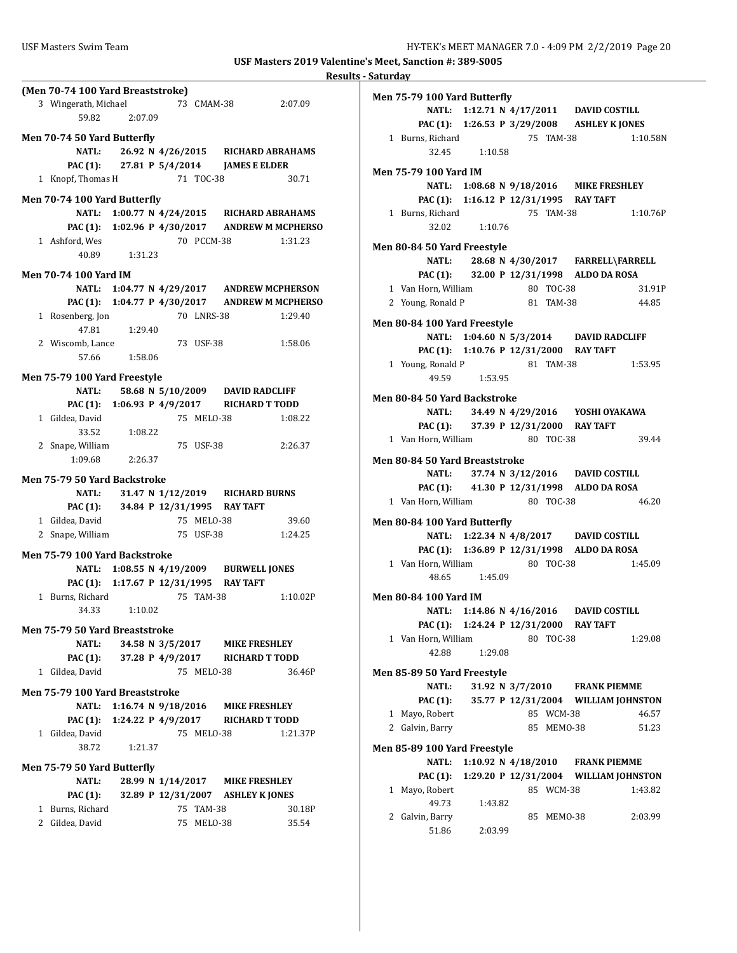|                                                                        |               |                  |            |                                                | Results - Saturday |          |
|------------------------------------------------------------------------|---------------|------------------|------------|------------------------------------------------|--------------------|----------|
| (Men 70-74 100 Yard Breaststroke)<br>3 Wingerath, Michael<br>59.82     | 2:07.09       |                  |            | 73 CMAM-38 2:07.09                             | Men 75-79          |          |
|                                                                        |               |                  |            |                                                |                    | P        |
| Men 70-74 50 Yard Butterfly                                            |               |                  |            |                                                |                    | 1 Burns  |
| NATL:                                                                  |               |                  |            | 26.92 N 4/26/2015 RICHARD ABRAHAMS             |                    |          |
| PAC (1): 27.81 P 5/4/2014 JAMES E ELDER<br>1 Knopf, Thomas H 71 TOC-38 |               |                  |            |                                                | Men 75-79          |          |
|                                                                        |               |                  |            | 30.71                                          |                    |          |
| Men 70-74 100 Yard Butterfly                                           |               |                  |            |                                                |                    | P        |
| <b>NATL:</b>                                                           |               |                  |            | 1:00.77 N 4/24/2015 RICHARD ABRAHAMS           |                    | 1 Burns  |
|                                                                        |               |                  |            | PAC (1): 1:02.96 P 4/30/2017 ANDREW M MCPHERSO |                    |          |
| 1 Ashford, Wes                                                         |               |                  | 70 PCCM-38 | 1:31.23                                        | Men 80-84          |          |
|                                                                        | 40.89 1:31.23 |                  |            |                                                |                    |          |
| <b>Men 70-74 100 Yard IM</b>                                           |               |                  |            |                                                |                    | P        |
| <b>NATL:</b>                                                           |               |                  |            | 1:04.77 N 4/29/2017 ANDREW MCPHERSON           |                    | 1 Van H  |
|                                                                        |               |                  |            | PAC (1): 1:04.77 P 4/30/2017 ANDREW M MCPHERSO |                    | 2 Young  |
| 1 Rosenberg, Jon                                                       |               |                  | 70 LNRS-38 | 1:29.40                                        | <b>Men 80-84</b>   |          |
| 47.81                                                                  | 1:29.40       |                  |            |                                                |                    |          |
| 2 Wiscomb, Lance                                                       |               |                  | 73 USF-38  | 1:58.06                                        |                    | P        |
| 57.66                                                                  | 1:58.06       |                  |            |                                                |                    | 1 Young  |
| Men 75-79 100 Yard Freestyle                                           |               |                  |            |                                                |                    |          |
| <b>NATL:</b>                                                           |               |                  |            | 58.68 N 5/10/2009 DAVID RADCLIFF               |                    |          |
|                                                                        |               |                  |            | PAC (1): 1:06.93 P 4/9/2017 RICHARD T TODD     | <b>Men 80-84</b>   |          |
| 1 Gildea, David                                                        |               |                  | 75 MELO-38 | 1:08.22                                        |                    |          |
| 33.52                                                                  | 1:08.22       |                  |            |                                                |                    | P.       |
| 2 Snape, William                                                       |               |                  | 75 USF-38  | 2:26.37                                        |                    | 1 Van H  |
| 1:09.68                                                                | 2:26.37       |                  |            |                                                | Men 80-84          |          |
| Men 75-79 50 Yard Backstroke                                           |               |                  |            |                                                |                    |          |
| <b>NATL:</b>                                                           |               |                  |            | 31.47 N 1/12/2019 RICHARD BURNS                |                    | P.       |
| PAC (1): 34.84 P 12/31/1995 RAY TAFT                                   |               |                  |            |                                                |                    | 1 Van H  |
| 1 Gildea, David                                                        |               |                  | 75 MELO-38 | 39.60                                          | <b>Men 80-84</b>   |          |
| 2 Snape, William                                                       |               |                  | 75 USF-38  | 1:24.25                                        |                    |          |
|                                                                        |               |                  |            |                                                |                    | P        |
| Men 75-79 100 Yard Backstroke<br><b>NATL:</b>                          |               |                  |            |                                                |                    | 1 Van H  |
| PAC (1): 1:17.67 P 12/31/1995 RAY TAFT                                 |               |                  |            | 1:08.55 N 4/19/2009 BURWELL JONES              |                    |          |
| 1 Burns, Richard                                                       |               |                  | 75 TAM-38  | 1:10.02P                                       | <b>Men 80-84</b>   |          |
| 34.33                                                                  | 1:10.02       |                  |            |                                                |                    |          |
|                                                                        |               |                  |            |                                                |                    | P        |
| Men 75-79 50 Yard Breaststroke                                         |               |                  |            |                                                |                    | 1 Van H  |
| <b>NATL:</b>                                                           |               |                  |            | 34.58 N 3/5/2017 MIKE FRESHLEY                 |                    |          |
| <b>PAC (1):</b>                                                        |               | 37.28 P 4/9/2017 |            | RICHARD T TODD                                 |                    |          |
| 1 Gildea, David                                                        |               |                  | 75 MELO-38 | 36.46P                                         | Men 85-89          |          |
| Men 75-79 100 Yard Breaststroke                                        |               |                  |            |                                                |                    |          |
| <b>NATL:</b>                                                           |               |                  |            | 1:16.74 N 9/18/2016 MIKE FRESHLEY              |                    | P.       |
| <b>PAC (1):</b>                                                        |               |                  |            | 1:24.22 P 4/9/2017 RICHARD T TODD              |                    | 1 Mayo,  |
| 1 Gildea, David                                                        |               |                  | 75 MELO-38 | 1:21.37P                                       |                    | 2 Galvir |
| 38.72                                                                  | 1:21.37       |                  |            |                                                | Men 85-89          |          |
| Men 75-79 50 Yard Butterfly                                            |               |                  |            |                                                |                    |          |
| NATL:                                                                  |               |                  |            | 28.99 N 1/14/2017 MIKE FRESHLEY                |                    | P        |
| <b>PAC (1):</b>                                                        |               |                  |            | 32.89 P 12/31/2007 ASHLEY K JONES              |                    | 1 Mayo,  |
| 1 Burns, Richard                                                       |               |                  | 75 TAM-38  | 30.18P                                         |                    |          |
| 2 Gildea, David                                                        |               |                  | 75 MELO-38 | 35.54                                          |                    | 2 Galvir |
|                                                                        |               |                  |            |                                                |                    |          |

|              | Men 75-79 100 Yard Butterfly       |                       |  |    |            |                                             |                                       |
|--------------|------------------------------------|-----------------------|--|----|------------|---------------------------------------------|---------------------------------------|
|              |                                    |                       |  |    |            | NATL: 1:12.71 N 4/17/2011 DAVID COSTILL     |                                       |
|              |                                    |                       |  |    |            | PAC (1): 1:26.53 P 3/29/2008 ASHLEY K JONES |                                       |
|              | 1 Burns, Richard                   |                       |  |    | 75 TAM-38  |                                             | 1:10.58N                              |
|              |                                    | 32.45 1:10.58         |  |    |            |                                             |                                       |
|              | Men 75-79 100 Yard IM              |                       |  |    |            |                                             |                                       |
|              |                                    |                       |  |    |            | NATL: 1:08.68 N 9/18/2016 MIKE FRESHLEY     |                                       |
|              |                                    |                       |  |    |            | PAC (1): 1:16.12 P 12/31/1995 RAY TAFT      |                                       |
|              | 1 Burns, Richard                   |                       |  |    | 75 TAM-38  |                                             | 1:10.76P                              |
|              |                                    | 32.02 1:10.76         |  |    |            |                                             |                                       |
|              |                                    |                       |  |    |            |                                             |                                       |
|              | <b>Men 80-84 50 Yard Freestyle</b> |                       |  |    |            |                                             |                                       |
|              |                                    |                       |  |    |            | NATL: 28.68 N 4/30/2017 FARRELL\FARRELL     |                                       |
|              |                                    |                       |  |    |            | PAC (1): 32.00 P 12/31/1998 ALDO DA ROSA    |                                       |
|              | 1 Van Horn, William                |                       |  |    | 80 TOC-38  |                                             | 31.91P                                |
|              | 2 Young, Ronald P                  |                       |  |    | 81 TAM-38  |                                             | 44.85                                 |
|              |                                    |                       |  |    |            |                                             |                                       |
|              | Men 80-84 100 Yard Freestyle       |                       |  |    |            | NATL: 1:04.60 N 5/3/2014 DAVID RADCLIFF     |                                       |
|              |                                    |                       |  |    |            |                                             |                                       |
|              |                                    |                       |  |    |            | PAC (1): 1:10.76 P 12/31/2000 RAY TAFT      |                                       |
|              | 1 Young, Ronald P                  |                       |  |    | 81 TAM-38  |                                             | 1:53.95                               |
|              | 49.59                              | 1:53.95               |  |    |            |                                             |                                       |
|              | Men 80-84 50 Yard Backstroke       |                       |  |    |            |                                             |                                       |
|              |                                    |                       |  |    |            | NATL: 34.49 N 4/29/2016 YOSHI OYAKAWA       |                                       |
|              |                                    |                       |  |    |            | PAC (1): 37.39 P 12/31/2000 RAY TAFT        |                                       |
|              | 1 Van Horn, William                |                       |  |    | 80 TOC-38  |                                             | 39.44                                 |
|              |                                    |                       |  |    |            |                                             |                                       |
|              | Men 80-84 50 Yard Breaststroke     |                       |  |    |            |                                             |                                       |
|              |                                    |                       |  |    |            | NATL: 37.74 N 3/12/2016 DAVID COSTILL       |                                       |
|              |                                    |                       |  |    |            | PAC (1): 41.30 P 12/31/1998 ALDO DA ROSA    |                                       |
|              | 1 Van Horn, William                |                       |  |    | 80 TOC-38  |                                             | 46.20                                 |
|              | Men 80-84 100 Yard Butterfly       |                       |  |    |            |                                             |                                       |
|              |                                    |                       |  |    |            | NATL: 1:22.34 N 4/8/2017 DAVID COSTILL      |                                       |
|              |                                    |                       |  |    |            | PAC (1): 1:36.89 P 12/31/1998 ALDO DA ROSA  |                                       |
|              | 1 Van Horn, William                |                       |  |    | 80 TOC-38  |                                             | 1:45.09                               |
|              |                                    | 48.65 1:45.09         |  |    |            |                                             |                                       |
|              |                                    |                       |  |    |            |                                             |                                       |
|              | Men 80-84 100 Yard IM              |                       |  |    |            |                                             |                                       |
|              |                                    |                       |  |    |            | NATL: 1:14.86 N 4/16/2016 DAVID COSTILL     |                                       |
|              |                                    |                       |  |    |            | PAC (1): 1:24.24 P 12/31/2000 RAY TAFT      |                                       |
|              | 1 Van Horn, William                |                       |  |    | 80 TOC-38  |                                             | 1:29.08                               |
|              | 42.88                              | 1:29.08               |  |    |            |                                             |                                       |
|              | Men 85-89 50 Yard Freestyle        |                       |  |    |            |                                             |                                       |
|              | <b>NATL:</b>                       | 31.92 N 3/7/2010      |  |    |            | <b>FRANK PIEMME</b>                         |                                       |
|              | <b>PAC (1):</b>                    |                       |  |    |            |                                             | 35.77 P 12/31/2004 WILLIAM JOHNSTON   |
|              | 1 Mayo, Robert                     |                       |  |    | 85 WCM-38  |                                             | 46.57                                 |
|              |                                    |                       |  |    |            |                                             |                                       |
|              | 2 Galvin, Barry                    |                       |  |    | 85 MEMO-38 |                                             | 51.23                                 |
|              | Men 85-89 100 Yard Freestyle       |                       |  |    |            |                                             |                                       |
|              | NATL:                              | 1:10.92 N $4/18/2010$ |  |    |            | <b>FRANK PIEMME</b>                         |                                       |
|              | <b>PAC (1):</b>                    |                       |  |    |            |                                             | 1:29.20 P 12/31/2004 WILLIAM JOHNSTON |
| $\mathbf{1}$ | Mayo, Robert                       |                       |  |    | 85 WCM-38  |                                             | 1:43.82                               |
|              | 49.73                              | 1:43.82               |  |    |            |                                             |                                       |
| 2            | Galvin, Barry                      |                       |  | 85 | MEMO-38    |                                             | 2:03.99                               |
|              | 51.86                              | 2:03.99               |  |    |            |                                             |                                       |
|              |                                    |                       |  |    |            |                                             |                                       |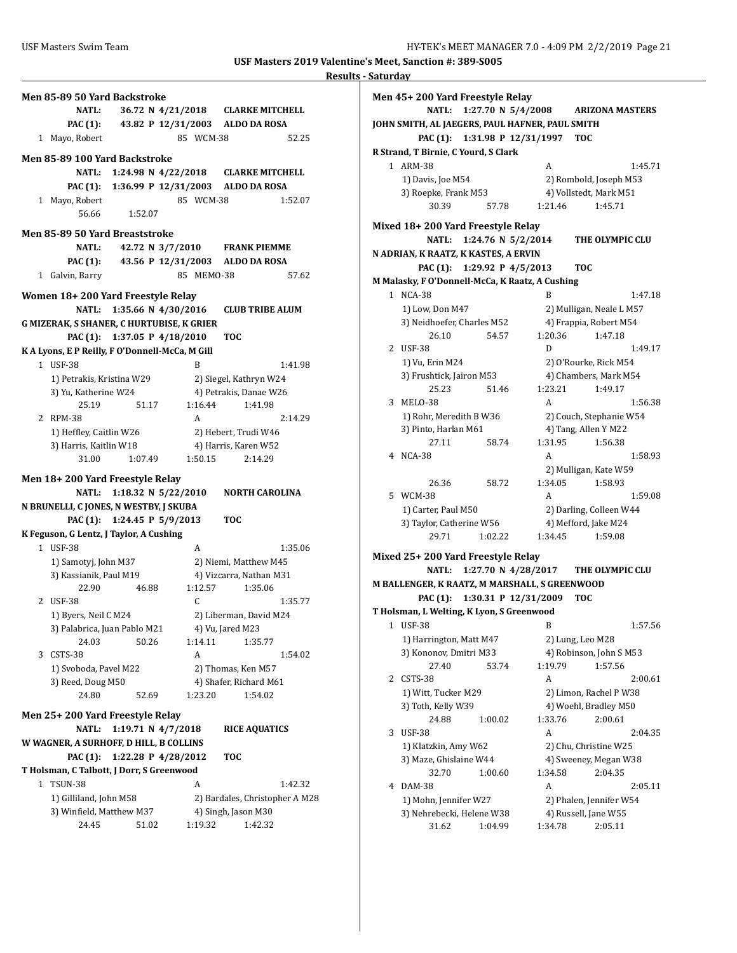|           | Men 85-89 50 Yard Backstroke                       |                           |       |                    |            |                                                       |         |
|-----------|----------------------------------------------------|---------------------------|-------|--------------------|------------|-------------------------------------------------------|---------|
|           | <b>NATL:</b>                                       |                           |       |                    |            | 36.72 N 4/21/2018 CLARKE MITCHELL                     |         |
|           | <b>PAC (1):</b>                                    |                           |       | 43.82 P 12/31/2003 |            | <b>ALDO DA ROSA</b>                                   |         |
|           | 1 Mayo, Robert                                     |                           |       |                    | 85 WCM-38  |                                                       | 52.25   |
|           |                                                    |                           |       |                    |            |                                                       |         |
|           | Men 85-89 100 Yard Backstroke                      |                           |       |                    |            |                                                       |         |
|           |                                                    | NATL: 1:24.98 N 4/22/2018 |       |                    |            | <b>CLARKE MITCHELL</b>                                |         |
|           | PAC (1): 1:36.99 P 12/31/2003                      |                           |       |                    |            | <b>ALDO DA ROSA</b>                                   |         |
|           | 1 Mayo, Robert                                     |                           |       |                    | 85 WCM-38  |                                                       | 1:52.07 |
|           | 56.66                                              | 1:52.07                   |       |                    |            |                                                       |         |
|           | Men 85-89 50 Yard Breaststroke                     |                           |       |                    |            |                                                       |         |
|           | <b>NATL:</b>                                       |                           |       | 42.72 N 3/7/2010   |            | FRANK PIEMME                                          |         |
|           | PAC (1):                                           | 43.56 P 12/31/2003        |       |                    |            | <b>ALDO DA ROSA</b>                                   |         |
|           | 1 Galvin, Barry                                    |                           |       |                    | 85 MEMO-38 |                                                       | 57.62   |
|           |                                                    |                           |       |                    |            |                                                       |         |
|           | Women 18+200 Yard Freestyle Relay                  |                           |       |                    |            |                                                       |         |
|           | NATL:                                              | 1:35.66 N 4/30/2016       |       |                    |            | <b>CLUB TRIBE ALUM</b>                                |         |
|           | G MIZERAK, S SHANER, C HURTUBISE, K GRIER          |                           |       |                    |            |                                                       |         |
|           | PAC (1): 1:37.05 P 4/18/2010                       |                           |       |                    |            | <b>TOC</b>                                            |         |
|           | K A Lyons, E P Reilly, F O'Donnell-McCa, M Gill    |                           |       |                    |            |                                                       |         |
|           | 1 USF-38                                           |                           |       |                    | B          |                                                       | 1:41.98 |
|           | 1) Petrakis, Kristina W29                          |                           |       |                    |            | 2) Siegel, Kathryn W24                                |         |
|           | 3) Yu, Katherine W24                               |                           |       |                    |            | 4) Petrakis, Danae W26                                |         |
|           | 25.19                                              |                           | 51.17 |                    | 1:16.44    | 1:41.98                                               |         |
|           | 2 RPM-38                                           |                           |       |                    | A          |                                                       | 2:14.29 |
|           | 1) Heffley, Caitlin W26                            |                           |       |                    |            | 2) Hebert, Trudi W46                                  |         |
|           | 3) Harris, Kaitlin W18                             |                           |       |                    |            | 4) Harris, Karen W52                                  |         |
|           | 31.00                                              | 1:07.49                   |       |                    |            |                                                       |         |
|           |                                                    |                           |       |                    |            |                                                       |         |
|           |                                                    |                           |       |                    | 1:50.15    | 2:14.29                                               |         |
|           | Men 18+200 Yard Freestyle Relay                    |                           |       |                    |            |                                                       |         |
|           | <b>NATL:</b>                                       | 1:18.32 N 5/22/2010       |       |                    |            | <b>NORTH CAROLINA</b>                                 |         |
|           | N BRUNELLI, C JONES, N WESTBY, J SKUBA             |                           |       |                    |            |                                                       |         |
|           | PAC (1): 1:24.45 P 5/9/2013                        |                           |       |                    |            | <b>TOC</b>                                            |         |
|           | K Feguson, G Lentz, J Taylor, A Cushing            |                           |       |                    |            |                                                       |         |
|           | 1 USF-38                                           |                           |       |                    | A          |                                                       | 1:35.06 |
|           | 1) Samotyj, John M37                               |                           |       |                    |            | 2) Niemi, Matthew M45                                 |         |
|           | 3) Kassianik, Paul M19                             |                           |       |                    |            | 4) Vizcarra, Nathan M31                               |         |
|           | 22.90                                              |                           | 46.88 |                    | 1:12.57    | 1:35.06                                               |         |
| 2         | USF-38                                             |                           |       |                    | C.         |                                                       | 1:35.77 |
|           | 1) Byers, Neil C M24                               |                           |       |                    |            | 2) Liberman, David M24                                |         |
|           | 3) Palabrica, Juan Pablo M21                       |                           |       |                    |            | 4) Vu, Jared M23                                      |         |
|           | 24.03                                              |                           | 50.26 |                    | 1:14.11    | 1:35.77                                               |         |
| 3         | CSTS-38                                            |                           |       |                    | A          |                                                       | 1:54.02 |
|           | 1) Svoboda, Pavel M22                              |                           |       |                    |            | 2) Thomas, Ken M57                                    |         |
|           | 3) Reed, Doug M50                                  |                           |       |                    |            | 4) Shafer, Richard M61                                |         |
|           | 24.80                                              |                           | 52.69 |                    | 1:23.20    | 1:54.02                                               |         |
|           | Men 25+200 Yard Freestyle Relay                    |                           |       |                    |            |                                                       |         |
|           | <b>NATL:</b>                                       | 1:19.71 N 4/7/2018        |       |                    |            | <b>RICE AQUATICS</b>                                  |         |
|           | W WAGNER, A SURHOFF, D HILL, B COLLINS             |                           |       |                    |            |                                                       |         |
|           | <b>PAC (1):</b>                                    | 1:22.28 P 4/28/2012       |       |                    |            | TOC                                                   |         |
|           | T Holsman, C Talbott, J Dorr, S Greenwood          |                           |       |                    |            |                                                       |         |
| $1 \quad$ |                                                    |                           |       |                    | A          |                                                       |         |
|           | <b>TSUN-38</b>                                     |                           |       |                    |            |                                                       | 1:42.32 |
|           | 1) Gilliland, John M58<br>3) Winfield, Matthew M37 |                           |       |                    |            | 2) Bardales, Christopher A M28<br>4) Singh, Jason M30 |         |

|              | Men 45+200 Yard Freestyle Relay                 |                                              |
|--------------|-------------------------------------------------|----------------------------------------------|
|              | <b>NATL:</b>                                    | 1:27.70 N 5/4/2008<br><b>ARIZONA MASTERS</b> |
|              | JOHN SMITH, AL JAEGERS, PAUL HAFNER, PAUL SMITH |                                              |
|              | PAC (1): 1:31.98 P 12/31/1997                   | <b>TOC</b>                                   |
|              | R Strand, T Birnie, C Yourd, S Clark            |                                              |
|              | 1 ARM-38                                        | A<br>1:45.71                                 |
|              | 1) Davis, Joe M54                               | 2) Rombold, Joseph M53                       |
|              | 3) Roepke, Frank M53                            | 4) Vollstedt, Mark M51                       |
|              | 30.39<br>57.78                                  | 1:21.46<br>1:45.71                           |
|              | Mixed 18+200 Yard Freestyle Relay               |                                              |
|              | 1:24.76 N 5/2/2014<br><b>NATL:</b>              | THE OLYMPIC CLU                              |
|              | N ADRIAN, K RAATZ, K KASTES, A ERVIN            |                                              |
|              | PAC (1): 1:29.92 P 4/5/2013                     | тос                                          |
|              | M Malasky, F O'Donnell-McCa, K Raatz, A Cushing |                                              |
| $\mathbf{1}$ | $NCA-38$                                        | R<br>1:47.18                                 |
|              | 1) Low, Don M47                                 | 2) Mulligan, Neale L M57                     |
|              | 3) Neidhoefer, Charles M52                      | 4) Frappia, Robert M54                       |
|              | 26.10<br>54.57                                  | 1:20.36<br>1:47.18                           |
|              | 2 USF-38                                        | D<br>1:49.17                                 |
|              | 1) Vu, Erin M24                                 | 2) O'Rourke, Rick M54                        |
|              | 3) Frushtick, Jairon M53                        | 4) Chambers, Mark M54                        |
|              | 25.23<br>51.46                                  | 1:23.21<br>1:49.17                           |
| 3            | MELO-38                                         | A<br>1:56.38                                 |
|              | 1) Rohr, Meredith B W36                         | 2) Couch, Stephanie W54                      |
|              | 3) Pinto, Harlan M61                            | 4) Tang, Allen Y M22                         |
|              | 27.11<br>58.74                                  | 1:31.95<br>1:56.38                           |
|              | 4 NCA-38                                        | A<br>1:58.93                                 |
|              |                                                 | 2) Mulligan, Kate W59                        |
|              | 26.36<br>58.72                                  | 1:34.05<br>1:58.93                           |
|              | 5 WCM-38                                        | A<br>1:59.08                                 |
|              | 1) Carter, Paul M50                             | 2) Darling, Colleen W44                      |
|              | 3) Taylor, Catherine W56                        | 4) Mefford, Jake M24                         |
|              | 29.71<br>1:02.22                                | 1:34.45<br>1:59.08                           |
|              | Mixed 25+200 Yard Freestyle Relay               |                                              |
|              | <b>NATL:</b>                                    | 1:27.70 N 4/28/2017<br>THE OLYMPIC CLU       |
|              | M BALLENGER, K RAATZ, M MARSHALL, S GREENWOOD   |                                              |
|              | PAC (1): 1:30.31 P 12/31/2009                   | TOC                                          |
|              | T Holsman, L Welting, K Lyon, S Greenwood       |                                              |
| 1            | <b>USF-38</b>                                   | 1:57.56<br>в                                 |
|              | 1) Harrington, Matt M47                         | 2) Lung, Leo M28                             |
|              | 3) Kononov, Dmitri M33                          | 4) Robinson, John S M53                      |
|              | 27.40<br>53.74                                  | 1:19.79<br>1:57.56                           |
| 2            | CSTS-38                                         | A<br>2:00.61                                 |
|              | 1) Witt, Tucker M29                             | 2) Limon, Rachel P W38                       |
|              | 3) Toth, Kelly W39                              | 4) Woehl, Bradley M50                        |
|              | 24.88<br>1:00.02                                | 1:33.76<br>2:00.61                           |
| 3            | <b>USF-38</b>                                   | A<br>2:04.35                                 |
|              | 1) Klatzkin, Amy W62                            | 2) Chu, Christine W25                        |
|              | 3) Maze, Ghislaine W44                          | 4) Sweeney, Megan W38                        |
|              | 32.70<br>1:00.60                                | 1:34.58<br>2:04.35                           |
| 4            | <b>DAM-38</b>                                   | А<br>2:05.11                                 |
|              | 1) Mohn, Jennifer W27                           | 2) Phalen, Jennifer W54                      |
|              | 3) Nehrebecki, Helene W38                       | 4) Russell, Jane W55                         |
|              | 31.62<br>1:04.99                                | 1:34.78<br>2:05.11                           |
|              |                                                 |                                              |